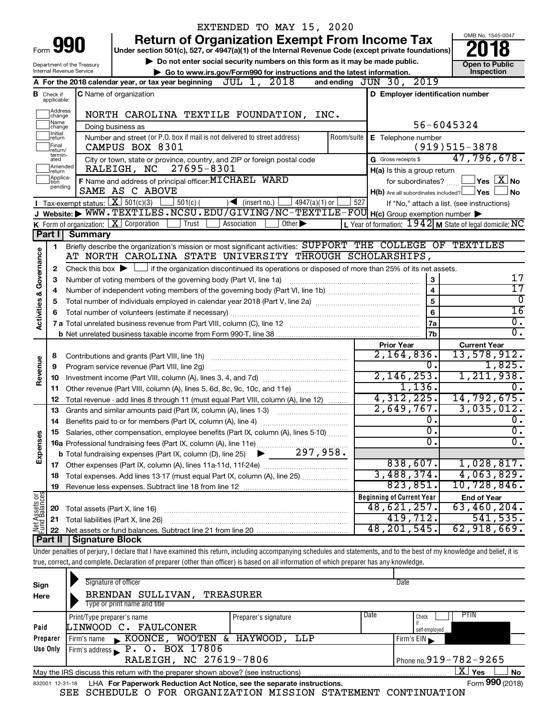|                                    |                                       |                                | EXTENDED TO MAY 15, 2020                                                                                                                                                   |                                                           |                             |  |  |
|------------------------------------|---------------------------------------|--------------------------------|----------------------------------------------------------------------------------------------------------------------------------------------------------------------------|-----------------------------------------------------------|-----------------------------|--|--|
|                                    |                                       |                                | <b>Return of Organization Exempt From Income Tax</b>                                                                                                                       |                                                           | OMB No. 1545-0047           |  |  |
| Form                               |                                       |                                | Under section 501(c), 527, or 4947(a)(1) of the Internal Revenue Code (except private foundations)                                                                         |                                                           |                             |  |  |
|                                    |                                       | Department of the Treasury     | Do not enter social security numbers on this form as it may be made public.                                                                                                |                                                           | <b>Open to Public</b>       |  |  |
|                                    |                                       | Internal Revenue Service       | Go to www.irs.gov/Form990 for instructions and the latest information.<br>A For the 2018 calendar year, or tax year beginning $JUL$ 1, $2018$                              | and ending JUN 30, 2019                                   | Inspection                  |  |  |
|                                    |                                       |                                |                                                                                                                                                                            |                                                           |                             |  |  |
| в                                  | Check if<br>applicable:               |                                | <b>C</b> Name of organization                                                                                                                                              | D Employer identification number                          |                             |  |  |
|                                    | Address<br>change                     |                                | NORTH CAROLINA TEXTILE FOUNDATION, INC.                                                                                                                                    |                                                           |                             |  |  |
|                                    | Name<br>change                        |                                | Doing business as                                                                                                                                                          | 56-6045324                                                |                             |  |  |
|                                    | Initial<br>return<br>Final<br>return/ |                                | Number and street (or P.O. box if mail is not delivered to street address)<br>Room/suite<br>CAMPUS BOX 8301                                                                | E Telephone number                                        | $(919)515-3878$             |  |  |
|                                    | termin-<br>ated                       |                                | City or town, state or province, country, and ZIP or foreign postal code                                                                                                   | G Gross receipts \$                                       | 47,796,678.                 |  |  |
|                                    | Amended<br>return                     |                                | 27695-8301<br>RALEIGH, NC                                                                                                                                                  | H(a) Is this a group return                               |                             |  |  |
|                                    | Applica-<br>tion<br>pending           |                                | F Name and address of principal officer: MICHAEL WARD                                                                                                                      | for subordinates?                                         | $\sqrt{}$ Yes $\sqrt{X}$ No |  |  |
|                                    |                                       |                                | SAME AS C ABOVE                                                                                                                                                            | $H(b)$ Are all subordinates included? $\Box$ Yes          | No                          |  |  |
|                                    |                                       |                                | Tax-exempt status: $X \overline{301(c)(3)}$<br>$501(c)$ (<br>$\sqrt{\frac{1}{1}}$ (insert no.)<br>$4947(a)(1)$ or                                                          | 527<br>If "No," attach a list. (see instructions)         |                             |  |  |
|                                    |                                       |                                | J Website: WWW.TEXTILES.NCSU.EDU/GIVING/NC-TEXTILE-FOU H(c) Group exemption number                                                                                         |                                                           |                             |  |  |
|                                    |                                       |                                | <b>K</b> Form of organization: $\boxed{\mathbf{X}}$ Corporation<br>Other $\blacktriangleright$<br>Trust<br>Association                                                     | L Year of formation: $1942$ M State of legal domicile: NC |                             |  |  |
|                                    | Part II                               | <b>Summary</b>                 |                                                                                                                                                                            |                                                           |                             |  |  |
|                                    | 1                                     |                                | Briefly describe the organization's mission or most significant activities: SUPPORT THE COLLEGE OF TEXTILES<br>AT NORTH CAROLINA STATE UNIVERSITY THROUGH SCHOLARSHIPS,    |                                                           |                             |  |  |
|                                    |                                       |                                |                                                                                                                                                                            |                                                           |                             |  |  |
| <b>Activities &amp; Governance</b> | 2                                     |                                | Check this box $\blacktriangleright$ $\Box$ if the organization discontinued its operations or disposed of more than 25% of its net assets.<br>3                           |                                                           |                             |  |  |
|                                    | з                                     |                                | Number of voting members of the governing body (Part VI, line 1a)                                                                                                          | $\overline{4}$                                            | 17<br>$\overline{17}$       |  |  |
|                                    | 4<br>5                                |                                |                                                                                                                                                                            | $\overline{5}$                                            | $\Omega$                    |  |  |
|                                    | 6                                     |                                | Total number of volunteers (estimate if necessary)                                                                                                                         | $6\phantom{a}$                                            | $\overline{16}$             |  |  |
|                                    |                                       |                                |                                                                                                                                                                            | 7a                                                        | σ.                          |  |  |
|                                    |                                       |                                |                                                                                                                                                                            | 7b                                                        | $\overline{0}$ .            |  |  |
|                                    |                                       |                                |                                                                                                                                                                            | <b>Prior Year</b>                                         | <b>Current Year</b>         |  |  |
|                                    | 8                                     |                                | Contributions and grants (Part VIII, line 1h)                                                                                                                              | $2,164,836$ .                                             | 13,578,912.                 |  |  |
| Revenue                            | 9                                     |                                | Program service revenue (Part VIII, line 2g)                                                                                                                               | 0.                                                        | 1,825.                      |  |  |
|                                    | 10                                    |                                |                                                                                                                                                                            | 2, 146, 253.                                              | 1, 211, 938.                |  |  |
|                                    | 11                                    |                                | Other revenue (Part VIII, column (A), lines 5, 6d, 8c, 9c, 10c, and 11e)                                                                                                   | 1,136.                                                    |                             |  |  |
|                                    | 12                                    |                                | Total revenue - add lines 8 through 11 (must equal Part VIII, column (A), line 12)                                                                                         | 4,312,225.                                                | 14,792,675.                 |  |  |
|                                    | 13                                    |                                | Grants and similar amounts paid (Part IX, column (A), lines 1-3)                                                                                                           | 2,649,767.                                                | 3,035,012.                  |  |  |
|                                    | 14                                    |                                | Benefits paid to or for members (Part IX, column (A), line 4)                                                                                                              | 0.                                                        | Ο.                          |  |  |
|                                    |                                       |                                | Salaries, other compensation, employee benefits (Part IX, column (A), lines 5-10)                                                                                          | $\overline{0}$ .                                          | $\overline{0}$ .            |  |  |
| Expenses                           |                                       |                                |                                                                                                                                                                            | $\overline{0}$ .                                          | σ.                          |  |  |
|                                    |                                       |                                |                                                                                                                                                                            |                                                           |                             |  |  |
|                                    |                                       |                                |                                                                                                                                                                            | 838,607.                                                  | 1,028,817.                  |  |  |
|                                    | 18                                    |                                | Total expenses. Add lines 13-17 (must equal Part IX, column (A), line 25)                                                                                                  | 3,488,374.                                                | 4,063,829.                  |  |  |
|                                    | 19                                    |                                |                                                                                                                                                                            | 823,851.                                                  | 10,728,846.                 |  |  |
| Net Assets or                      |                                       |                                |                                                                                                                                                                            | <b>Beginning of Current Year</b>                          | <b>End of Year</b>          |  |  |
|                                    | 20                                    | Total assets (Part X, line 16) |                                                                                                                                                                            | 48,621,257.                                               | 63,460,204.                 |  |  |
|                                    | 21                                    |                                | Total liabilities (Part X, line 26)                                                                                                                                        | 419,712.                                                  | 541, 535.                   |  |  |
|                                    | 22                                    |                                |                                                                                                                                                                            | 48, 201, 545.                                             | 62,918,669.                 |  |  |
|                                    | Part II                               | Signature Block                |                                                                                                                                                                            |                                                           |                             |  |  |
|                                    |                                       |                                | Under penalties of perjury, I declare that I have examined this return, including accompanying schedules and statements, and to the best of my knowledge and belief, it is |                                                           |                             |  |  |
|                                    |                                       |                                | true, correct, and complete. Declaration of preparer (other than officer) is based on all information of which preparer has any knowledge.                                 |                                                           |                             |  |  |
|                                    |                                       |                                |                                                                                                                                                                            |                                                           |                             |  |  |

| Sign<br>Here | Signature of officer<br>BRENDAN SULLIVAN,<br>Type or print name and title                                    | TREASURER             |                              | Date          |             |  |  |
|--------------|--------------------------------------------------------------------------------------------------------------|-----------------------|------------------------------|---------------|-------------|--|--|
|              | Print/Type preparer's name                                                                                   | Preparer's signature  | Date                         | Check         | <b>PTIN</b> |  |  |
| Paid         | LINWOOD C. FAULCONER                                                                                         |                       |                              | self-employed |             |  |  |
| Preparer     | Firm's name KOONCE,                                                                                          | WOOTEN & HAYWOOD, LLP |                              | Firm's $EIN$  |             |  |  |
| Use Only     | Firm's address P. O. BOX 17806                                                                               |                       |                              |               |             |  |  |
|              | RALEIGH, NC 27619-7806                                                                                       |                       | Phone no. $919 - 782 - 9265$ |               |             |  |  |
|              | x.<br><b>No</b><br>Yes<br>May the IRS discuss this return with the preparer shown above? (see instructions)  |                       |                              |               |             |  |  |
|              | Form 990 (2018)<br>LHA For Paperwork Reduction Act Notice, see the separate instructions.<br>832001 12-31-18 |                       |                              |               |             |  |  |

SEE SCHEDULE O FOR ORGANIZATION MISSION STATEMENT CONTINUATION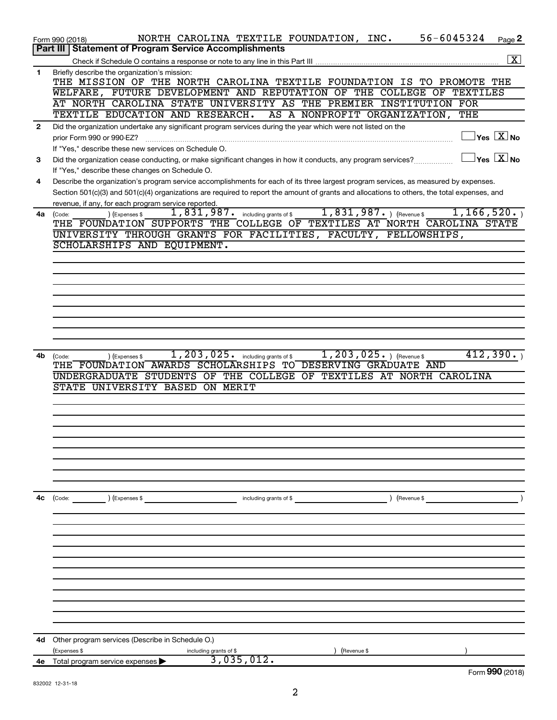|              | 56-6045324<br>NORTH CAROLINA TEXTILE FOUNDATION, INC.<br>Form 990 (2018)                                                                                        | Page 2                                          |
|--------------|-----------------------------------------------------------------------------------------------------------------------------------------------------------------|-------------------------------------------------|
|              | <b>Statement of Program Service Accomplishments</b><br>Part III                                                                                                 |                                                 |
|              |                                                                                                                                                                 | $\boxed{\textbf{X}}$                            |
| 1            | Briefly describe the organization's mission:                                                                                                                    |                                                 |
|              | THE MISSION OF THE NORTH CAROLINA TEXTILE FOUNDATION IS TO PROMOTE THE                                                                                          |                                                 |
|              | WELFARE, FUTURE DEVELOPMENT AND REPUTATION OF THE COLLEGE OF TEXTILES                                                                                           |                                                 |
|              | AT NORTH CAROLINA STATE UNIVERSITY AS THE PREMIER INSTITUTION FOR                                                                                               |                                                 |
|              | TEXTILE EDUCATION AND RESEARCH.<br>AS A NONPROFIT ORGANIZATION,                                                                                                 | THE                                             |
| $\mathbf{2}$ | Did the organization undertake any significant program services during the year which were not listed on the                                                    | $\boxed{\phantom{1}}$ Yes $\boxed{\text{X}}$ No |
|              | prior Form 990 or 990-EZ?                                                                                                                                       |                                                 |
|              | If "Yes," describe these new services on Schedule O.                                                                                                            | $\boxed{\phantom{1}}$ Yes $\boxed{\text{X}}$ No |
| 3            | Did the organization cease conducting, or make significant changes in how it conducts, any program services?<br>If "Yes," describe these changes on Schedule O. |                                                 |
| 4            | Describe the organization's program service accomplishments for each of its three largest program services, as measured by expenses.                            |                                                 |
|              | Section 501(c)(3) and 501(c)(4) organizations are required to report the amount of grants and allocations to others, the total expenses, and                    |                                                 |
|              | revenue, if any, for each program service reported.                                                                                                             |                                                 |
| 4a           | $1,831,987.$ (Revenue \$<br>$\overline{1}$ , 831, 987. including grants of \$<br>) (Expenses \$<br>(Code:                                                       | 1, 166, 520.                                    |
|              | THE FOUNDATION SUPPORTS THE COLLEGE OF TEXTILES AT NORTH CAROLINA STATE                                                                                         |                                                 |
|              | UNIVERSITY THROUGH GRANTS FOR FACILITIES, FACULTY, FELLOWSHIPS,                                                                                                 |                                                 |
|              | SCHOLARSHIPS AND EQUIPMENT.                                                                                                                                     |                                                 |
|              |                                                                                                                                                                 |                                                 |
|              |                                                                                                                                                                 |                                                 |
|              |                                                                                                                                                                 |                                                 |
|              |                                                                                                                                                                 |                                                 |
|              |                                                                                                                                                                 |                                                 |
|              |                                                                                                                                                                 |                                                 |
|              |                                                                                                                                                                 |                                                 |
|              |                                                                                                                                                                 |                                                 |
|              |                                                                                                                                                                 |                                                 |
| 4b           | $1,203,025.$ (Revenue \$)<br>1, 203, 025. including grants of \$<br>) (Expenses \$<br>(Code:                                                                    | 412,390.                                        |
|              | THE FOUNDATION AWARDS SCHOLARSHIPS TO DESERVING GRADUATE AND<br>UNDERGRADUATE STUDENTS OF THE COLLEGE OF TEXTILES AT NORTH CAROLINA                             |                                                 |
|              | STATE UNIVERSITY BASED ON MERIT                                                                                                                                 |                                                 |
|              |                                                                                                                                                                 |                                                 |
|              |                                                                                                                                                                 |                                                 |
|              |                                                                                                                                                                 |                                                 |
|              |                                                                                                                                                                 |                                                 |
|              |                                                                                                                                                                 |                                                 |
|              |                                                                                                                                                                 |                                                 |
|              |                                                                                                                                                                 |                                                 |
|              |                                                                                                                                                                 |                                                 |
|              |                                                                                                                                                                 |                                                 |
| 4c           | ) (Expenses \$<br>) (Revenue \$<br>(Code:<br>including grants of \$                                                                                             |                                                 |
|              |                                                                                                                                                                 |                                                 |
|              |                                                                                                                                                                 |                                                 |
|              |                                                                                                                                                                 |                                                 |
|              |                                                                                                                                                                 |                                                 |
|              |                                                                                                                                                                 |                                                 |
|              |                                                                                                                                                                 |                                                 |
|              |                                                                                                                                                                 |                                                 |
|              |                                                                                                                                                                 |                                                 |
|              |                                                                                                                                                                 |                                                 |
|              |                                                                                                                                                                 |                                                 |
|              |                                                                                                                                                                 |                                                 |
|              |                                                                                                                                                                 |                                                 |
| 4d           | Other program services (Describe in Schedule O.)                                                                                                                |                                                 |
|              | (Expenses \$<br>Revenue \$<br>including grants of \$<br>3,035,012.                                                                                              |                                                 |
| <b>4e</b>    | Total program service expenses >                                                                                                                                | Form 990 (2018)                                 |
|              |                                                                                                                                                                 |                                                 |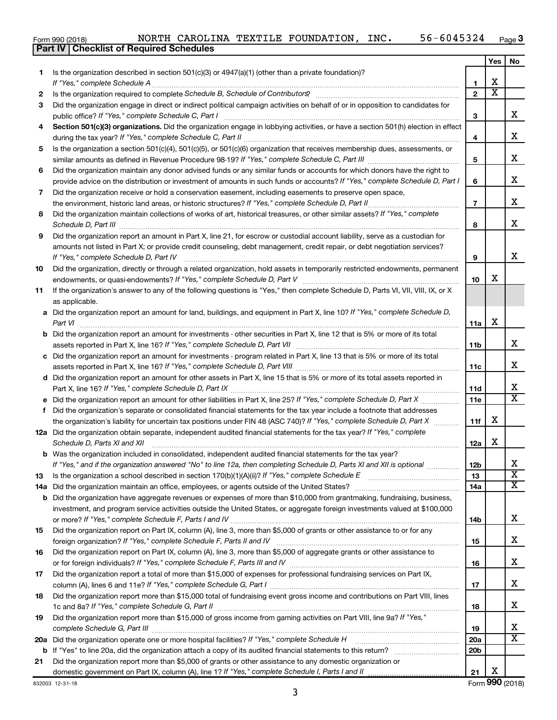|  | Form 990 (2018) |
|--|-----------------|
|  |                 |

**Part IV Checklist of Required Schedules**

|     |                                                                                                                                                                                                                                                           |                 | Yes                   | No                      |
|-----|-----------------------------------------------------------------------------------------------------------------------------------------------------------------------------------------------------------------------------------------------------------|-----------------|-----------------------|-------------------------|
| 1.  | Is the organization described in section $501(c)(3)$ or $4947(a)(1)$ (other than a private foundation)?                                                                                                                                                   |                 |                       |                         |
|     | If "Yes," complete Schedule A                                                                                                                                                                                                                             | 1               | х                     |                         |
| 2   | Is the organization required to complete Schedule B, Schedule of Contributors? [11] the organization required to complete Schedule B, Schedule of Contributors?                                                                                           | $\overline{2}$  | $\overline{\text{x}}$ |                         |
| 3   | Did the organization engage in direct or indirect political campaign activities on behalf of or in opposition to candidates for                                                                                                                           |                 |                       |                         |
|     | public office? If "Yes," complete Schedule C, Part I                                                                                                                                                                                                      | З               |                       | x                       |
| 4   | Section 501(c)(3) organizations. Did the organization engage in lobbying activities, or have a section 501(h) election in effect                                                                                                                          |                 |                       |                         |
|     |                                                                                                                                                                                                                                                           | 4               |                       | x                       |
| 5   | Is the organization a section 501(c)(4), 501(c)(5), or 501(c)(6) organization that receives membership dues, assessments, or                                                                                                                              |                 |                       | х                       |
|     |                                                                                                                                                                                                                                                           | 5               |                       |                         |
| 6   | Did the organization maintain any donor advised funds or any similar funds or accounts for which donors have the right to<br>provide advice on the distribution or investment of amounts in such funds or accounts? If "Yes," complete Schedule D, Part I | 6               |                       | х                       |
| 7   | Did the organization receive or hold a conservation easement, including easements to preserve open space,                                                                                                                                                 |                 |                       |                         |
|     | the environment, historic land areas, or historic structures? If "Yes," complete Schedule D, Part II                                                                                                                                                      | $\overline{7}$  |                       | х                       |
| 8   | .<br>Did the organization maintain collections of works of art, historical treasures, or other similar assets? If "Yes," complete                                                                                                                         |                 |                       |                         |
|     |                                                                                                                                                                                                                                                           | 8               |                       | x                       |
| 9   | Did the organization report an amount in Part X, line 21, for escrow or custodial account liability, serve as a custodian for                                                                                                                             |                 |                       |                         |
|     | amounts not listed in Part X; or provide credit counseling, debt management, credit repair, or debt negotiation services?                                                                                                                                 |                 |                       |                         |
|     | If "Yes," complete Schedule D, Part IV                                                                                                                                                                                                                    | 9               |                       | x                       |
| 10  | Did the organization, directly or through a related organization, hold assets in temporarily restricted endowments, permanent                                                                                                                             |                 |                       |                         |
|     |                                                                                                                                                                                                                                                           | 10              | х                     |                         |
| 11  | If the organization's answer to any of the following questions is "Yes," then complete Schedule D, Parts VI, VII, VIII, IX, or X                                                                                                                          |                 |                       |                         |
|     | as applicable.                                                                                                                                                                                                                                            |                 |                       |                         |
|     | a Did the organization report an amount for land, buildings, and equipment in Part X, line 10? If "Yes," complete Schedule D,                                                                                                                             |                 |                       |                         |
|     | Part VI                                                                                                                                                                                                                                                   | 11a             | х                     |                         |
|     | <b>b</b> Did the organization report an amount for investments - other securities in Part X, line 12 that is 5% or more of its total                                                                                                                      |                 |                       |                         |
|     |                                                                                                                                                                                                                                                           | 11b             |                       | x                       |
|     | c Did the organization report an amount for investments - program related in Part X, line 13 that is 5% or more of its total                                                                                                                              |                 |                       | х                       |
|     |                                                                                                                                                                                                                                                           | 11c             |                       |                         |
|     | d Did the organization report an amount for other assets in Part X, line 15 that is 5% or more of its total assets reported in                                                                                                                            | 11d             |                       | х                       |
|     |                                                                                                                                                                                                                                                           | 11e             |                       | $\overline{\texttt{x}}$ |
| f   | Did the organization's separate or consolidated financial statements for the tax year include a footnote that addresses                                                                                                                                   |                 |                       |                         |
|     | the organization's liability for uncertain tax positions under FIN 48 (ASC 740)? If "Yes," complete Schedule D, Part X                                                                                                                                    | 11f             | x                     |                         |
|     | 12a Did the organization obtain separate, independent audited financial statements for the tax year? If "Yes," complete                                                                                                                                   |                 |                       |                         |
|     | Schedule D, Parts XI and XII                                                                                                                                                                                                                              | 12a             | x                     |                         |
|     | <b>b</b> Was the organization included in consolidated, independent audited financial statements for the tax year?                                                                                                                                        |                 |                       |                         |
|     | If "Yes," and if the organization answered "No" to line 12a, then completing Schedule D, Parts XI and XII is optional www.                                                                                                                                | 12b             |                       | ∡⊾                      |
| 13  |                                                                                                                                                                                                                                                           | 13              |                       | $\overline{\mathbf{X}}$ |
| 14a |                                                                                                                                                                                                                                                           | 14a             |                       | X                       |
|     | <b>b</b> Did the organization have aggregate revenues or expenses of more than \$10,000 from grantmaking, fundraising, business,                                                                                                                          |                 |                       |                         |
|     | investment, and program service activities outside the United States, or aggregate foreign investments valued at \$100,000                                                                                                                                |                 |                       |                         |
|     |                                                                                                                                                                                                                                                           | 14b             |                       | x                       |
| 15  | Did the organization report on Part IX, column (A), line 3, more than \$5,000 of grants or other assistance to or for any                                                                                                                                 |                 |                       |                         |
|     | Did the organization report on Part IX, column (A), line 3, more than \$5,000 of aggregate grants or other assistance to                                                                                                                                  | 15              |                       | x                       |
| 16  |                                                                                                                                                                                                                                                           | 16              |                       | х                       |
| 17  | Did the organization report a total of more than \$15,000 of expenses for professional fundraising services on Part IX,                                                                                                                                   |                 |                       |                         |
|     |                                                                                                                                                                                                                                                           | 17              |                       | х                       |
| 18  | Did the organization report more than \$15,000 total of fundraising event gross income and contributions on Part VIII, lines                                                                                                                              |                 |                       |                         |
|     |                                                                                                                                                                                                                                                           | 18              |                       | x                       |
| 19  | Did the organization report more than \$15,000 of gross income from gaming activities on Part VIII, line 9a? If "Yes,"                                                                                                                                    |                 |                       |                         |
|     |                                                                                                                                                                                                                                                           | 19              |                       | x                       |
| 20a | Did the organization operate one or more hospital facilities? If "Yes," complete Schedule H                                                                                                                                                               | 20a             |                       | $\overline{\textbf{x}}$ |
|     |                                                                                                                                                                                                                                                           | 20 <sub>b</sub> |                       |                         |
| 21  | Did the organization report more than \$5,000 of grants or other assistance to any domestic organization or                                                                                                                                               |                 |                       |                         |
|     |                                                                                                                                                                                                                                                           | 21              | х                     |                         |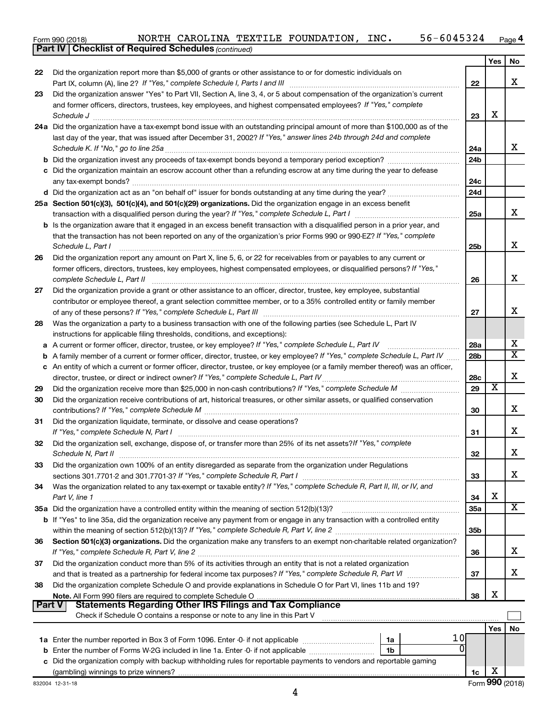|  | Form 990 (2018) |  |
|--|-----------------|--|

*(continued)* **Part IV Checklist of Required Schedules**

|               |                                                                                                                                                                                                                                |                 | Yes | No                      |
|---------------|--------------------------------------------------------------------------------------------------------------------------------------------------------------------------------------------------------------------------------|-----------------|-----|-------------------------|
| 22            | Did the organization report more than \$5,000 of grants or other assistance to or for domestic individuals on                                                                                                                  |                 |     |                         |
|               |                                                                                                                                                                                                                                | 22              |     | x                       |
| 23            | Did the organization answer "Yes" to Part VII, Section A, line 3, 4, or 5 about compensation of the organization's current                                                                                                     |                 |     |                         |
|               | and former officers, directors, trustees, key employees, and highest compensated employees? If "Yes," complete                                                                                                                 |                 |     |                         |
|               | Schedule J                                                                                                                                                                                                                     | 23              | x   |                         |
|               | 24a Did the organization have a tax-exempt bond issue with an outstanding principal amount of more than \$100,000 as of the                                                                                                    |                 |     |                         |
|               | last day of the year, that was issued after December 31, 2002? If "Yes," answer lines 24b through 24d and complete                                                                                                             |                 |     |                         |
|               | Schedule K. If "No," go to line 25a                                                                                                                                                                                            | 24a             |     | x                       |
|               |                                                                                                                                                                                                                                | 24b             |     |                         |
|               | c Did the organization maintain an escrow account other than a refunding escrow at any time during the year to defease                                                                                                         |                 |     |                         |
|               | any tax-exempt bonds?                                                                                                                                                                                                          | 24c             |     |                         |
|               |                                                                                                                                                                                                                                | 24d             |     |                         |
|               | 25a Section 501(c)(3), 501(c)(4), and 501(c)(29) organizations. Did the organization engage in an excess benefit                                                                                                               |                 |     |                         |
|               | transaction with a disqualified person during the year? If "Yes," complete Schedule L, Part I manual manual manual manual manual manual manual manual manual manual manual manual manual manual manual manual manual manual ma | 25a             |     | x                       |
|               | <b>b</b> Is the organization aware that it engaged in an excess benefit transaction with a disqualified person in a prior year, and                                                                                            |                 |     |                         |
|               | that the transaction has not been reported on any of the organization's prior Forms 990 or 990-EZ? If "Yes," complete                                                                                                          |                 |     |                         |
|               | Schedule L, Part I                                                                                                                                                                                                             | 25b             |     | x                       |
| 26            | Did the organization report any amount on Part X, line 5, 6, or 22 for receivables from or payables to any current or                                                                                                          |                 |     |                         |
|               | former officers, directors, trustees, key employees, highest compensated employees, or disqualified persons? If "Yes,"                                                                                                         |                 |     | x                       |
|               | complete Schedule L, Part II                                                                                                                                                                                                   | 26              |     |                         |
| 27            | Did the organization provide a grant or other assistance to an officer, director, trustee, key employee, substantial                                                                                                           |                 |     |                         |
|               | contributor or employee thereof, a grant selection committee member, or to a 35% controlled entity or family member                                                                                                            |                 |     | x                       |
| 28            | Was the organization a party to a business transaction with one of the following parties (see Schedule L, Part IV                                                                                                              | 27              |     |                         |
|               | instructions for applicable filing thresholds, conditions, and exceptions):                                                                                                                                                    |                 |     |                         |
| а             | A current or former officer, director, trustee, or key employee? If "Yes," complete Schedule L, Part IV                                                                                                                        | 28a             |     | х                       |
| b             | A family member of a current or former officer, director, trustee, or key employee? If "Yes," complete Schedule L, Part IV                                                                                                     | 28 <sub>b</sub> |     | $\overline{\textbf{X}}$ |
|               | c An entity of which a current or former officer, director, trustee, or key employee (or a family member thereof) was an officer,                                                                                              |                 |     |                         |
|               | director, trustee, or direct or indirect owner? If "Yes," complete Schedule L, Part IV                                                                                                                                         | 28c             |     | x                       |
| 29            |                                                                                                                                                                                                                                | 29              | х   |                         |
| 30            | Did the organization receive contributions of art, historical treasures, or other similar assets, or qualified conservation                                                                                                    |                 |     |                         |
|               |                                                                                                                                                                                                                                | 30              |     | x                       |
| 31            | Did the organization liquidate, terminate, or dissolve and cease operations?                                                                                                                                                   |                 |     |                         |
|               |                                                                                                                                                                                                                                | 31              |     | x                       |
| 32            | Did the organization sell, exchange, dispose of, or transfer more than 25% of its net assets? If "Yes," complete                                                                                                               |                 |     |                         |
|               |                                                                                                                                                                                                                                | 32              |     | x                       |
| 33            | Did the organization own 100% of an entity disregarded as separate from the organization under Regulations                                                                                                                     |                 |     |                         |
|               |                                                                                                                                                                                                                                | 33              |     | x                       |
| 34            | Was the organization related to any tax-exempt or taxable entity? If "Yes," complete Schedule R, Part II, III, or IV, and                                                                                                      |                 |     |                         |
|               | Part V, line 1                                                                                                                                                                                                                 | 34              | х   |                         |
|               | 35a Did the organization have a controlled entity within the meaning of section 512(b)(13)?                                                                                                                                    | 35a             |     | X                       |
|               | b If "Yes" to line 35a, did the organization receive any payment from or engage in any transaction with a controlled entity                                                                                                    |                 |     |                         |
|               |                                                                                                                                                                                                                                | 35b             |     |                         |
| 36            | Section 501(c)(3) organizations. Did the organization make any transfers to an exempt non-charitable related organization?                                                                                                     |                 |     |                         |
|               | If "Yes," complete Schedule R, Part V, line 2                                                                                                                                                                                  | 36              |     | x                       |
| 37            | Did the organization conduct more than 5% of its activities through an entity that is not a related organization                                                                                                               |                 |     |                         |
|               |                                                                                                                                                                                                                                | 37              |     | x                       |
| 38            | Did the organization complete Schedule O and provide explanations in Schedule O for Part VI, lines 11b and 19?                                                                                                                 |                 |     |                         |
|               | <b>Statements Regarding Other IRS Filings and Tax Compliance</b>                                                                                                                                                               | 38              | x   |                         |
| <b>Part V</b> | Check if Schedule O contains a response or note to any line in this Part V                                                                                                                                                     |                 |     |                         |
|               |                                                                                                                                                                                                                                |                 |     |                         |
|               | 10                                                                                                                                                                                                                             |                 | Yes | No                      |
|               | 1a<br>0                                                                                                                                                                                                                        |                 |     |                         |
|               | <b>b</b> Enter the number of Forms W-2G included in line 1a. Enter -0- if not applicable<br>1b<br>c Did the organization comply with backup withholding rules for reportable payments to vendors and reportable gaming         |                 |     |                         |
|               |                                                                                                                                                                                                                                | 1c              | x   |                         |
|               |                                                                                                                                                                                                                                |                 |     |                         |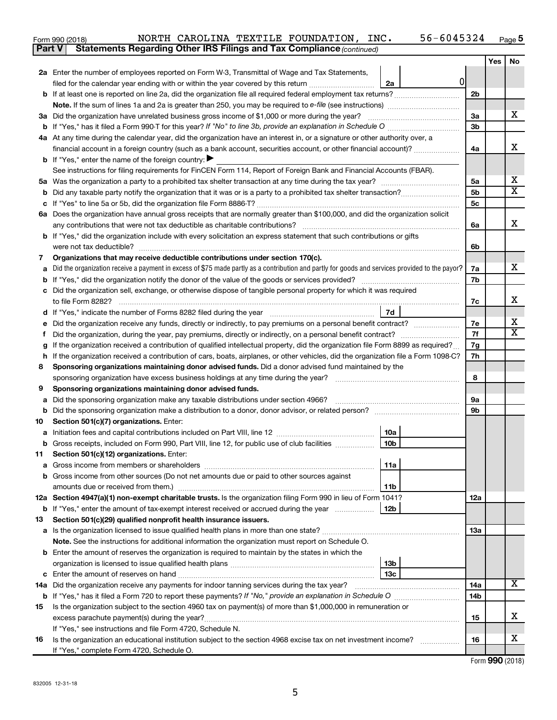| Form 990 (2018) |  | NORTH CAROLINA TEXTILE FOUNDATION, INC.                                             | 56-6045324 | Page |
|-----------------|--|-------------------------------------------------------------------------------------|------------|------|
|                 |  | <b>Part V</b> Statements Regarding Other IRS Filings and Tax Compliance (continued) |            |      |

|    |                                                                                                                                                     |                | <b>Yes</b> | No |
|----|-----------------------------------------------------------------------------------------------------------------------------------------------------|----------------|------------|----|
|    | 2a Enter the number of employees reported on Form W-3, Transmittal of Wage and Tax Statements,                                                      |                |            |    |
|    | 0<br>filed for the calendar year ending with or within the year covered by this return <i>[[[[[[[[[[[[[[[]]]]</i> ]]<br>2a                          |                |            |    |
|    |                                                                                                                                                     | 2 <sub>b</sub> |            |    |
|    |                                                                                                                                                     |                |            |    |
|    | 3a Did the organization have unrelated business gross income of \$1,000 or more during the year?                                                    | За             |            | х  |
|    | <b>b</b> If "Yes," has it filed a Form 990-T for this year? If "No" to line 3b, provide an explanation in Schedule O manumum                        | 3b             |            |    |
|    | 4a At any time during the calendar year, did the organization have an interest in, or a signature or other authority over, a                        |                |            |    |
|    | financial account in a foreign country (such as a bank account, securities account, or other financial account)?                                    | 4a             |            | х  |
|    | <b>b</b> If "Yes," enter the name of the foreign country: $\blacktriangleright$                                                                     |                |            |    |
|    | See instructions for filing requirements for FinCEN Form 114, Report of Foreign Bank and Financial Accounts (FBAR).                                 |                |            |    |
| 5а |                                                                                                                                                     | 5a             |            | х  |
| b  |                                                                                                                                                     | 5 <sub>b</sub> |            | x  |
|    |                                                                                                                                                     | 5c             |            |    |
|    | 6a Does the organization have annual gross receipts that are normally greater than \$100,000, and did the organization solicit                      |                |            |    |
|    | any contributions that were not tax deductible as charitable contributions?                                                                         | 6а             |            | х  |
|    | <b>b</b> If "Yes," did the organization include with every solicitation an express statement that such contributions or gifts                       |                |            |    |
|    | were not tax deductible?                                                                                                                            | 6b             |            |    |
| 7  | Organizations that may receive deductible contributions under section 170(c).                                                                       |                |            | x. |
|    | Did the organization receive a payment in excess of \$75 made partly as a contribution and partly for goods and services provided to the payor?     | 7а<br>7b       |            |    |
|    | Did the organization sell, exchange, or otherwise dispose of tangible personal property for which it was required                                   |                |            |    |
|    |                                                                                                                                                     | 7с             |            | x  |
|    | 7d<br>d If "Yes," indicate the number of Forms 8282 filed during the year manufactured in the set of the number of Forms 8282 filed during the year |                |            |    |
|    | Did the organization receive any funds, directly or indirectly, to pay premiums on a personal benefit contract?                                     | 7е             |            | х  |
| Ť  | Did the organization, during the year, pay premiums, directly or indirectly, on a personal benefit contract?                                        | 7f             |            | x  |
|    | If the organization received a contribution of qualified intellectual property, did the organization file Form 8899 as required?                    | 7g             |            |    |
| h  | If the organization received a contribution of cars, boats, airplanes, or other vehicles, did the organization file a Form 1098-C?                  | 7h             |            |    |
| 8  | Sponsoring organizations maintaining donor advised funds. Did a donor advised fund maintained by the                                                |                |            |    |
|    |                                                                                                                                                     | 8              |            |    |
| 9  | Sponsoring organizations maintaining donor advised funds.                                                                                           |                |            |    |
| а  | Did the sponsoring organization make any taxable distributions under section 4966?                                                                  | 9a             |            |    |
| b  |                                                                                                                                                     | 9b             |            |    |
| 10 | Section 501(c)(7) organizations. Enter:                                                                                                             |                |            |    |
| а  | 10a                                                                                                                                                 |                |            |    |
| b  | 10 <sub>b</sub><br>Gross receipts, included on Form 990, Part VIII, line 12, for public use of club facilities <i></i>                              |                |            |    |
| 11 | Section 501(c)(12) organizations. Enter:                                                                                                            |                |            |    |
|    | 11a                                                                                                                                                 |                |            |    |
|    | b Gross income from other sources (Do not net amounts due or paid to other sources against                                                          |                |            |    |
|    | 11b                                                                                                                                                 |                |            |    |
|    | 12a Section 4947(a)(1) non-exempt charitable trusts. Is the organization filing Form 990 in lieu of Form 1041?                                      | 12a            |            |    |
|    | <b>b</b> If "Yes," enter the amount of tax-exempt interest received or accrued during the year<br>12b                                               |                |            |    |
| 13 | Section 501(c)(29) qualified nonprofit health insurance issuers.                                                                                    |                |            |    |
|    | <b>a</b> Is the organization licensed to issue qualified health plans in more than one state?                                                       | <b>13a</b>     |            |    |
|    | Note. See the instructions for additional information the organization must report on Schedule O.                                                   |                |            |    |
|    | <b>b</b> Enter the amount of reserves the organization is required to maintain by the states in which the                                           |                |            |    |
|    | 13 <sub>b</sub><br>13 <sub>c</sub>                                                                                                                  |                |            |    |
|    | 14a Did the organization receive any payments for indoor tanning services during the tax year?                                                      | 14a            |            | x  |
|    |                                                                                                                                                     | 14b            |            |    |
| 15 | Is the organization subject to the section 4960 tax on payment(s) of more than \$1,000,000 in remuneration or                                       |                |            |    |
|    |                                                                                                                                                     | 15             |            | х  |
|    | If "Yes," see instructions and file Form 4720, Schedule N.                                                                                          |                |            |    |
| 16 | Is the organization an educational institution subject to the section 4968 excise tax on net investment income?                                     | 16             |            | х  |
|    | If "Yes," complete Form 4720, Schedule O.                                                                                                           |                |            |    |

Form (2018) **990**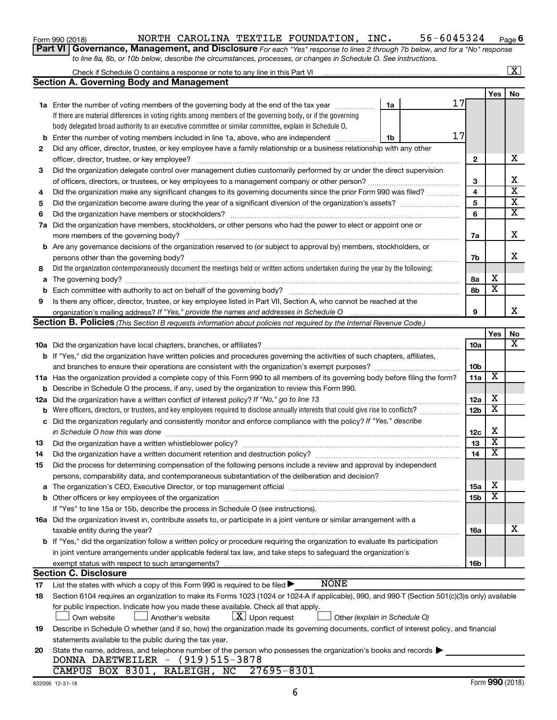| Form 990 (2018) |  |
|-----------------|--|
|-----------------|--|

### Form 990 (2018) Page NORTH CAROLINA TEXTILE FOUNDATION, INC. 56-6045324

**6**

| Part VI   Governance, Management, and Disclosure For each "Yes" response to lines 2 through 7b below, and for a "No" response |
|-------------------------------------------------------------------------------------------------------------------------------|
| to line 8a, 8b, or 10b below, describe the circumstances, processes, or changes in Schedule O. See instructions.              |

|    |                                                                                                                                                                                                                                |                 |                         | $\overline{\mathbf{X}}$ |
|----|--------------------------------------------------------------------------------------------------------------------------------------------------------------------------------------------------------------------------------|-----------------|-------------------------|-------------------------|
|    | <b>Section A. Governing Body and Management</b>                                                                                                                                                                                |                 |                         |                         |
|    |                                                                                                                                                                                                                                |                 | Yes                     | No                      |
|    | 17<br><b>1a</b> Enter the number of voting members of the governing body at the end of the tax year<br>1a                                                                                                                      |                 |                         |                         |
|    | If there are material differences in voting rights among members of the governing body, or if the governing                                                                                                                    |                 |                         |                         |
|    | body delegated broad authority to an executive committee or similar committee, explain in Schedule O.                                                                                                                          |                 |                         |                         |
| b  | 17<br>Enter the number of voting members included in line 1a, above, who are independent <i>manumum</i><br>1b                                                                                                                  |                 |                         |                         |
| 2  | Did any officer, director, trustee, or key employee have a family relationship or a business relationship with any other                                                                                                       |                 |                         |                         |
|    | officer, director, trustee, or key employee?                                                                                                                                                                                   | $\mathbf{2}$    |                         | х                       |
| 3  | Did the organization delegate control over management duties customarily performed by or under the direct supervision                                                                                                          |                 |                         |                         |
|    |                                                                                                                                                                                                                                | 3               |                         | х                       |
| 4  | Did the organization make any significant changes to its governing documents since the prior Form 990 was filed?                                                                                                               | 4               |                         | $\overline{\mathbf{x}}$ |
| 5  |                                                                                                                                                                                                                                | 5               |                         | $\overline{\mathbf{x}}$ |
| 6  |                                                                                                                                                                                                                                | 6               |                         | $\overline{\mathbf{x}}$ |
|    | 7a Did the organization have members, stockholders, or other persons who had the power to elect or appoint one or                                                                                                              |                 |                         |                         |
|    |                                                                                                                                                                                                                                | 7a              |                         | х                       |
|    | <b>b</b> Are any governance decisions of the organization reserved to (or subject to approval by) members, stockholders, or                                                                                                    |                 |                         |                         |
|    | persons other than the governing body?                                                                                                                                                                                         | 7b              |                         | x                       |
| 8  | Did the organization contemporaneously document the meetings held or written actions undertaken during the year by the following:                                                                                              |                 |                         |                         |
| a  |                                                                                                                                                                                                                                | 8а              | х                       |                         |
| b  |                                                                                                                                                                                                                                | 8b              | $\overline{\mathbf{x}}$ |                         |
| 9  | Is there any officer, director, trustee, or key employee listed in Part VII, Section A, who cannot be reached at the                                                                                                           |                 |                         |                         |
|    |                                                                                                                                                                                                                                | 9               |                         | x                       |
|    | <b>Section B. Policies</b> (This Section B requests information about policies not required by the Internal Revenue Code.)                                                                                                     |                 |                         |                         |
|    |                                                                                                                                                                                                                                |                 | Yes                     | No                      |
|    |                                                                                                                                                                                                                                | 10a             |                         | x                       |
|    | <b>b</b> If "Yes," did the organization have written policies and procedures governing the activities of such chapters, affiliates,                                                                                            |                 |                         |                         |
|    |                                                                                                                                                                                                                                | 10 <sub>b</sub> |                         |                         |
|    | 11a Has the organization provided a complete copy of this Form 990 to all members of its governing body before filing the form?                                                                                                | 11a             | $\overline{\textbf{x}}$ |                         |
|    | <b>b</b> Describe in Schedule O the process, if any, used by the organization to review this Form 990.                                                                                                                         |                 |                         |                         |
|    | 12a Did the organization have a written conflict of interest policy? If "No," go to line 13                                                                                                                                    | 12a             | х                       |                         |
|    | <b>b</b> Were officers, directors, or trustees, and key employees required to disclose annually interests that could give rise to conflicts?                                                                                   | 12 <sub>b</sub> | $\overline{\textbf{x}}$ |                         |
| c  | Did the organization regularly and consistently monitor and enforce compliance with the policy? If "Yes," describe                                                                                                             |                 |                         |                         |
|    | in Schedule O how this was done                                                                                                                                                                                                | 12c             | X                       |                         |
| 13 |                                                                                                                                                                                                                                | 13              | $\overline{\textbf{x}}$ |                         |
| 14 |                                                                                                                                                                                                                                | 14              | $\overline{\textbf{x}}$ |                         |
| 15 | Did the process for determining compensation of the following persons include a review and approval by independent                                                                                                             |                 |                         |                         |
|    | persons, comparability data, and contemporaneous substantiation of the deliberation and decision?                                                                                                                              |                 |                         |                         |
|    | a The organization's CEO, Executive Director, or top management official manufactured content content of the organization's CEO, Executive Director, or top management official manufactured content of the state of the state | <b>15a</b>      | х                       |                         |
|    |                                                                                                                                                                                                                                | 15b             | X                       |                         |
|    | If "Yes" to line 15a or 15b, describe the process in Schedule O (see instructions).                                                                                                                                            |                 |                         |                         |
|    | 16a Did the organization invest in, contribute assets to, or participate in a joint venture or similar arrangement with a                                                                                                      |                 |                         |                         |
|    | taxable entity during the year?                                                                                                                                                                                                | 16a             |                         | x                       |
|    | b If "Yes," did the organization follow a written policy or procedure requiring the organization to evaluate its participation                                                                                                 |                 |                         |                         |
|    | in joint venture arrangements under applicable federal tax law, and take steps to safeguard the organization's                                                                                                                 |                 |                         |                         |
|    | exempt status with respect to such arrangements?                                                                                                                                                                               | 16b             |                         |                         |
|    | <b>Section C. Disclosure</b>                                                                                                                                                                                                   |                 |                         |                         |
| 17 | <b>NONE</b><br>List the states with which a copy of this Form 990 is required to be filed $\blacktriangleright$                                                                                                                |                 |                         |                         |
| 18 | Section 6104 requires an organization to make its Forms 1023 (1024 or 1024 A if applicable), 990, and 990-T (Section 501(c)(3)s only) available                                                                                |                 |                         |                         |
|    | for public inspection. Indicate how you made these available. Check all that apply.                                                                                                                                            |                 |                         |                         |
|    | $\lfloor \underline{X} \rfloor$ Upon request<br>Own website<br>Another's website<br>Other (explain in Schedule O)                                                                                                              |                 |                         |                         |
| 19 | Describe in Schedule O whether (and if so, how) the organization made its governing documents, conflict of interest policy, and financial                                                                                      |                 |                         |                         |
|    | statements available to the public during the tax year.                                                                                                                                                                        |                 |                         |                         |
| 20 | State the name, address, and telephone number of the person who possesses the organization's books and records                                                                                                                 |                 |                         |                         |
|    | DONNA DAETWEILER - (919)515-3878                                                                                                                                                                                               |                 |                         |                         |
|    | CAMPUS BOX 8301, RALEIGH, NC 27695-8301                                                                                                                                                                                        |                 |                         |                         |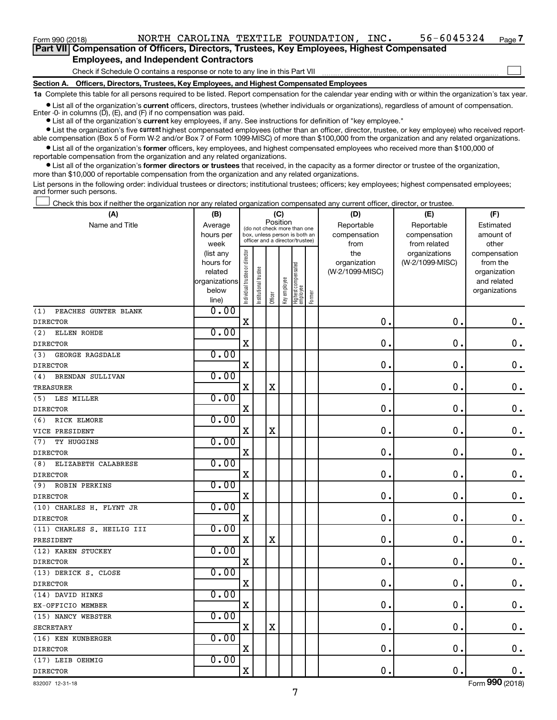$\Box$ 

**Part VII Compensation of Officers, Directors, Trustees, Key Employees, Highest Compensated Employees, and Independent Contractors**

Check if Schedule O contains a response or note to any line in this Part VII

**Section A. Officers, Directors, Trustees, Key Employees, and Highest Compensated Employees**

**1a**  Complete this table for all persons required to be listed. Report compensation for the calendar year ending with or within the organization's tax year.

**•** List all of the organization's current officers, directors, trustees (whether individuals or organizations), regardless of amount of compensation. Enter -0- in columns  $(D)$ ,  $(E)$ , and  $(F)$  if no compensation was paid.

**•** List all of the organization's **current** key employees, if any. See instructions for definition of "key employee."

**•** List the organization's five current highest compensated employees (other than an officer, director, trustee, or key employee) who received reportable compensation (Box 5 of Form W-2 and/or Box 7 of Form 1099-MISC) of more than \$100,000 from the organization and any related organizations.

**•** List all of the organization's former officers, key employees, and highest compensated employees who received more than \$100,000 of reportable compensation from the organization and any related organizations.

**•** List all of the organization's former directors or trustees that received, in the capacity as a former director or trustee of the organization, more than \$10,000 of reportable compensation from the organization and any related organizations.

List persons in the following order: individual trustees or directors; institutional trustees; officers; key employees; highest compensated employees; and former such persons.

Check this box if neither the organization nor any related organization compensated any current officer, director, or trustee.  $\Box$ 

| (A)                         | (B)                    |                                |                                                                  | (C)         |              |                                 |        | (D)             | (E)                              | (F)                      |
|-----------------------------|------------------------|--------------------------------|------------------------------------------------------------------|-------------|--------------|---------------------------------|--------|-----------------|----------------------------------|--------------------------|
| Name and Title              | Average                |                                | (do not check more than one                                      | Position    |              |                                 |        | Reportable      | Reportable                       | Estimated                |
|                             | hours per              |                                | box, unless person is both an<br>officer and a director/trustee) |             |              |                                 |        | compensation    | compensation                     | amount of                |
|                             | week                   |                                |                                                                  |             |              |                                 |        | from<br>the     | from related                     | other                    |
|                             | (list any<br>hours for |                                |                                                                  |             |              |                                 |        | organization    | organizations<br>(W-2/1099-MISC) | compensation<br>from the |
|                             | related                |                                |                                                                  |             |              |                                 |        | (W-2/1099-MISC) |                                  | organization             |
|                             | organizations          |                                |                                                                  |             |              |                                 |        |                 |                                  | and related              |
|                             | below                  | Individual trustee or director | Institutional trustee                                            |             | Key employee | Highest compensated<br>employee |        |                 |                                  | organizations            |
|                             | line)                  |                                |                                                                  | Officer     |              |                                 | Former |                 |                                  |                          |
| PEACHES GUNTER BLANK<br>(1) | 0.00                   |                                |                                                                  |             |              |                                 |        |                 |                                  |                          |
| <b>DIRECTOR</b>             |                        | $\mathbf X$                    |                                                                  |             |              |                                 |        | $\mathbf 0$ .   | $\mathbf 0$ .                    | $\mathbf 0$ .            |
| (2)<br>ELLEN ROHDE          | 0.00                   |                                |                                                                  |             |              |                                 |        |                 |                                  |                          |
| <b>DIRECTOR</b>             |                        | $\mathbf X$                    |                                                                  |             |              |                                 |        | 0               | 0                                | $\mathbf 0$ .            |
| (3)<br>GEORGE RAGSDALE      | 0.00                   |                                |                                                                  |             |              |                                 |        |                 |                                  |                          |
| <b>DIRECTOR</b>             |                        | $\mathbf X$                    |                                                                  |             |              |                                 |        | 0               | $\mathbf 0$                      | $\mathbf 0$ .            |
| (4)<br>BRENDAN SULLIVAN     | 0.00                   |                                |                                                                  |             |              |                                 |        |                 |                                  |                          |
| <b>TREASURER</b>            |                        | $\mathbf X$                    |                                                                  | $\mathbf X$ |              |                                 |        | $\mathbf 0$     | 0                                | $\mathbf 0$ .            |
| (5)<br>LES MILLER           | 0.00                   |                                |                                                                  |             |              |                                 |        |                 |                                  |                          |
| <b>DIRECTOR</b>             |                        | $\mathbf X$                    |                                                                  |             |              |                                 |        | 0               | $\mathbf 0$                      | $0$ .                    |
| (6)<br>RICK ELMORE          | 0.00                   |                                |                                                                  |             |              |                                 |        |                 |                                  |                          |
| VICE PRESIDENT              |                        | $\mathbf X$                    |                                                                  | $\rm X$     |              |                                 |        | 0               | 0                                | $0$ .                    |
| (7)<br>TY HUGGINS           | 0.00                   |                                |                                                                  |             |              |                                 |        |                 |                                  |                          |
| <b>DIRECTOR</b>             |                        | $\mathbf X$                    |                                                                  |             |              |                                 |        | 0               | $\mathbf 0$                      | $\mathbf 0$ .            |
| (8)<br>ELIZABETH CALABRESE  | 0.00                   |                                |                                                                  |             |              |                                 |        |                 |                                  |                          |
| <b>DIRECTOR</b>             |                        | $\mathbf X$                    |                                                                  |             |              |                                 |        | $\mathbf 0$     | 0                                | $\mathbf 0$ .            |
| (9)<br><b>ROBIN PERKINS</b> | 0.00                   |                                |                                                                  |             |              |                                 |        |                 |                                  |                          |
| <b>DIRECTOR</b>             |                        | $\mathbf X$                    |                                                                  |             |              |                                 |        | $\mathbf 0$     | $\mathbf 0$                      | $\mathbf 0$ .            |
| (10) CHARLES H. FLYNT JR    | 0.00                   |                                |                                                                  |             |              |                                 |        |                 |                                  |                          |
| <b>DIRECTOR</b>             |                        | $\mathbf X$                    |                                                                  |             |              |                                 |        | 0               | 0                                | $0$ .                    |
| (11) CHARLES S. HEILIG III  | 0.00                   |                                |                                                                  |             |              |                                 |        |                 |                                  |                          |
| PRESIDENT                   |                        | $\mathbf X$                    |                                                                  | $\mathbf X$ |              |                                 |        | 0               | $\mathbf 0$                      | $\mathbf 0$ .            |
| (12) KAREN STUCKEY          | 0.00                   |                                |                                                                  |             |              |                                 |        |                 |                                  |                          |
| <b>DIRECTOR</b>             |                        | $\mathbf X$                    |                                                                  |             |              |                                 |        | $\mathbf 0$     | 0                                | $\mathbf 0$ .            |
| (13) DERICK S. CLOSE        | 0.00                   |                                |                                                                  |             |              |                                 |        |                 |                                  |                          |
| <b>DIRECTOR</b>             |                        | $\mathbf X$                    |                                                                  |             |              |                                 |        | $\mathbf 0$     | $\mathbf 0$                      | $\mathbf 0$ .            |
| (14) DAVID HINKS            | 0.00                   |                                |                                                                  |             |              |                                 |        |                 |                                  |                          |
| EX-OFFICIO MEMBER           |                        | $\mathbf X$                    |                                                                  |             |              |                                 |        | 0               | $\mathbf 0$                      | $0$ .                    |
| (15) NANCY WEBSTER          | 0.00                   |                                |                                                                  |             |              |                                 |        |                 |                                  |                          |
| <b>SECRETARY</b>            |                        | $\mathbf X$                    |                                                                  | $\mathbf X$ |              |                                 |        | 0               | $\mathbf 0$                      | $0$ .                    |
| (16) KEN KUNBERGER          | 0.00                   |                                |                                                                  |             |              |                                 |        |                 |                                  |                          |
| <b>DIRECTOR</b>             |                        | $\mathbf X$                    |                                                                  |             |              |                                 |        | $\mathbf 0$     | $\mathbf 0$                      | $\mathbf 0$ .            |
| (17) LEIB OEHMIG            | 0.00                   |                                |                                                                  |             |              |                                 |        |                 |                                  |                          |
| <b>DIRECTOR</b>             |                        | $\mathbf X$                    |                                                                  |             |              |                                 |        | $\mathbf 0$ .   | $\mathbf 0$ .                    | 0.                       |

Form (2018) **990**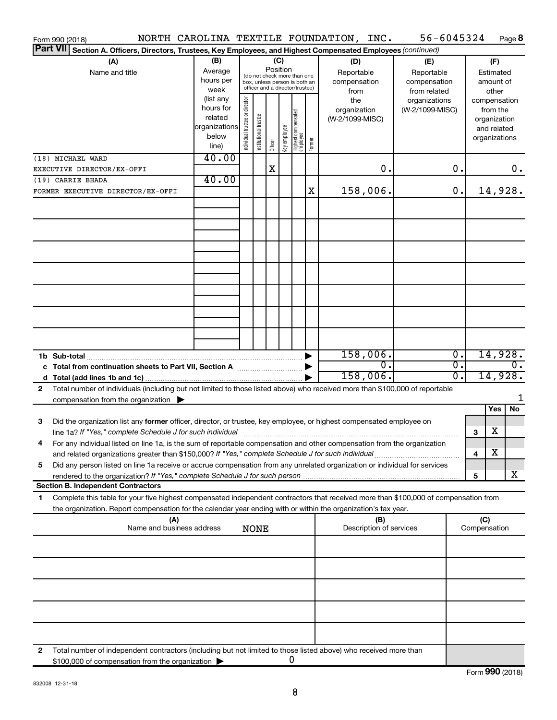|   |                 | Form 990 (2018)                                                                                                                      |                      |                               |                       |          |              |                                   |        | NORTH CAROLINA TEXTILE FOUNDATION, INC. |     | 56-6045324      |    |              |                              | Page 8           |
|---|-----------------|--------------------------------------------------------------------------------------------------------------------------------------|----------------------|-------------------------------|-----------------------|----------|--------------|-----------------------------------|--------|-----------------------------------------|-----|-----------------|----|--------------|------------------------------|------------------|
|   | <b>Part VII</b> | Section A. Officers, Directors, Trustees, Key Employees, and Highest Compensated Employees (continued)                               |                      |                               |                       |          |              |                                   |        |                                         |     |                 |    |              |                              |                  |
|   |                 | (A)                                                                                                                                  | (B)                  |                               |                       | (C)      |              |                                   |        | (D)                                     |     | (E)             |    |              | (F)                          |                  |
|   |                 | Name and title                                                                                                                       | Average              |                               |                       | Position |              | (do not check more than one       |        | Reportable                              |     | Reportable      |    |              | Estimated                    |                  |
|   |                 |                                                                                                                                      | hours per            |                               |                       |          |              | box, unless person is both an     |        | compensation                            |     | compensation    |    |              | amount of                    |                  |
|   |                 |                                                                                                                                      | week                 |                               |                       |          |              | officer and a director/trustee)   |        | from                                    |     | from related    |    |              | other                        |                  |
|   |                 |                                                                                                                                      | (list any            |                               |                       |          |              |                                   |        | the                                     |     | organizations   |    |              | compensation                 |                  |
|   |                 |                                                                                                                                      | hours for<br>related |                               |                       |          |              |                                   |        | organization                            |     | (W-2/1099-MISC) |    |              | from the                     |                  |
|   |                 |                                                                                                                                      | organizations        |                               |                       |          |              |                                   |        | (W-2/1099-MISC)                         |     |                 |    |              | organization                 |                  |
|   |                 |                                                                                                                                      | below                |                               |                       |          |              |                                   |        |                                         |     |                 |    |              | and related<br>organizations |                  |
|   |                 |                                                                                                                                      | line)                | ndividual trustee or director | Institutional trustee | Officer  | Key employee | Highest compensated<br>  employee | Former |                                         |     |                 |    |              |                              |                  |
|   |                 | (18) MICHAEL WARD                                                                                                                    | 40.00                |                               |                       |          |              |                                   |        |                                         |     |                 |    |              |                              |                  |
|   |                 | EXECUTIVE DIRECTOR/EX-OFFI                                                                                                           |                      |                               |                       | X        |              |                                   |        |                                         | 0.  |                 | О. |              |                              | $0$ .            |
|   |                 | (19) CARRIE BHADA                                                                                                                    | 40.00                |                               |                       |          |              |                                   |        |                                         |     |                 |    |              |                              |                  |
|   |                 | FORMER EXECUTIVE DIRECTOR/EX-OFFI                                                                                                    |                      |                               |                       |          |              |                                   | X      | 158,006.                                |     |                 | 0. |              |                              | 14,928.          |
|   |                 |                                                                                                                                      |                      |                               |                       |          |              |                                   |        |                                         |     |                 |    |              |                              |                  |
|   |                 |                                                                                                                                      |                      |                               |                       |          |              |                                   |        |                                         |     |                 |    |              |                              |                  |
|   |                 |                                                                                                                                      |                      |                               |                       |          |              |                                   |        |                                         |     |                 |    |              |                              |                  |
|   |                 |                                                                                                                                      |                      |                               |                       |          |              |                                   |        |                                         |     |                 |    |              |                              |                  |
|   |                 |                                                                                                                                      |                      |                               |                       |          |              |                                   |        |                                         |     |                 |    |              |                              |                  |
|   |                 |                                                                                                                                      |                      |                               |                       |          |              |                                   |        |                                         |     |                 |    |              |                              |                  |
|   |                 |                                                                                                                                      |                      |                               |                       |          |              |                                   |        |                                         |     |                 |    |              |                              |                  |
|   |                 |                                                                                                                                      |                      |                               |                       |          |              |                                   |        |                                         |     |                 |    |              |                              |                  |
|   |                 |                                                                                                                                      |                      |                               |                       |          |              |                                   |        |                                         |     |                 |    |              |                              |                  |
|   |                 |                                                                                                                                      |                      |                               |                       |          |              |                                   |        |                                         |     |                 |    |              |                              |                  |
|   |                 |                                                                                                                                      |                      |                               |                       |          |              |                                   |        |                                         |     |                 |    |              |                              |                  |
|   |                 |                                                                                                                                      |                      |                               |                       |          |              |                                   |        |                                         |     |                 |    |              |                              |                  |
|   |                 |                                                                                                                                      |                      |                               |                       |          |              |                                   |        |                                         |     |                 |    |              |                              |                  |
|   |                 |                                                                                                                                      |                      |                               |                       |          |              |                                   |        |                                         |     |                 |    |              |                              |                  |
|   |                 |                                                                                                                                      |                      |                               |                       |          |              |                                   |        |                                         |     |                 |    |              |                              |                  |
|   |                 | 1b Sub-total                                                                                                                         |                      |                               |                       |          |              |                                   |        | 158,006.                                |     |                 | 0. |              |                              | 14,928.          |
|   |                 |                                                                                                                                      |                      |                               |                       |          |              |                                   |        |                                         | о.  |                 | σ. |              |                              | $\overline{0}$ . |
|   |                 |                                                                                                                                      |                      |                               |                       |          |              |                                   |        | 158,006.                                |     |                 | 0. |              |                              | 14,928.          |
| 2 |                 | Total number of individuals (including but not limited to those listed above) who received more than \$100,000 of reportable         |                      |                               |                       |          |              |                                   |        |                                         |     |                 |    |              |                              |                  |
|   |                 | compensation from the organization $\blacktriangleright$                                                                             |                      |                               |                       |          |              |                                   |        |                                         |     |                 |    |              |                              | 1                |
|   |                 |                                                                                                                                      |                      |                               |                       |          |              |                                   |        |                                         |     |                 |    |              | Yes                          | No               |
| 3 |                 | Did the organization list any former officer, director, or trustee, key employee, or highest compensated employee on                 |                      |                               |                       |          |              |                                   |        |                                         |     |                 |    |              |                              |                  |
|   |                 |                                                                                                                                      |                      |                               |                       |          |              |                                   |        |                                         |     |                 |    | 3            | х                            |                  |
|   |                 | For any individual listed on line 1a, is the sum of reportable compensation and other compensation from the organization             |                      |                               |                       |          |              |                                   |        |                                         |     |                 |    |              |                              |                  |
|   |                 | and related organizations greater than \$150,000? If "Yes," complete Schedule J for such individual                                  |                      |                               |                       |          |              |                                   |        |                                         |     |                 |    | 4            | х                            |                  |
| 5 |                 | Did any person listed on line 1a receive or accrue compensation from any unrelated organization or individual for services           |                      |                               |                       |          |              |                                   |        |                                         |     |                 |    |              |                              |                  |
|   |                 |                                                                                                                                      |                      |                               |                       |          |              |                                   |        |                                         |     |                 |    | 5            |                              | x                |
|   |                 | <b>Section B. Independent Contractors</b>                                                                                            |                      |                               |                       |          |              |                                   |        |                                         |     |                 |    |              |                              |                  |
| 1 |                 | Complete this table for your five highest compensated independent contractors that received more than \$100,000 of compensation from |                      |                               |                       |          |              |                                   |        |                                         |     |                 |    |              |                              |                  |
|   |                 | the organization. Report compensation for the calendar year ending with or within the organization's tax year.                       |                      |                               |                       |          |              |                                   |        |                                         |     |                 |    |              |                              |                  |
|   |                 | (A)                                                                                                                                  |                      |                               |                       |          |              |                                   |        |                                         | (B) |                 |    | (C)          |                              |                  |
|   |                 | Name and business address                                                                                                            |                      |                               | <b>NONE</b>           |          |              |                                   |        | Description of services                 |     |                 |    | Compensation |                              |                  |
|   |                 |                                                                                                                                      |                      |                               |                       |          |              |                                   |        |                                         |     |                 |    |              |                              |                  |
|   |                 |                                                                                                                                      |                      |                               |                       |          |              |                                   |        |                                         |     |                 |    |              |                              |                  |
|   |                 |                                                                                                                                      |                      |                               |                       |          |              |                                   |        |                                         |     |                 |    |              |                              |                  |
|   |                 |                                                                                                                                      |                      |                               |                       |          |              |                                   |        |                                         |     |                 |    |              |                              |                  |
|   |                 |                                                                                                                                      |                      |                               |                       |          |              |                                   |        |                                         |     |                 |    |              |                              |                  |
|   |                 |                                                                                                                                      |                      |                               |                       |          |              |                                   |        |                                         |     |                 |    |              |                              |                  |
|   |                 |                                                                                                                                      |                      |                               |                       |          |              |                                   |        |                                         |     |                 |    |              |                              |                  |
|   |                 |                                                                                                                                      |                      |                               |                       |          |              |                                   |        |                                         |     |                 |    |              |                              |                  |
|   |                 |                                                                                                                                      |                      |                               |                       |          |              |                                   |        |                                         |     |                 |    |              |                              |                  |
|   |                 |                                                                                                                                      |                      |                               |                       |          |              |                                   |        |                                         |     |                 |    |              |                              |                  |
| 2 |                 | Total number of independent contractors (including but not limited to those listed above) who received more than                     |                      |                               |                       |          |              |                                   |        |                                         |     |                 |    |              |                              |                  |
|   |                 | \$100,000 of compensation from the organization                                                                                      |                      |                               |                       |          |              | 0                                 |        |                                         |     |                 |    |              |                              |                  |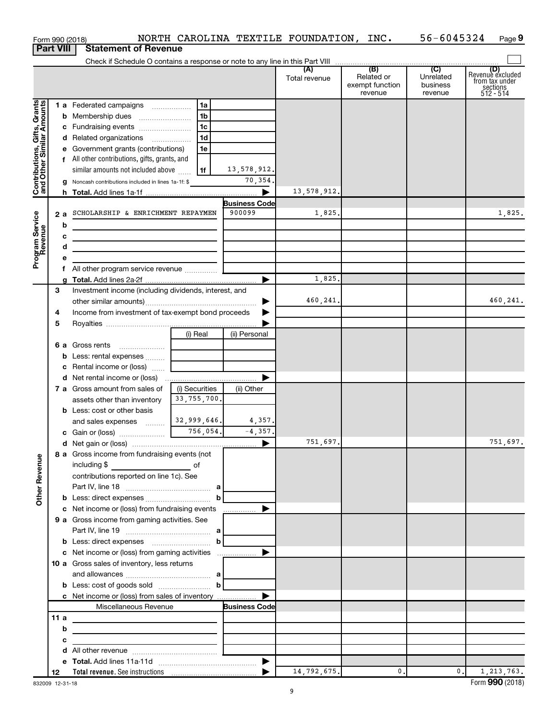|                                                           | Form 990 (2018)  |                                                                                                                       |                |                      | NORTH CAROLINA TEXTILE FOUNDATION, INC. |                                                 | 56-6045324                                         | Page 9                                                             |
|-----------------------------------------------------------|------------------|-----------------------------------------------------------------------------------------------------------------------|----------------|----------------------|-----------------------------------------|-------------------------------------------------|----------------------------------------------------|--------------------------------------------------------------------|
|                                                           | <b>Part VIII</b> | <b>Statement of Revenue</b>                                                                                           |                |                      |                                         |                                                 |                                                    |                                                                    |
|                                                           |                  |                                                                                                                       |                |                      |                                         |                                                 |                                                    |                                                                    |
|                                                           |                  |                                                                                                                       |                |                      | (A)<br>Total revenue                    | (B)<br>Related or<br>exempt function<br>revenue | $\overline{C}$<br>Unrelated<br>business<br>revenue | (D)<br>Revenue excluded<br>from tax under<br>sections<br>512 - 514 |
|                                                           |                  | 1 a Federated campaigns                                                                                               | 1a             |                      |                                         |                                                 |                                                    |                                                                    |
|                                                           |                  |                                                                                                                       | 1b             |                      |                                         |                                                 |                                                    |                                                                    |
| Contributions, Gifts, Grants<br>and Other Similar Amounts |                  |                                                                                                                       | l 1c           |                      |                                         |                                                 |                                                    |                                                                    |
|                                                           |                  | d Related organizations                                                                                               | 1 <sub>d</sub> |                      |                                         |                                                 |                                                    |                                                                    |
|                                                           |                  | e Government grants (contributions)                                                                                   | 1e             |                      |                                         |                                                 |                                                    |                                                                    |
|                                                           |                  | f All other contributions, gifts, grants, and                                                                         |                |                      |                                         |                                                 |                                                    |                                                                    |
|                                                           |                  | similar amounts not included above                                                                                    | l 1f           | 13,578,912.          |                                         |                                                 |                                                    |                                                                    |
|                                                           |                  | g Noncash contributions included in lines 1a-1f: \$                                                                   |                | 70,354.              |                                         |                                                 |                                                    |                                                                    |
|                                                           |                  |                                                                                                                       |                |                      | 13,578,912.                             |                                                 |                                                    |                                                                    |
|                                                           |                  |                                                                                                                       |                | <b>Business Code</b> |                                         |                                                 |                                                    |                                                                    |
| Program Service<br>Revenue                                | 2a               | SCHOLARSHIP & ENRICHMENT REPAYMEN                                                                                     |                | 900099               | 1,825.                                  |                                                 |                                                    | 1,825.                                                             |
|                                                           | b                | the control of the control of the control of the control of the control of                                            |                |                      |                                         |                                                 |                                                    |                                                                    |
|                                                           | с                | the control of the control of the control of the control of the control of                                            |                |                      |                                         |                                                 |                                                    |                                                                    |
|                                                           | d                |                                                                                                                       |                |                      |                                         |                                                 |                                                    |                                                                    |
|                                                           | e                |                                                                                                                       |                |                      |                                         |                                                 |                                                    |                                                                    |
|                                                           |                  | f All other program service revenue                                                                                   |                |                      | 1,825.                                  |                                                 |                                                    |                                                                    |
|                                                           | a<br>3           | Investment income (including dividends, interest, and                                                                 |                |                      |                                         |                                                 |                                                    |                                                                    |
|                                                           |                  |                                                                                                                       |                | ▶                    | 460,241.                                |                                                 |                                                    | 460,241.                                                           |
|                                                           | 4                | Income from investment of tax-exempt bond proceeds                                                                    |                |                      |                                         |                                                 |                                                    |                                                                    |
|                                                           | 5                |                                                                                                                       |                |                      |                                         |                                                 |                                                    |                                                                    |
|                                                           |                  |                                                                                                                       | (i) Real       | (ii) Personal        |                                         |                                                 |                                                    |                                                                    |
|                                                           |                  |                                                                                                                       |                |                      |                                         |                                                 |                                                    |                                                                    |
|                                                           |                  | <b>b</b> Less: rental expenses  [                                                                                     |                |                      |                                         |                                                 |                                                    |                                                                    |
|                                                           |                  | c Rental income or (loss)                                                                                             |                |                      |                                         |                                                 |                                                    |                                                                    |
|                                                           |                  |                                                                                                                       |                | ▶                    |                                         |                                                 |                                                    |                                                                    |
|                                                           |                  | <b>7 a</b> Gross amount from sales of                                                                                 | (i) Securities | (ii) Other           |                                         |                                                 |                                                    |                                                                    |
|                                                           |                  | assets other than inventory                                                                                           | 33, 755, 700.  |                      |                                         |                                                 |                                                    |                                                                    |
|                                                           |                  | <b>b</b> Less: cost or other basis                                                                                    |                |                      |                                         |                                                 |                                                    |                                                                    |
|                                                           |                  | and sales expenses                                                                                                    | 32,999,646.    | 4,357.               |                                         |                                                 |                                                    |                                                                    |
|                                                           |                  |                                                                                                                       |                | $-4,357.$            |                                         |                                                 |                                                    |                                                                    |
|                                                           |                  |                                                                                                                       |                |                      | 751,697.                                |                                                 |                                                    | 751,697.                                                           |
|                                                           |                  | 8 a Gross income from fundraising events (not                                                                         |                |                      |                                         |                                                 |                                                    |                                                                    |
|                                                           |                  | including \$<br>$\overline{\phantom{a}}$ of                                                                           |                |                      |                                         |                                                 |                                                    |                                                                    |
|                                                           |                  | contributions reported on line 1c). See                                                                               |                |                      |                                         |                                                 |                                                    |                                                                    |
|                                                           |                  |                                                                                                                       |                |                      |                                         |                                                 |                                                    |                                                                    |
| <b>Other Revenue</b>                                      |                  |                                                                                                                       | $\mathbf{b}$   |                      |                                         |                                                 |                                                    |                                                                    |
|                                                           |                  |                                                                                                                       |                |                      |                                         |                                                 |                                                    |                                                                    |
|                                                           |                  | 9 a Gross income from gaming activities. See                                                                          |                |                      |                                         |                                                 |                                                    |                                                                    |
|                                                           |                  |                                                                                                                       |                |                      |                                         |                                                 |                                                    |                                                                    |
|                                                           |                  |                                                                                                                       |                |                      |                                         |                                                 |                                                    |                                                                    |
|                                                           |                  |                                                                                                                       |                |                      |                                         |                                                 |                                                    |                                                                    |
|                                                           |                  | 10 a Gross sales of inventory, less returns                                                                           |                |                      |                                         |                                                 |                                                    |                                                                    |
|                                                           |                  | and allowances $\ldots$ , $a$                                                                                         |                |                      |                                         |                                                 |                                                    |                                                                    |
|                                                           |                  | <b>b</b> Less: cost of goods sold $\ldots$ $\ldots$ <b>b</b>                                                          |                |                      |                                         |                                                 |                                                    |                                                                    |
|                                                           |                  |                                                                                                                       |                |                      |                                         |                                                 |                                                    |                                                                    |
|                                                           |                  | Miscellaneous Revenue                                                                                                 |                | <b>Business Code</b> |                                         |                                                 |                                                    |                                                                    |
|                                                           | 11a              | <u> 1989 - Johann Barn, fransk politik fotballski politik (d. 1989)</u>                                               |                |                      |                                         |                                                 |                                                    |                                                                    |
|                                                           | b                | <u> 1989 - Johann Harry Harry Harry Harry Harry Harry Harry Harry Harry Harry Harry Harry Harry Harry Harry Harry</u> |                |                      |                                         |                                                 |                                                    |                                                                    |
|                                                           | с                | <u> 1980 - Andrea Andrew Maria (h. 1980).</u>                                                                         |                |                      |                                         |                                                 |                                                    |                                                                    |
|                                                           | d                |                                                                                                                       |                |                      |                                         |                                                 |                                                    |                                                                    |
|                                                           |                  |                                                                                                                       |                |                      | 14,792,675.                             | 0.                                              | $\mathbf{0}$ .                                     | 1, 213, 763.                                                       |
|                                                           | 12               |                                                                                                                       |                |                      |                                         |                                                 |                                                    |                                                                    |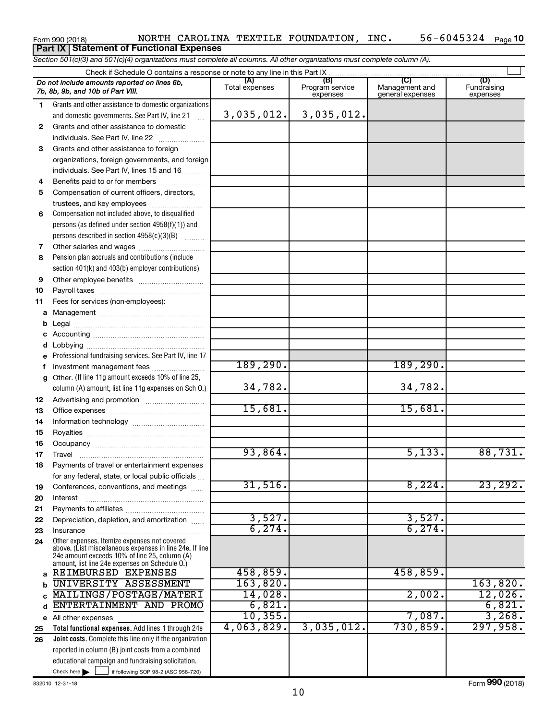#### Form 990 (2018) Page NORTH CAROLINA TEXTILE FOUNDATION, INC. 56-6045324 56-6045324 Page 10 **Part IX Statement of Functional Expenses**

*Section 501(c)(3) and 501(c)(4) organizations must complete all columns. All other organizations must complete column (A).*

|              | Do not include amounts reported on lines 6b,<br>7b, 8b, 9b, and 10b of Part VIII.                         | (A)<br>Total expenses | (B)<br>Program service<br>expenses | (C)<br>Management and<br>general expenses | (D)<br>Fundraising<br>expenses |
|--------------|-----------------------------------------------------------------------------------------------------------|-----------------------|------------------------------------|-------------------------------------------|--------------------------------|
| 1.           | Grants and other assistance to domestic organizations                                                     |                       |                                    |                                           |                                |
|              | and domestic governments. See Part IV, line 21                                                            | 3,035,012.]           | 3,035,012.                         |                                           |                                |
| $\mathbf{2}$ | Grants and other assistance to domestic                                                                   |                       |                                    |                                           |                                |
|              | individuals. See Part IV, line 22                                                                         |                       |                                    |                                           |                                |
| 3            | Grants and other assistance to foreign                                                                    |                       |                                    |                                           |                                |
|              | organizations, foreign governments, and foreign                                                           |                       |                                    |                                           |                                |
|              | individuals. See Part IV, lines 15 and 16                                                                 |                       |                                    |                                           |                                |
| 4            | Benefits paid to or for members                                                                           |                       |                                    |                                           |                                |
| 5            | Compensation of current officers, directors,                                                              |                       |                                    |                                           |                                |
|              | trustees, and key employees                                                                               |                       |                                    |                                           |                                |
| 6            | Compensation not included above, to disqualified                                                          |                       |                                    |                                           |                                |
|              | persons (as defined under section $4958(f)(1)$ ) and                                                      |                       |                                    |                                           |                                |
|              | persons described in section 4958(c)(3)(B)                                                                |                       |                                    |                                           |                                |
| 7            |                                                                                                           |                       |                                    |                                           |                                |
| 8            | Pension plan accruals and contributions (include                                                          |                       |                                    |                                           |                                |
|              | section 401(k) and 403(b) employer contributions)                                                         |                       |                                    |                                           |                                |
| 9            | Other employee benefits                                                                                   |                       |                                    |                                           |                                |
| 10           |                                                                                                           |                       |                                    |                                           |                                |
| 11           | Fees for services (non-employees):                                                                        |                       |                                    |                                           |                                |
| a            |                                                                                                           |                       |                                    |                                           |                                |
| b            |                                                                                                           |                       |                                    |                                           |                                |
| с            |                                                                                                           |                       |                                    |                                           |                                |
| d            |                                                                                                           |                       |                                    |                                           |                                |
|              | Professional fundraising services. See Part IV, line 17                                                   |                       |                                    |                                           |                                |
| f            | Investment management fees                                                                                | 189, 290.             |                                    | 189, 290.                                 |                                |
| g            | Other. (If line 11g amount exceeds 10% of line 25,                                                        | 34,782.               |                                    |                                           |                                |
|              | column (A) amount, list line 11g expenses on Sch 0.)                                                      |                       |                                    | 34,782.                                   |                                |
| 12           |                                                                                                           | 15,681.               |                                    | 15,681.                                   |                                |
| 13           |                                                                                                           |                       |                                    |                                           |                                |
| 14<br>15     |                                                                                                           |                       |                                    |                                           |                                |
| 16           |                                                                                                           |                       |                                    |                                           |                                |
| 17           | Travel                                                                                                    | 93,864.               |                                    | 5,133.                                    | 88,731.                        |
| 18           | Payments of travel or entertainment expenses                                                              |                       |                                    |                                           |                                |
|              | for any federal, state, or local public officials                                                         |                       |                                    |                                           |                                |
| 19           | Conferences, conventions, and meetings                                                                    | 31,516.               |                                    | 8,224.                                    | 23, 292.                       |
| 20           | Interest                                                                                                  |                       |                                    |                                           |                                |
| 21           |                                                                                                           |                       |                                    |                                           |                                |
| 22           | Depreciation, depletion, and amortization                                                                 | 3,527.                |                                    | 3,527.                                    |                                |
| 23           | Insurance                                                                                                 | 6, 274.               |                                    | 6, 274.                                   |                                |
| 24           | Other expenses. Itemize expenses not covered                                                              |                       |                                    |                                           |                                |
|              | above. (List miscellaneous expenses in line 24e. If line<br>24e amount exceeds 10% of line 25, column (A) |                       |                                    |                                           |                                |
|              | amount, list line 24e expenses on Schedule O.)                                                            |                       |                                    |                                           |                                |
| a            | REIMBURSED EXPENSES                                                                                       | 458,859.              |                                    | 458,859.                                  |                                |
| b            | UNIVERSITY ASSESSMENT                                                                                     | 163,820.              |                                    |                                           | 163,820.                       |
| C            | MAILINGS/POSTAGE/MATERI                                                                                   | 14,028.               |                                    | 2,002.                                    | 12,026.                        |
| d            | ENTERTAINMENT AND PROMO                                                                                   | 6,821.                |                                    |                                           | 6,821.                         |
|              | e All other expenses                                                                                      | 10, 355.              |                                    | 7,087.                                    | 3,268.                         |
| 25           | Total functional expenses. Add lines 1 through 24e                                                        | 4,063,829.            | 3,035,012.                         | 730,859.                                  | 297,958.                       |
| 26           | Joint costs. Complete this line only if the organization                                                  |                       |                                    |                                           |                                |
|              | reported in column (B) joint costs from a combined                                                        |                       |                                    |                                           |                                |
|              | educational campaign and fundraising solicitation.                                                        |                       |                                    |                                           |                                |
|              | Check here $\blacktriangleright$<br>if following SOP 98-2 (ASC 958-720)                                   |                       |                                    |                                           |                                |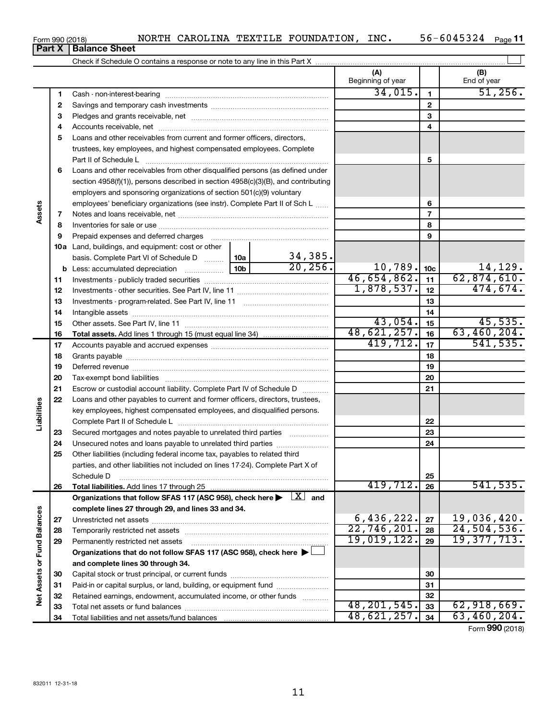56-6045324 Page 11

#### Form 990 (2018) Page NORTH CAROLINA TEXTILE FOUNDATION, INC. 56-6045324 **Part X** | Balance Sheet

|                             |          |                                                                                                                              |                 |                     | (A)<br>Beginning of year |                 | (B)<br>End of year            |
|-----------------------------|----------|------------------------------------------------------------------------------------------------------------------------------|-----------------|---------------------|--------------------------|-----------------|-------------------------------|
|                             | 1        |                                                                                                                              |                 |                     | 34,015.                  | 1               | 51,256.                       |
|                             | 2        |                                                                                                                              |                 |                     |                          | $\mathbf{2}$    |                               |
|                             | з        |                                                                                                                              |                 |                     |                          | 3               |                               |
|                             | 4        |                                                                                                                              |                 |                     |                          | 4               |                               |
|                             | 5        | Loans and other receivables from current and former officers, directors,                                                     |                 |                     |                          |                 |                               |
|                             |          | trustees, key employees, and highest compensated employees. Complete                                                         |                 |                     |                          |                 |                               |
|                             |          | Part II of Schedule L                                                                                                        |                 |                     |                          | 5               |                               |
|                             | 6        | Loans and other receivables from other disqualified persons (as defined under                                                |                 |                     |                          |                 |                               |
|                             |          | section 4958(f)(1)), persons described in section 4958(c)(3)(B), and contributing                                            |                 |                     |                          |                 |                               |
|                             |          | employers and sponsoring organizations of section 501(c)(9) voluntary                                                        |                 |                     |                          |                 |                               |
|                             |          | employees' beneficiary organizations (see instr). Complete Part II of Sch L                                                  |                 |                     |                          | 6               |                               |
| Assets                      | 7        |                                                                                                                              |                 |                     |                          | $\overline{7}$  |                               |
|                             | 8        |                                                                                                                              |                 |                     |                          | 8               |                               |
|                             | 9        | Prepaid expenses and deferred charges                                                                                        |                 |                     |                          | 9               |                               |
|                             |          | <b>10a</b> Land, buildings, and equipment: cost or other                                                                     |                 |                     |                          |                 |                               |
|                             |          | basis. Complete Part VI of Schedule D  10a                                                                                   |                 | 34,385.<br>20, 256. |                          |                 |                               |
|                             | b        | Less: accumulated depreciation                                                                                               | 10 <sub>b</sub> |                     | 10,789.<br>46,654,862.   | 10 <sub>c</sub> | $\frac{14,129}{62,874,610}$ . |
|                             | 11       |                                                                                                                              | 1,878,537.      | 11                  | 474,674.                 |                 |                               |
|                             | 12       |                                                                                                                              |                 | 12                  |                          |                 |                               |
|                             | 13       |                                                                                                                              |                 |                     | 13                       |                 |                               |
|                             | 14       |                                                                                                                              |                 |                     | 43,054.                  | 14              | 45,535.                       |
|                             | 15       |                                                                                                                              |                 |                     | 48,621,257.              | 15<br>16        | 63,460,204.                   |
|                             | 16<br>17 |                                                                                                                              |                 |                     | 419,712.                 | 17              | 541, 535.                     |
|                             | 18       |                                                                                                                              |                 | 18                  |                          |                 |                               |
|                             | 19       |                                                                                                                              |                 | 19                  |                          |                 |                               |
|                             | 20       |                                                                                                                              |                 | 20                  |                          |                 |                               |
|                             | 21       | Escrow or custodial account liability. Complete Part IV of Schedule D                                                        |                 |                     |                          | 21              |                               |
|                             | 22       | Loans and other payables to current and former officers, directors, trustees,                                                |                 |                     |                          |                 |                               |
| Liabilities                 |          | key employees, highest compensated employees, and disqualified persons.                                                      |                 |                     |                          |                 |                               |
|                             |          |                                                                                                                              |                 |                     |                          | 22              |                               |
|                             | 23       | Secured mortgages and notes payable to unrelated third parties                                                               |                 |                     |                          | 23              |                               |
|                             | 24       | Unsecured notes and loans payable to unrelated third parties                                                                 |                 |                     |                          | 24              |                               |
|                             | 25       | Other liabilities (including federal income tax, payables to related third                                                   |                 |                     |                          |                 |                               |
|                             |          | parties, and other liabilities not included on lines 17-24). Complete Part X of                                              |                 |                     |                          |                 |                               |
|                             |          | Schedule D                                                                                                                   |                 |                     |                          | 25              |                               |
|                             | 26       | Total liabilities. Add lines 17 through 25                                                                                   |                 |                     | 419,712.                 | 26              | 541, 535.                     |
|                             |          | Organizations that follow SFAS 117 (ASC 958), check here $\blacktriangleright \begin{array}{c} \boxed{X} \\ \end{array}$ and |                 |                     |                          |                 |                               |
|                             |          | complete lines 27 through 29, and lines 33 and 34.                                                                           |                 |                     |                          |                 |                               |
|                             | 27       |                                                                                                                              |                 |                     | 6,436,222.               | 27              | 19,036,420.                   |
|                             | 28       |                                                                                                                              |                 |                     | 22,746,201.              | 28              | 24, 504, 536.<br>19,377,713.  |
|                             | 29       | Permanently restricted net assets                                                                                            |                 |                     | 19,019,122.              | 29              |                               |
|                             |          | Organizations that do not follow SFAS 117 (ASC 958), check here $\blacktriangleright$                                        |                 |                     |                          |                 |                               |
| Net Assets or Fund Balances |          | and complete lines 30 through 34.                                                                                            |                 |                     |                          |                 |                               |
|                             | 30       |                                                                                                                              |                 |                     |                          | 30              |                               |
|                             | 31       | Paid-in or capital surplus, or land, building, or equipment fund                                                             |                 |                     |                          | 31              |                               |
|                             | 32       | Retained earnings, endowment, accumulated income, or other funds                                                             |                 |                     | 48, 201, 545.            | 32<br>33        | 62,918,669.                   |
|                             | 33       |                                                                                                                              |                 |                     | 48,621,257.              | 34              | 63,460,204.                   |
|                             | 34       |                                                                                                                              |                 |                     |                          |                 | $000 \text{ days}$            |

Form (2018) **990**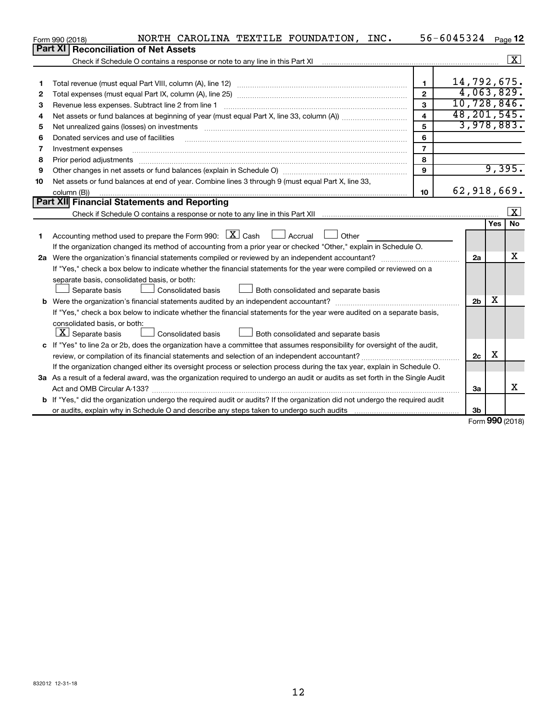|    | NORTH CAROLINA TEXTILE FOUNDATION, INC.<br>Form 990 (2018)                                                                          |                         | 56-6045324 Page 12 |                |                         |
|----|-------------------------------------------------------------------------------------------------------------------------------------|-------------------------|--------------------|----------------|-------------------------|
|    | <b>Reconciliation of Net Assets</b><br><b>Part XI</b>                                                                               |                         |                    |                |                         |
|    |                                                                                                                                     |                         |                    |                | $\boxed{\text{X}}$      |
|    |                                                                                                                                     |                         |                    |                |                         |
| 1  |                                                                                                                                     | 1                       |                    |                | 14,792,675.             |
| 2  |                                                                                                                                     | $\overline{2}$          |                    |                | 4,063,829.              |
| 3  | Revenue less expenses. Subtract line 2 from line 1                                                                                  | $\mathbf{a}$            |                    |                | 10,728,846.             |
| 4  |                                                                                                                                     | $\overline{\mathbf{A}}$ |                    |                | 48, 201, 545.           |
| 5  |                                                                                                                                     | 5                       |                    |                | 3,978,883.              |
| 6  | Donated services and use of facilities                                                                                              | 6                       |                    |                |                         |
| 7  | Investment expenses                                                                                                                 | $\overline{7}$          |                    |                |                         |
| 8  | Prior period adjustments                                                                                                            | 8                       |                    |                |                         |
| 9  |                                                                                                                                     | 9                       |                    |                | 9,395.                  |
| 10 | Net assets or fund balances at end of year. Combine lines 3 through 9 (must equal Part X, line 33,                                  |                         |                    |                |                         |
|    | column (B))                                                                                                                         | 10                      |                    |                | 62,918,669.             |
|    | Part XII Financial Statements and Reporting                                                                                         |                         |                    |                |                         |
|    |                                                                                                                                     |                         |                    |                | $\overline{\mathbf{x}}$ |
|    |                                                                                                                                     |                         |                    |                | <b>Yes</b><br>No        |
| 1  | Accounting method used to prepare the Form 990: $\boxed{\textbf{X}}$ Cash $\boxed{\phantom{1}}$ Accrual $\boxed{\phantom{1}}$ Other |                         |                    |                |                         |
|    | If the organization changed its method of accounting from a prior year or checked "Other," explain in Schedule O.                   |                         |                    |                |                         |
|    | 2a Were the organization's financial statements compiled or reviewed by an independent accountant?                                  |                         |                    | 2a             | x                       |
|    | If "Yes," check a box below to indicate whether the financial statements for the year were compiled or reviewed on a                |                         |                    |                |                         |
|    | separate basis, consolidated basis, or both:                                                                                        |                         |                    |                |                         |
|    | Separate basis<br>Consolidated basis<br>Both consolidated and separate basis                                                        |                         |                    |                |                         |
|    |                                                                                                                                     |                         |                    | 2 <sub>b</sub> | X                       |
|    | If "Yes," check a box below to indicate whether the financial statements for the year were audited on a separate basis,             |                         |                    |                |                         |
|    | consolidated basis, or both:                                                                                                        |                         |                    |                |                         |
|    | $\lfloor \underline{X} \rfloor$ Separate basis<br><b>Consolidated basis</b><br>Both consolidated and separate basis                 |                         |                    |                |                         |
|    | c If "Yes" to line 2a or 2b, does the organization have a committee that assumes responsibility for oversight of the audit,         |                         |                    |                |                         |
|    |                                                                                                                                     |                         |                    | 2c             | х                       |
|    | If the organization changed either its oversight process or selection process during the tax year, explain in Schedule O.           |                         |                    |                |                         |
|    | 3a As a result of a federal award, was the organization required to undergo an audit or audits as set forth in the Single Audit     |                         |                    |                |                         |
|    |                                                                                                                                     |                         |                    | За             | X                       |
|    | b If "Yes," did the organization undergo the required audit or audits? If the organization did not undergo the required audit       |                         |                    |                |                         |
|    |                                                                                                                                     |                         |                    | 3 <sub>b</sub> |                         |

Form (2018) **990**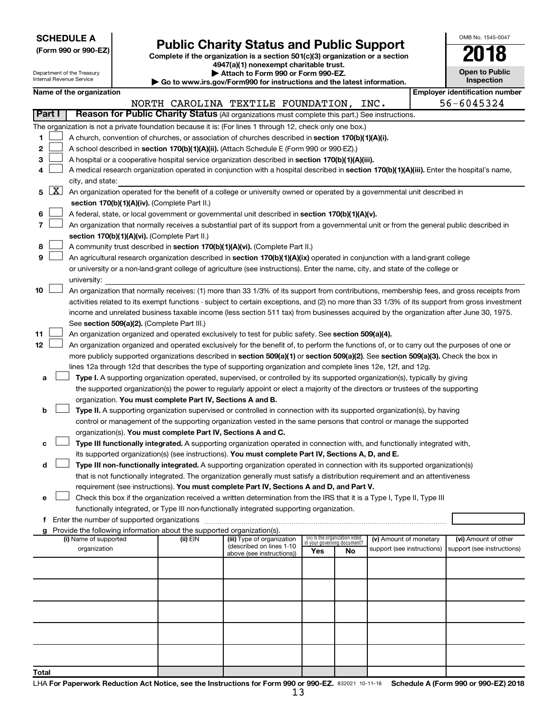| <b>SCHEDULE A</b> |  |
|-------------------|--|
|-------------------|--|

Department of the Treasury Internal Revenue Service

**Total**

Form 990 or 990-EZ)<br>
Complete if the organization is a section 501(c)(3) organization or a section<br> **Public Charity Status and Public Support** 

**4947(a)(1) nonexempt charitable trust. | Attach to Form 990 or Form 990-EZ.** 

**| Go to www.irs.gov/Form990 for instructions and the latest information.**

| OMB No. 1545-0047                   |
|-------------------------------------|
| N 18                                |
| <b>Open to Public</b><br>Inspection |
|                                     |

|        |            | Name of the organization                                                                                                                      |          |                                                        |                                 |    |                                                      | <b>Employer identification number</b>              |
|--------|------------|-----------------------------------------------------------------------------------------------------------------------------------------------|----------|--------------------------------------------------------|---------------------------------|----|------------------------------------------------------|----------------------------------------------------|
|        |            |                                                                                                                                               |          | NORTH CAROLINA TEXTILE FOUNDATION, INC.                |                                 |    |                                                      | 56-6045324                                         |
| Part I |            | Reason for Public Charity Status (All organizations must complete this part.) See instructions.                                               |          |                                                        |                                 |    |                                                      |                                                    |
|        |            | The organization is not a private foundation because it is: (For lines 1 through 12, check only one box.)                                     |          |                                                        |                                 |    |                                                      |                                                    |
| 1.     |            | A church, convention of churches, or association of churches described in section 170(b)(1)(A)(i).                                            |          |                                                        |                                 |    |                                                      |                                                    |
| 2      |            | A school described in section 170(b)(1)(A)(ii). (Attach Schedule E (Form 990 or 990-EZ).)                                                     |          |                                                        |                                 |    |                                                      |                                                    |
|        |            |                                                                                                                                               |          |                                                        |                                 |    |                                                      |                                                    |
| 3      |            | A hospital or a cooperative hospital service organization described in section 170(b)(1)(A)(iii).                                             |          |                                                        |                                 |    |                                                      |                                                    |
| 4      |            | A medical research organization operated in conjunction with a hospital described in section 170(b)(1)(A)(iii). Enter the hospital's name,    |          |                                                        |                                 |    |                                                      |                                                    |
|        | $5 \mid X$ | city, and state:<br>An organization operated for the benefit of a college or university owned or operated by a governmental unit described in |          |                                                        |                                 |    |                                                      |                                                    |
|        |            |                                                                                                                                               |          |                                                        |                                 |    |                                                      |                                                    |
|        |            | section 170(b)(1)(A)(iv). (Complete Part II.)                                                                                                 |          |                                                        |                                 |    |                                                      |                                                    |
| 6      |            | A federal, state, or local government or governmental unit described in section 170(b)(1)(A)(v).                                              |          |                                                        |                                 |    |                                                      |                                                    |
| 7      |            | An organization that normally receives a substantial part of its support from a governmental unit or from the general public described in     |          |                                                        |                                 |    |                                                      |                                                    |
|        |            | section 170(b)(1)(A)(vi). (Complete Part II.)                                                                                                 |          |                                                        |                                 |    |                                                      |                                                    |
| 8      |            | A community trust described in section 170(b)(1)(A)(vi). (Complete Part II.)                                                                  |          |                                                        |                                 |    |                                                      |                                                    |
| 9      |            | An agricultural research organization described in section 170(b)(1)(A)(ix) operated in conjunction with a land-grant college                 |          |                                                        |                                 |    |                                                      |                                                    |
|        |            | or university or a non-land-grant college of agriculture (see instructions). Enter the name, city, and state of the college or                |          |                                                        |                                 |    |                                                      |                                                    |
|        |            | university:                                                                                                                                   |          |                                                        |                                 |    |                                                      |                                                    |
| 10     |            | An organization that normally receives: (1) more than 33 1/3% of its support from contributions, membership fees, and gross receipts from     |          |                                                        |                                 |    |                                                      |                                                    |
|        |            | activities related to its exempt functions - subject to certain exceptions, and (2) no more than 33 1/3% of its support from gross investment |          |                                                        |                                 |    |                                                      |                                                    |
|        |            | income and unrelated business taxable income (less section 511 tax) from businesses acquired by the organization after June 30, 1975.         |          |                                                        |                                 |    |                                                      |                                                    |
|        |            | See section 509(a)(2). (Complete Part III.)                                                                                                   |          |                                                        |                                 |    |                                                      |                                                    |
| 11     |            | An organization organized and operated exclusively to test for public safety. See section 509(a)(4).                                          |          |                                                        |                                 |    |                                                      |                                                    |
| 12     |            | An organization organized and operated exclusively for the benefit of, to perform the functions of, or to carry out the purposes of one or    |          |                                                        |                                 |    |                                                      |                                                    |
|        |            | more publicly supported organizations described in section 509(a)(1) or section 509(a)(2). See section 509(a)(3). Check the box in            |          |                                                        |                                 |    |                                                      |                                                    |
|        |            | lines 12a through 12d that describes the type of supporting organization and complete lines 12e, 12f, and 12g.                                |          |                                                        |                                 |    |                                                      |                                                    |
| а      |            | Type I. A supporting organization operated, supervised, or controlled by its supported organization(s), typically by giving                   |          |                                                        |                                 |    |                                                      |                                                    |
|        |            | the supported organization(s) the power to regularly appoint or elect a majority of the directors or trustees of the supporting               |          |                                                        |                                 |    |                                                      |                                                    |
|        |            | organization. You must complete Part IV, Sections A and B.                                                                                    |          |                                                        |                                 |    |                                                      |                                                    |
| b      |            | Type II. A supporting organization supervised or controlled in connection with its supported organization(s), by having                       |          |                                                        |                                 |    |                                                      |                                                    |
|        |            | control or management of the supporting organization vested in the same persons that control or manage the supported                          |          |                                                        |                                 |    |                                                      |                                                    |
|        |            | organization(s). You must complete Part IV, Sections A and C.                                                                                 |          |                                                        |                                 |    |                                                      |                                                    |
| с      |            | Type III functionally integrated. A supporting organization operated in connection with, and functionally integrated with,                    |          |                                                        |                                 |    |                                                      |                                                    |
|        |            | its supported organization(s) (see instructions). You must complete Part IV, Sections A, D, and E.                                            |          |                                                        |                                 |    |                                                      |                                                    |
| d      |            | Type III non-functionally integrated. A supporting organization operated in connection with its supported organization(s)                     |          |                                                        |                                 |    |                                                      |                                                    |
|        |            | that is not functionally integrated. The organization generally must satisfy a distribution requirement and an attentiveness                  |          |                                                        |                                 |    |                                                      |                                                    |
|        |            | requirement (see instructions). You must complete Part IV, Sections A and D, and Part V.                                                      |          |                                                        |                                 |    |                                                      |                                                    |
| е      |            | Check this box if the organization received a written determination from the IRS that it is a Type I, Type II, Type III                       |          |                                                        |                                 |    |                                                      |                                                    |
|        |            | functionally integrated, or Type III non-functionally integrated supporting organization.                                                     |          |                                                        |                                 |    |                                                      |                                                    |
| f.     |            | Enter the number of supported organizations                                                                                                   |          |                                                        |                                 |    |                                                      |                                                    |
| g      |            | Provide the following information about the supported organization(s).                                                                        |          |                                                        | (iv) Is the organization listed |    |                                                      |                                                    |
|        |            | (i) Name of supported<br>organization                                                                                                         | (ii) EIN | (iii) Type of organization<br>(described on lines 1-10 | in your governing document?     |    | (v) Amount of monetary<br>support (see instructions) | (vi) Amount of other<br>support (see instructions) |
|        |            |                                                                                                                                               |          | above (see instructions))                              | Yes                             | No |                                                      |                                                    |
|        |            |                                                                                                                                               |          |                                                        |                                 |    |                                                      |                                                    |
|        |            |                                                                                                                                               |          |                                                        |                                 |    |                                                      |                                                    |
|        |            |                                                                                                                                               |          |                                                        |                                 |    |                                                      |                                                    |
|        |            |                                                                                                                                               |          |                                                        |                                 |    |                                                      |                                                    |
|        |            |                                                                                                                                               |          |                                                        |                                 |    |                                                      |                                                    |
|        |            |                                                                                                                                               |          |                                                        |                                 |    |                                                      |                                                    |
|        |            |                                                                                                                                               |          |                                                        |                                 |    |                                                      |                                                    |
|        |            |                                                                                                                                               |          |                                                        |                                 |    |                                                      |                                                    |
|        |            |                                                                                                                                               |          |                                                        |                                 |    |                                                      |                                                    |
|        |            |                                                                                                                                               |          |                                                        |                                 |    |                                                      |                                                    |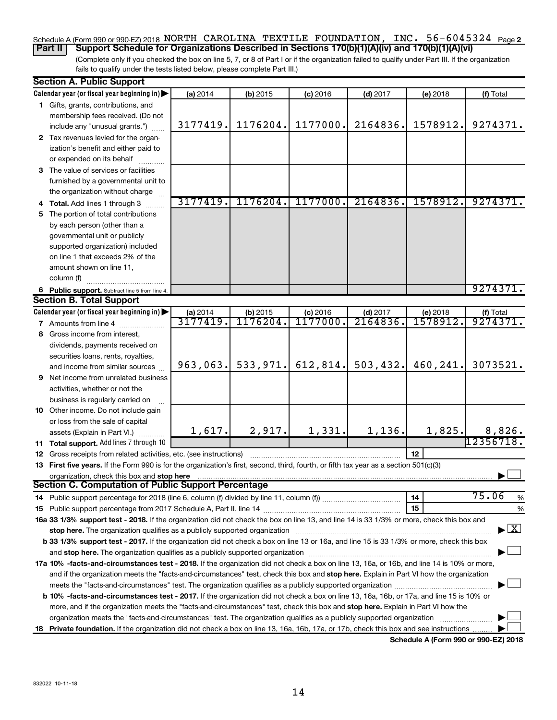#### Schedule A (Form 990 or 990-EZ) 2018 NORTH CAROLINA TEXTILE FOUNDATION, INC. 56-6045324 <sub>Page 2</sub> **Part II Support Schedule for Organizations Described in Sections 170(b)(1)(A)(iv) and 170(b)(1)(A)(vi)**

(Complete only if you checked the box on line 5, 7, or 8 of Part I or if the organization failed to qualify under Part III. If the organization fails to qualify under the tests listed below, please complete Part III.)

| Calendar year (or fiscal year beginning in)<br>(a) 2014<br>$(b)$ 2015<br>$(c)$ 2016<br>$(d)$ 2017<br>(e) 2018<br>1 Gifts, grants, contributions, and<br>membership fees received. (Do not<br>1176204.<br>1177000.<br>3177419.<br>2164836.<br>1578912.<br>include any "unusual grants.")<br>2 Tax revenues levied for the organ-<br>ization's benefit and either paid to<br>or expended on its behalf<br>3 The value of services or facilities<br>furnished by a governmental unit to<br>the organization without charge<br>3177419.<br>1176204.<br>1177000.<br>2164836.<br>1578912.<br>4 Total. Add lines 1 through 3<br>5 The portion of total contributions<br>by each person (other than a<br>governmental unit or publicly<br>supported organization) included<br>on line 1 that exceeds 2% of the<br>amount shown on line 11,<br>column (f)<br>6 Public support. Subtract line 5 from line 4.<br><b>Section B. Total Support</b><br>Calendar year (or fiscal year beginning in)<br>(a) 2014<br>(b) 2015<br>$(c)$ 2016<br>$(d)$ 2017<br>(e) 2018<br>3177419.<br>1176204<br>1177000.<br>2164836<br>1578912.<br>7 Amounts from line 4<br>8 Gross income from interest,<br>dividends, payments received on<br>securities loans, rents, royalties,<br>533, 971.<br>612,814.<br>503,432.<br>460,241.<br>963,063.<br>and income from similar sources<br><b>9</b> Net income from unrelated business<br>activities, whether or not the | (f) Total<br>9274371.<br>9274371.<br>9274371<br>$($ f) Total<br>9274371 |
|-------------------------------------------------------------------------------------------------------------------------------------------------------------------------------------------------------------------------------------------------------------------------------------------------------------------------------------------------------------------------------------------------------------------------------------------------------------------------------------------------------------------------------------------------------------------------------------------------------------------------------------------------------------------------------------------------------------------------------------------------------------------------------------------------------------------------------------------------------------------------------------------------------------------------------------------------------------------------------------------------------------------------------------------------------------------------------------------------------------------------------------------------------------------------------------------------------------------------------------------------------------------------------------------------------------------------------------------------------------------------------------------------------------------------------------|-------------------------------------------------------------------------|
|                                                                                                                                                                                                                                                                                                                                                                                                                                                                                                                                                                                                                                                                                                                                                                                                                                                                                                                                                                                                                                                                                                                                                                                                                                                                                                                                                                                                                                     |                                                                         |
|                                                                                                                                                                                                                                                                                                                                                                                                                                                                                                                                                                                                                                                                                                                                                                                                                                                                                                                                                                                                                                                                                                                                                                                                                                                                                                                                                                                                                                     |                                                                         |
|                                                                                                                                                                                                                                                                                                                                                                                                                                                                                                                                                                                                                                                                                                                                                                                                                                                                                                                                                                                                                                                                                                                                                                                                                                                                                                                                                                                                                                     |                                                                         |
|                                                                                                                                                                                                                                                                                                                                                                                                                                                                                                                                                                                                                                                                                                                                                                                                                                                                                                                                                                                                                                                                                                                                                                                                                                                                                                                                                                                                                                     |                                                                         |
|                                                                                                                                                                                                                                                                                                                                                                                                                                                                                                                                                                                                                                                                                                                                                                                                                                                                                                                                                                                                                                                                                                                                                                                                                                                                                                                                                                                                                                     |                                                                         |
|                                                                                                                                                                                                                                                                                                                                                                                                                                                                                                                                                                                                                                                                                                                                                                                                                                                                                                                                                                                                                                                                                                                                                                                                                                                                                                                                                                                                                                     |                                                                         |
|                                                                                                                                                                                                                                                                                                                                                                                                                                                                                                                                                                                                                                                                                                                                                                                                                                                                                                                                                                                                                                                                                                                                                                                                                                                                                                                                                                                                                                     |                                                                         |
|                                                                                                                                                                                                                                                                                                                                                                                                                                                                                                                                                                                                                                                                                                                                                                                                                                                                                                                                                                                                                                                                                                                                                                                                                                                                                                                                                                                                                                     |                                                                         |
|                                                                                                                                                                                                                                                                                                                                                                                                                                                                                                                                                                                                                                                                                                                                                                                                                                                                                                                                                                                                                                                                                                                                                                                                                                                                                                                                                                                                                                     |                                                                         |
|                                                                                                                                                                                                                                                                                                                                                                                                                                                                                                                                                                                                                                                                                                                                                                                                                                                                                                                                                                                                                                                                                                                                                                                                                                                                                                                                                                                                                                     |                                                                         |
|                                                                                                                                                                                                                                                                                                                                                                                                                                                                                                                                                                                                                                                                                                                                                                                                                                                                                                                                                                                                                                                                                                                                                                                                                                                                                                                                                                                                                                     |                                                                         |
|                                                                                                                                                                                                                                                                                                                                                                                                                                                                                                                                                                                                                                                                                                                                                                                                                                                                                                                                                                                                                                                                                                                                                                                                                                                                                                                                                                                                                                     |                                                                         |
|                                                                                                                                                                                                                                                                                                                                                                                                                                                                                                                                                                                                                                                                                                                                                                                                                                                                                                                                                                                                                                                                                                                                                                                                                                                                                                                                                                                                                                     |                                                                         |
|                                                                                                                                                                                                                                                                                                                                                                                                                                                                                                                                                                                                                                                                                                                                                                                                                                                                                                                                                                                                                                                                                                                                                                                                                                                                                                                                                                                                                                     |                                                                         |
|                                                                                                                                                                                                                                                                                                                                                                                                                                                                                                                                                                                                                                                                                                                                                                                                                                                                                                                                                                                                                                                                                                                                                                                                                                                                                                                                                                                                                                     |                                                                         |
|                                                                                                                                                                                                                                                                                                                                                                                                                                                                                                                                                                                                                                                                                                                                                                                                                                                                                                                                                                                                                                                                                                                                                                                                                                                                                                                                                                                                                                     |                                                                         |
|                                                                                                                                                                                                                                                                                                                                                                                                                                                                                                                                                                                                                                                                                                                                                                                                                                                                                                                                                                                                                                                                                                                                                                                                                                                                                                                                                                                                                                     |                                                                         |
|                                                                                                                                                                                                                                                                                                                                                                                                                                                                                                                                                                                                                                                                                                                                                                                                                                                                                                                                                                                                                                                                                                                                                                                                                                                                                                                                                                                                                                     |                                                                         |
|                                                                                                                                                                                                                                                                                                                                                                                                                                                                                                                                                                                                                                                                                                                                                                                                                                                                                                                                                                                                                                                                                                                                                                                                                                                                                                                                                                                                                                     |                                                                         |
|                                                                                                                                                                                                                                                                                                                                                                                                                                                                                                                                                                                                                                                                                                                                                                                                                                                                                                                                                                                                                                                                                                                                                                                                                                                                                                                                                                                                                                     |                                                                         |
|                                                                                                                                                                                                                                                                                                                                                                                                                                                                                                                                                                                                                                                                                                                                                                                                                                                                                                                                                                                                                                                                                                                                                                                                                                                                                                                                                                                                                                     |                                                                         |
|                                                                                                                                                                                                                                                                                                                                                                                                                                                                                                                                                                                                                                                                                                                                                                                                                                                                                                                                                                                                                                                                                                                                                                                                                                                                                                                                                                                                                                     |                                                                         |
|                                                                                                                                                                                                                                                                                                                                                                                                                                                                                                                                                                                                                                                                                                                                                                                                                                                                                                                                                                                                                                                                                                                                                                                                                                                                                                                                                                                                                                     |                                                                         |
|                                                                                                                                                                                                                                                                                                                                                                                                                                                                                                                                                                                                                                                                                                                                                                                                                                                                                                                                                                                                                                                                                                                                                                                                                                                                                                                                                                                                                                     |                                                                         |
|                                                                                                                                                                                                                                                                                                                                                                                                                                                                                                                                                                                                                                                                                                                                                                                                                                                                                                                                                                                                                                                                                                                                                                                                                                                                                                                                                                                                                                     |                                                                         |
|                                                                                                                                                                                                                                                                                                                                                                                                                                                                                                                                                                                                                                                                                                                                                                                                                                                                                                                                                                                                                                                                                                                                                                                                                                                                                                                                                                                                                                     | 3073521.                                                                |
|                                                                                                                                                                                                                                                                                                                                                                                                                                                                                                                                                                                                                                                                                                                                                                                                                                                                                                                                                                                                                                                                                                                                                                                                                                                                                                                                                                                                                                     |                                                                         |
|                                                                                                                                                                                                                                                                                                                                                                                                                                                                                                                                                                                                                                                                                                                                                                                                                                                                                                                                                                                                                                                                                                                                                                                                                                                                                                                                                                                                                                     |                                                                         |
| business is regularly carried on                                                                                                                                                                                                                                                                                                                                                                                                                                                                                                                                                                                                                                                                                                                                                                                                                                                                                                                                                                                                                                                                                                                                                                                                                                                                                                                                                                                                    |                                                                         |
| 10 Other income. Do not include gain                                                                                                                                                                                                                                                                                                                                                                                                                                                                                                                                                                                                                                                                                                                                                                                                                                                                                                                                                                                                                                                                                                                                                                                                                                                                                                                                                                                                |                                                                         |
| or loss from the sale of capital                                                                                                                                                                                                                                                                                                                                                                                                                                                                                                                                                                                                                                                                                                                                                                                                                                                                                                                                                                                                                                                                                                                                                                                                                                                                                                                                                                                                    |                                                                         |
| 2,917.<br>1,617.<br>1,331.<br>1,136.<br>1,825.<br>assets (Explain in Part VI.)                                                                                                                                                                                                                                                                                                                                                                                                                                                                                                                                                                                                                                                                                                                                                                                                                                                                                                                                                                                                                                                                                                                                                                                                                                                                                                                                                      | 8,826.                                                                  |
| 11 Total support. Add lines 7 through 10                                                                                                                                                                                                                                                                                                                                                                                                                                                                                                                                                                                                                                                                                                                                                                                                                                                                                                                                                                                                                                                                                                                                                                                                                                                                                                                                                                                            | 12356718.                                                               |
| 12<br><b>12</b> Gross receipts from related activities, etc. (see instructions)                                                                                                                                                                                                                                                                                                                                                                                                                                                                                                                                                                                                                                                                                                                                                                                                                                                                                                                                                                                                                                                                                                                                                                                                                                                                                                                                                     |                                                                         |
| 13 First five years. If the Form 990 is for the organization's first, second, third, fourth, or fifth tax year as a section 501(c)(3)                                                                                                                                                                                                                                                                                                                                                                                                                                                                                                                                                                                                                                                                                                                                                                                                                                                                                                                                                                                                                                                                                                                                                                                                                                                                                               |                                                                         |
| organization, check this box and stop here                                                                                                                                                                                                                                                                                                                                                                                                                                                                                                                                                                                                                                                                                                                                                                                                                                                                                                                                                                                                                                                                                                                                                                                                                                                                                                                                                                                          |                                                                         |
| Section C. Computation of Public Support Percentage                                                                                                                                                                                                                                                                                                                                                                                                                                                                                                                                                                                                                                                                                                                                                                                                                                                                                                                                                                                                                                                                                                                                                                                                                                                                                                                                                                                 |                                                                         |
| 75.06<br>14<br>14 Public support percentage for 2018 (line 6, column (f) divided by line 11, column (f) <i>mummumumum</i>                                                                                                                                                                                                                                                                                                                                                                                                                                                                                                                                                                                                                                                                                                                                                                                                                                                                                                                                                                                                                                                                                                                                                                                                                                                                                                           | %                                                                       |
| 15                                                                                                                                                                                                                                                                                                                                                                                                                                                                                                                                                                                                                                                                                                                                                                                                                                                                                                                                                                                                                                                                                                                                                                                                                                                                                                                                                                                                                                  | %                                                                       |
| 16a 33 1/3% support test - 2018. If the organization did not check the box on line 13, and line 14 is 33 1/3% or more, check this box and                                                                                                                                                                                                                                                                                                                                                                                                                                                                                                                                                                                                                                                                                                                                                                                                                                                                                                                                                                                                                                                                                                                                                                                                                                                                                           |                                                                         |
| stop here. The organization qualifies as a publicly supported organization                                                                                                                                                                                                                                                                                                                                                                                                                                                                                                                                                                                                                                                                                                                                                                                                                                                                                                                                                                                                                                                                                                                                                                                                                                                                                                                                                          | $\blacktriangleright$ $\boxed{\text{X}}$                                |
| b 33 1/3% support test - 2017. If the organization did not check a box on line 13 or 16a, and line 15 is 33 1/3% or more, check this box                                                                                                                                                                                                                                                                                                                                                                                                                                                                                                                                                                                                                                                                                                                                                                                                                                                                                                                                                                                                                                                                                                                                                                                                                                                                                            |                                                                         |
|                                                                                                                                                                                                                                                                                                                                                                                                                                                                                                                                                                                                                                                                                                                                                                                                                                                                                                                                                                                                                                                                                                                                                                                                                                                                                                                                                                                                                                     |                                                                         |
| 17a 10% -facts-and-circumstances test - 2018. If the organization did not check a box on line 13, 16a, or 16b, and line 14 is 10% or more,                                                                                                                                                                                                                                                                                                                                                                                                                                                                                                                                                                                                                                                                                                                                                                                                                                                                                                                                                                                                                                                                                                                                                                                                                                                                                          |                                                                         |
| and if the organization meets the "facts-and-circumstances" test, check this box and stop here. Explain in Part VI how the organization                                                                                                                                                                                                                                                                                                                                                                                                                                                                                                                                                                                                                                                                                                                                                                                                                                                                                                                                                                                                                                                                                                                                                                                                                                                                                             |                                                                         |
|                                                                                                                                                                                                                                                                                                                                                                                                                                                                                                                                                                                                                                                                                                                                                                                                                                                                                                                                                                                                                                                                                                                                                                                                                                                                                                                                                                                                                                     |                                                                         |
| b 10% -facts-and-circumstances test - 2017. If the organization did not check a box on line 13, 16a, 16b, or 17a, and line 15 is 10% or                                                                                                                                                                                                                                                                                                                                                                                                                                                                                                                                                                                                                                                                                                                                                                                                                                                                                                                                                                                                                                                                                                                                                                                                                                                                                             |                                                                         |
| more, and if the organization meets the "facts-and-circumstances" test, check this box and stop here. Explain in Part VI how the                                                                                                                                                                                                                                                                                                                                                                                                                                                                                                                                                                                                                                                                                                                                                                                                                                                                                                                                                                                                                                                                                                                                                                                                                                                                                                    |                                                                         |
| organization meets the "facts-and-circumstances" test. The organization qualifies as a publicly supported organization                                                                                                                                                                                                                                                                                                                                                                                                                                                                                                                                                                                                                                                                                                                                                                                                                                                                                                                                                                                                                                                                                                                                                                                                                                                                                                              |                                                                         |
| Private foundation. If the organization did not check a box on line 13, 16a, 16b, 17a, or 17b, check this box and see instructions<br>18                                                                                                                                                                                                                                                                                                                                                                                                                                                                                                                                                                                                                                                                                                                                                                                                                                                                                                                                                                                                                                                                                                                                                                                                                                                                                            |                                                                         |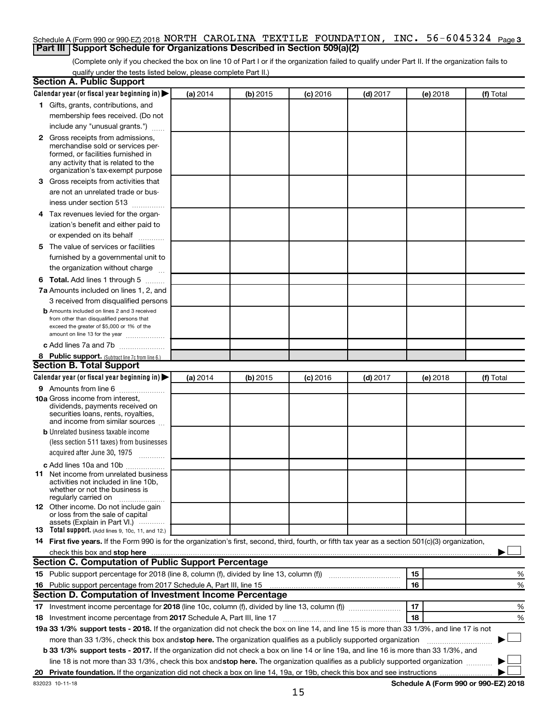#### Schedule A (Form 990 or 990-EZ) 2018 NORTH CAROLINA TEXTILE FOUNDATION, INC. 56-6045324 <sub>Page 3</sub> **Part III Support Schedule for Organizations Described in Section 509(a)(2)**

(Complete only if you checked the box on line 10 of Part I or if the organization failed to qualify under Part II. If the organization fails to qualify under the tests listed below, please complete Part II.)

| <b>Section A. Public Support</b>                                                                                                                    |          |          |            |            |          |           |
|-----------------------------------------------------------------------------------------------------------------------------------------------------|----------|----------|------------|------------|----------|-----------|
| Calendar year (or fiscal year beginning in)                                                                                                         | (a) 2014 | (b) 2015 | $(c)$ 2016 | $(d)$ 2017 | (e) 2018 | (f) Total |
| 1 Gifts, grants, contributions, and                                                                                                                 |          |          |            |            |          |           |
| membership fees received. (Do not                                                                                                                   |          |          |            |            |          |           |
| include any "unusual grants.")                                                                                                                      |          |          |            |            |          |           |
| 2 Gross receipts from admissions,                                                                                                                   |          |          |            |            |          |           |
| merchandise sold or services per-                                                                                                                   |          |          |            |            |          |           |
| formed, or facilities furnished in                                                                                                                  |          |          |            |            |          |           |
| any activity that is related to the<br>organization's tax-exempt purpose                                                                            |          |          |            |            |          |           |
| 3 Gross receipts from activities that                                                                                                               |          |          |            |            |          |           |
| are not an unrelated trade or bus-                                                                                                                  |          |          |            |            |          |           |
| iness under section 513                                                                                                                             |          |          |            |            |          |           |
| 4 Tax revenues levied for the organ-                                                                                                                |          |          |            |            |          |           |
| ization's benefit and either paid to                                                                                                                |          |          |            |            |          |           |
| or expended on its behalf                                                                                                                           |          |          |            |            |          |           |
| 5 The value of services or facilities                                                                                                               |          |          |            |            |          |           |
| furnished by a governmental unit to                                                                                                                 |          |          |            |            |          |           |
| the organization without charge                                                                                                                     |          |          |            |            |          |           |
| <b>6 Total.</b> Add lines 1 through 5                                                                                                               |          |          |            |            |          |           |
| 7a Amounts included on lines 1, 2, and                                                                                                              |          |          |            |            |          |           |
| 3 received from disqualified persons                                                                                                                |          |          |            |            |          |           |
| <b>b</b> Amounts included on lines 2 and 3 received                                                                                                 |          |          |            |            |          |           |
| from other than disqualified persons that                                                                                                           |          |          |            |            |          |           |
| exceed the greater of \$5,000 or 1% of the                                                                                                          |          |          |            |            |          |           |
| amount on line 13 for the year                                                                                                                      |          |          |            |            |          |           |
| c Add lines 7a and 7b                                                                                                                               |          |          |            |            |          |           |
| 8 Public support. (Subtract line 7c from line 6.)                                                                                                   |          |          |            |            |          |           |
| <b>Section B. Total Support</b>                                                                                                                     |          |          |            |            |          |           |
| Calendar year (or fiscal year beginning in)                                                                                                         | (a) 2014 | (b) 2015 | (c) 2016   | $(d)$ 2017 | (e) 2018 | (f) Total |
| <b>9</b> Amounts from line 6                                                                                                                        |          |          |            |            |          |           |
| <b>10a</b> Gross income from interest,<br>dividends, payments received on                                                                           |          |          |            |            |          |           |
| securities loans, rents, royalties,                                                                                                                 |          |          |            |            |          |           |
| and income from similar sources                                                                                                                     |          |          |            |            |          |           |
| <b>b</b> Unrelated business taxable income                                                                                                          |          |          |            |            |          |           |
| (less section 511 taxes) from businesses                                                                                                            |          |          |            |            |          |           |
| acquired after June 30, 1975<br>$\frac{1}{2}$                                                                                                       |          |          |            |            |          |           |
| c Add lines 10a and 10b                                                                                                                             |          |          |            |            |          |           |
| 11 Net income from unrelated business                                                                                                               |          |          |            |            |          |           |
| activities not included in line 10b.<br>whether or not the business is                                                                              |          |          |            |            |          |           |
| regularly carried on                                                                                                                                |          |          |            |            |          |           |
| <b>12</b> Other income. Do not include gain                                                                                                         |          |          |            |            |          |           |
| or loss from the sale of capital<br>assets (Explain in Part VI.)                                                                                    |          |          |            |            |          |           |
| <b>13</b> Total support. (Add lines 9, 10c, 11, and 12.)                                                                                            |          |          |            |            |          |           |
| 14 First five years. If the Form 990 is for the organization's first, second, third, fourth, or fifth tax year as a section 501(c)(3) organization, |          |          |            |            |          |           |
|                                                                                                                                                     |          |          |            |            |          |           |
| Section C. Computation of Public Support Percentage                                                                                                 |          |          |            |            |          |           |
|                                                                                                                                                     |          |          |            |            | 15       | %         |
| 16 Public support percentage from 2017 Schedule A, Part III, line 15                                                                                |          |          |            |            | 16       | %         |
| Section D. Computation of Investment Income Percentage                                                                                              |          |          |            |            |          |           |
|                                                                                                                                                     |          |          |            |            | 17       | %         |
| 18 Investment income percentage from 2017 Schedule A, Part III, line 17                                                                             |          |          |            |            | 18       | %         |
| 19a 33 1/3% support tests - 2018. If the organization did not check the box on line 14, and line 15 is more than 33 1/3%, and line 17 is not        |          |          |            |            |          |           |
| more than 33 1/3%, check this box and stop here. The organization qualifies as a publicly supported organization                                    |          |          |            |            |          |           |
| b 33 1/3% support tests - 2017. If the organization did not check a box on line 14 or line 19a, and line 16 is more than 33 1/3%, and               |          |          |            |            |          |           |
| line 18 is not more than 33 1/3%, check this box and stop here. The organization qualifies as a publicly supported organization                     |          |          |            |            |          |           |
|                                                                                                                                                     |          |          |            |            |          |           |
|                                                                                                                                                     |          |          |            |            |          |           |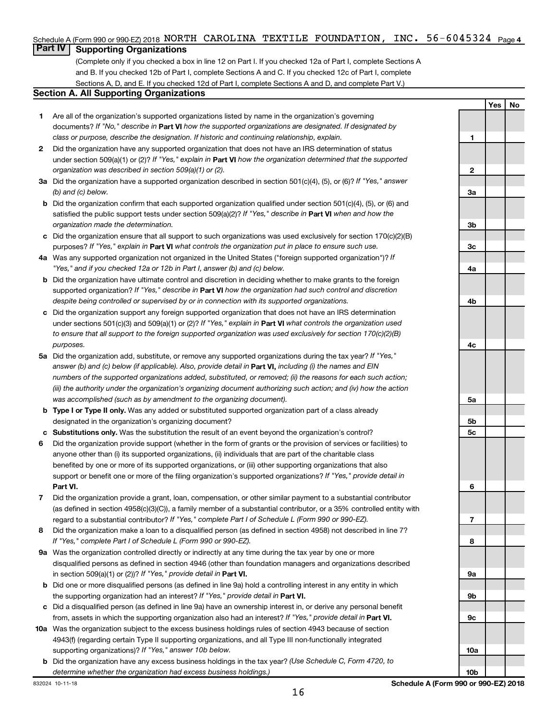### Schedule A (Form 990 or 990-EZ) 2018 NORTH CAROLINA TEXTILE FOUNDATION, INC. 56-6045324 <sub>Page 4</sub>

## **Part IV Supporting Organizations**

(Complete only if you checked a box in line 12 on Part I. If you checked 12a of Part I, complete Sections A and B. If you checked 12b of Part I, complete Sections A and C. If you checked 12c of Part I, complete Sections A, D, and E. If you checked 12d of Part I, complete Sections A and D, and complete Part V.)

#### **Section A. All Supporting Organizations**

- **1** Are all of the organization's supported organizations listed by name in the organization's governing documents? If "No," describe in Part VI how the supported organizations are designated. If designated by *class or purpose, describe the designation. If historic and continuing relationship, explain.*
- **2** Did the organization have any supported organization that does not have an IRS determination of status under section 509(a)(1) or (2)? If "Yes," explain in Part **VI** how the organization determined that the supported *organization was described in section 509(a)(1) or (2).*
- **3a** Did the organization have a supported organization described in section 501(c)(4), (5), or (6)? If "Yes," answer *(b) and (c) below.*
- **b** Did the organization confirm that each supported organization qualified under section 501(c)(4), (5), or (6) and satisfied the public support tests under section 509(a)(2)? If "Yes," describe in Part VI when and how the *organization made the determination.*
- **c** Did the organization ensure that all support to such organizations was used exclusively for section 170(c)(2)(B) purposes? If "Yes," explain in Part VI what controls the organization put in place to ensure such use.
- **4 a** *If* Was any supported organization not organized in the United States ("foreign supported organization")? *"Yes," and if you checked 12a or 12b in Part I, answer (b) and (c) below.*
- **b** Did the organization have ultimate control and discretion in deciding whether to make grants to the foreign supported organization? If "Yes," describe in Part VI how the organization had such control and discretion *despite being controlled or supervised by or in connection with its supported organizations.*
- **c** Did the organization support any foreign supported organization that does not have an IRS determination under sections 501(c)(3) and 509(a)(1) or (2)? If "Yes," explain in Part VI what controls the organization used *to ensure that all support to the foreign supported organization was used exclusively for section 170(c)(2)(B) purposes.*
- **5a** Did the organization add, substitute, or remove any supported organizations during the tax year? If "Yes," answer (b) and (c) below (if applicable). Also, provide detail in **Part VI,** including (i) the names and EIN *numbers of the supported organizations added, substituted, or removed; (ii) the reasons for each such action; (iii) the authority under the organization's organizing document authorizing such action; and (iv) how the action was accomplished (such as by amendment to the organizing document).*
- **b Type I or Type II only.** Was any added or substituted supported organization part of a class already designated in the organization's organizing document?
- **c Substitutions only.**  Was the substitution the result of an event beyond the organization's control?
- **6** Did the organization provide support (whether in the form of grants or the provision of services or facilities) to **Part VI.** support or benefit one or more of the filing organization's supported organizations? If "Yes," provide detail in anyone other than (i) its supported organizations, (ii) individuals that are part of the charitable class benefited by one or more of its supported organizations, or (iii) other supporting organizations that also
- **7** Did the organization provide a grant, loan, compensation, or other similar payment to a substantial contributor regard to a substantial contributor? If "Yes," complete Part I of Schedule L (Form 990 or 990-EZ). (as defined in section 4958(c)(3)(C)), a family member of a substantial contributor, or a 35% controlled entity with
- **8** Did the organization make a loan to a disqualified person (as defined in section 4958) not described in line 7? *If "Yes," complete Part I of Schedule L (Form 990 or 990-EZ).*
- **9 a** Was the organization controlled directly or indirectly at any time during the tax year by one or more in section 509(a)(1) or (2))? If "Yes," provide detail in **Part VI.** disqualified persons as defined in section 4946 (other than foundation managers and organizations described
- **b** Did one or more disqualified persons (as defined in line 9a) hold a controlling interest in any entity in which the supporting organization had an interest? If "Yes," provide detail in Part VI.
- **c** Did a disqualified person (as defined in line 9a) have an ownership interest in, or derive any personal benefit from, assets in which the supporting organization also had an interest? If "Yes," provide detail in Part VI.
- **10 a** Was the organization subject to the excess business holdings rules of section 4943 because of section supporting organizations)? If "Yes," answer 10b below. 4943(f) (regarding certain Type II supporting organizations, and all Type III non-functionally integrated
	- **b** Did the organization have any excess business holdings in the tax year? (Use Schedule C, Form 4720, to *determine whether the organization had excess business holdings.)*

**1 2 3a 3b 3c 4a 4b 4c 5a 5b 5c 6 7 8 9a 9b 9c 10a**

**Yes No**

**10b**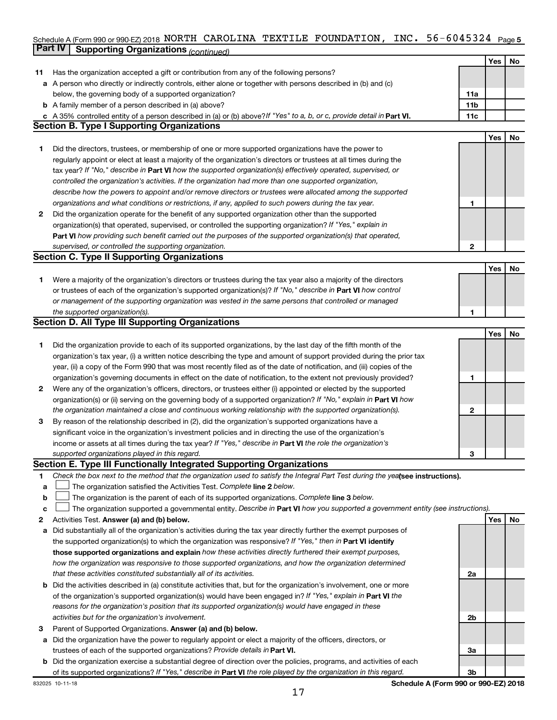#### Schedule A (Form 990 or 990-EZ) 2018 NORTH CAROLINA TEXTILE FOUNDATION , INC 5 6-6 045 3 24 Page 5 **Part IV Supporting Organizations** *(continued)* NORTH CAROLINA TEXTILE FOUNDATION, INC. 56-6045324

|    |                                                                                                                                                                                                              |              | Yes | No |
|----|--------------------------------------------------------------------------------------------------------------------------------------------------------------------------------------------------------------|--------------|-----|----|
| 11 | Has the organization accepted a gift or contribution from any of the following persons?                                                                                                                      |              |     |    |
|    | a A person who directly or indirectly controls, either alone or together with persons described in (b) and (c)                                                                                               |              |     |    |
|    | below, the governing body of a supported organization?                                                                                                                                                       | 11a          |     |    |
|    | <b>b</b> A family member of a person described in (a) above?                                                                                                                                                 | 11b          |     |    |
|    | c A 35% controlled entity of a person described in (a) or (b) above? If "Yes" to a, b, or c, provide detail in Part VI.<br><b>Section B. Type I Supporting Organizations</b>                                 | 11c          |     |    |
|    |                                                                                                                                                                                                              |              | Yes | No |
| 1. | Did the directors, trustees, or membership of one or more supported organizations have the power to                                                                                                          |              |     |    |
|    | regularly appoint or elect at least a majority of the organization's directors or trustees at all times during the                                                                                           |              |     |    |
|    | tax year? If "No," describe in Part VI how the supported organization(s) effectively operated, supervised, or                                                                                                |              |     |    |
|    | controlled the organization's activities. If the organization had more than one supported organization,                                                                                                      |              |     |    |
|    | describe how the powers to appoint and/or remove directors or trustees were allocated among the supported                                                                                                    |              |     |    |
|    | organizations and what conditions or restrictions, if any, applied to such powers during the tax year.                                                                                                       | 1            |     |    |
| 2  | Did the organization operate for the benefit of any supported organization other than the supported                                                                                                          |              |     |    |
|    | organization(s) that operated, supervised, or controlled the supporting organization? If "Yes," explain in                                                                                                   |              |     |    |
|    | Part VI how providing such benefit carried out the purposes of the supported organization(s) that operated,                                                                                                  |              |     |    |
|    | supervised, or controlled the supporting organization.                                                                                                                                                       | $\mathbf{2}$ |     |    |
|    | <b>Section C. Type II Supporting Organizations</b>                                                                                                                                                           |              |     |    |
|    |                                                                                                                                                                                                              |              | Yes | No |
| 1. | Were a majority of the organization's directors or trustees during the tax year also a majority of the directors                                                                                             |              |     |    |
|    | or trustees of each of the organization's supported organization(s)? If "No," describe in Part VI how control                                                                                                |              |     |    |
|    | or management of the supporting organization was vested in the same persons that controlled or managed                                                                                                       |              |     |    |
|    | the supported organization(s).                                                                                                                                                                               | 1            |     |    |
|    | <b>Section D. All Type III Supporting Organizations</b>                                                                                                                                                      |              |     |    |
|    |                                                                                                                                                                                                              |              | Yes | No |
| 1  | Did the organization provide to each of its supported organizations, by the last day of the fifth month of the                                                                                               |              |     |    |
|    | organization's tax year, (i) a written notice describing the type and amount of support provided during the prior tax                                                                                        |              |     |    |
|    | year, (ii) a copy of the Form 990 that was most recently filed as of the date of notification, and (iii) copies of the                                                                                       |              |     |    |
|    | organization's governing documents in effect on the date of notification, to the extent not previously provided?                                                                                             | 1            |     |    |
| 2  | Were any of the organization's officers, directors, or trustees either (i) appointed or elected by the supported                                                                                             |              |     |    |
|    | organization(s) or (ii) serving on the governing body of a supported organization? If "No," explain in <b>Part VI</b> how                                                                                    |              |     |    |
|    | the organization maintained a close and continuous working relationship with the supported organization(s).                                                                                                  | $\mathbf{2}$ |     |    |
| 3  | By reason of the relationship described in (2), did the organization's supported organizations have a                                                                                                        |              |     |    |
|    | significant voice in the organization's investment policies and in directing the use of the organization's                                                                                                   |              |     |    |
|    | income or assets at all times during the tax year? If "Yes," describe in <b>Part VI</b> the role the organization's                                                                                          |              |     |    |
|    | supported organizations played in this regard.                                                                                                                                                               | 3            |     |    |
|    | Section E. Type III Functionally Integrated Supporting Organizations                                                                                                                                         |              |     |    |
| 1  | Check the box next to the method that the organization used to satisfy the Integral Part Test during the yealsee instructions).                                                                              |              |     |    |
| a  | The organization satisfied the Activities Test. Complete line 2 below.                                                                                                                                       |              |     |    |
| b  | The organization is the parent of each of its supported organizations. Complete line 3 below.                                                                                                                |              |     |    |
| с  | The organization supported a governmental entity. Describe in Part VI how you supported a government entity (see instructions).                                                                              |              |     |    |
| 2  | Activities Test. Answer (a) and (b) below.                                                                                                                                                                   |              | Yes | No |
| а  | Did substantially all of the organization's activities during the tax year directly further the exempt purposes of                                                                                           |              |     |    |
|    | the supported organization(s) to which the organization was responsive? If "Yes," then in Part VI identify                                                                                                   |              |     |    |
|    | those supported organizations and explain how these activities directly furthered their exempt purposes,                                                                                                     |              |     |    |
|    | how the organization was responsive to those supported organizations, and how the organization determined                                                                                                    |              |     |    |
|    | that these activities constituted substantially all of its activities.                                                                                                                                       | 2a           |     |    |
|    | <b>b</b> Did the activities described in (a) constitute activities that, but for the organization's involvement, one or more                                                                                 |              |     |    |
|    | of the organization's supported organization(s) would have been engaged in? If "Yes," explain in Part VI the                                                                                                 |              |     |    |
|    | reasons for the organization's position that its supported organization(s) would have engaged in these                                                                                                       |              |     |    |
|    | activities but for the organization's involvement.                                                                                                                                                           | 2b           |     |    |
| З  | Parent of Supported Organizations. Answer (a) and (b) below.                                                                                                                                                 |              |     |    |
| а  | Did the organization have the power to regularly appoint or elect a majority of the officers, directors, or                                                                                                  |              |     |    |
|    | trustees of each of the supported organizations? Provide details in Part VI.<br><b>b</b> Did the organization exercise a substantial degree of direction over the policies, programs, and activities of each | За           |     |    |
|    | of its supported organizations? If "Yes," describe in Part VI the role played by the organization in this regard.                                                                                            | 3b           |     |    |
|    |                                                                                                                                                                                                              |              |     |    |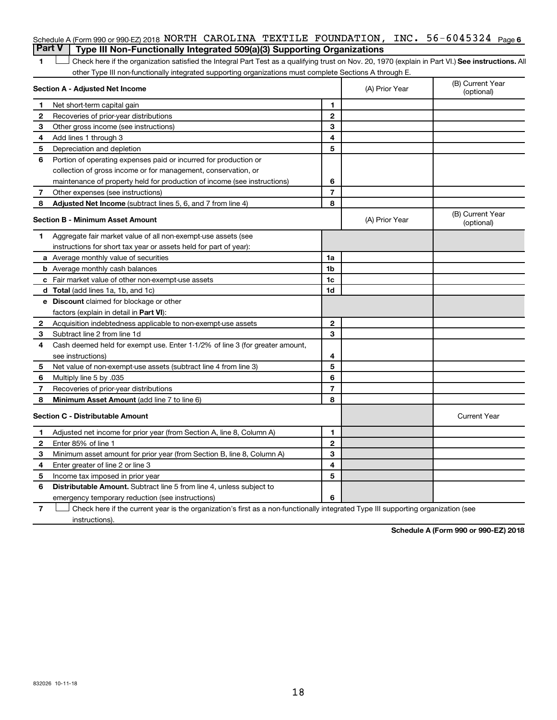### Schedule A (Form 990 or 990-EZ) 2018 NORTH CAROLINA TEXTILE FOUNDATION, INC. 56-6045324 <sub>Page 6</sub> **Part V Type III Non-Functionally Integrated 509(a)(3) Supporting Organizations**

1 **Letter See instructions.** All Check here if the organization satisfied the Integral Part Test as a qualifying trust on Nov. 20, 1970 (explain in Part VI.) See instructions. All other Type III non-functionally integrated supporting organizations must complete Sections A through E.

| Section A - Adjusted Net Income |                                                                              | (A) Prior Year | (B) Current Year<br>(optional) |                                |
|---------------------------------|------------------------------------------------------------------------------|----------------|--------------------------------|--------------------------------|
| 1                               | Net short-term capital gain                                                  | 1              |                                |                                |
| 2                               | Recoveries of prior-year distributions                                       | $\mathbf{2}$   |                                |                                |
| 3                               | Other gross income (see instructions)                                        | 3              |                                |                                |
| 4                               | Add lines 1 through 3                                                        | 4              |                                |                                |
| 5                               | Depreciation and depletion                                                   | 5              |                                |                                |
| 6                               | Portion of operating expenses paid or incurred for production or             |                |                                |                                |
|                                 | collection of gross income or for management, conservation, or               |                |                                |                                |
|                                 | maintenance of property held for production of income (see instructions)     | 6              |                                |                                |
| 7                               | Other expenses (see instructions)                                            | $\overline{7}$ |                                |                                |
| 8                               | Adjusted Net Income (subtract lines 5, 6, and 7 from line 4)                 | 8              |                                |                                |
|                                 | <b>Section B - Minimum Asset Amount</b>                                      |                | (A) Prior Year                 | (B) Current Year<br>(optional) |
| 1.                              | Aggregate fair market value of all non-exempt-use assets (see                |                |                                |                                |
|                                 | instructions for short tax year or assets held for part of year):            |                |                                |                                |
|                                 | a Average monthly value of securities                                        | 1a             |                                |                                |
|                                 | <b>b</b> Average monthly cash balances                                       | 1b             |                                |                                |
|                                 | c Fair market value of other non-exempt-use assets                           | 1c             |                                |                                |
|                                 | <b>d</b> Total (add lines 1a, 1b, and 1c)                                    | 1 <sub>d</sub> |                                |                                |
|                                 | e Discount claimed for blockage or other                                     |                |                                |                                |
|                                 | factors (explain in detail in Part VI):                                      |                |                                |                                |
| 2                               | Acquisition indebtedness applicable to non-exempt-use assets                 | $\mathbf{2}$   |                                |                                |
| З                               | Subtract line 2 from line 1d                                                 | 3              |                                |                                |
| 4                               | Cash deemed held for exempt use. Enter 1-1/2% of line 3 (for greater amount, |                |                                |                                |
|                                 | see instructions)                                                            | 4              |                                |                                |
| 5                               | Net value of non-exempt-use assets (subtract line 4 from line 3)             | 5              |                                |                                |
| 6                               | Multiply line 5 by .035                                                      | 6              |                                |                                |
| 7                               | Recoveries of prior-year distributions                                       | $\overline{7}$ |                                |                                |
| 8                               | Minimum Asset Amount (add line 7 to line 6)                                  | 8              |                                |                                |
|                                 | <b>Section C - Distributable Amount</b>                                      |                |                                | <b>Current Year</b>            |
| 1                               | Adjusted net income for prior year (from Section A, line 8, Column A)        | 1              |                                |                                |
| 2                               | Enter 85% of line 1                                                          | $\overline{2}$ |                                |                                |
| з                               | Minimum asset amount for prior year (from Section B, line 8, Column A)       | 3              |                                |                                |
| 4                               | Enter greater of line 2 or line 3                                            | 4              |                                |                                |
| 5                               | Income tax imposed in prior year                                             | 5              |                                |                                |
| 6                               | <b>Distributable Amount.</b> Subtract line 5 from line 4, unless subject to  |                |                                |                                |
|                                 | emergency temporary reduction (see instructions)                             | 6              |                                |                                |
|                                 |                                                                              |                |                                |                                |

**7** Let Check here if the current year is the organization's first as a non-functionally integrated Type III supporting organization (see instructions).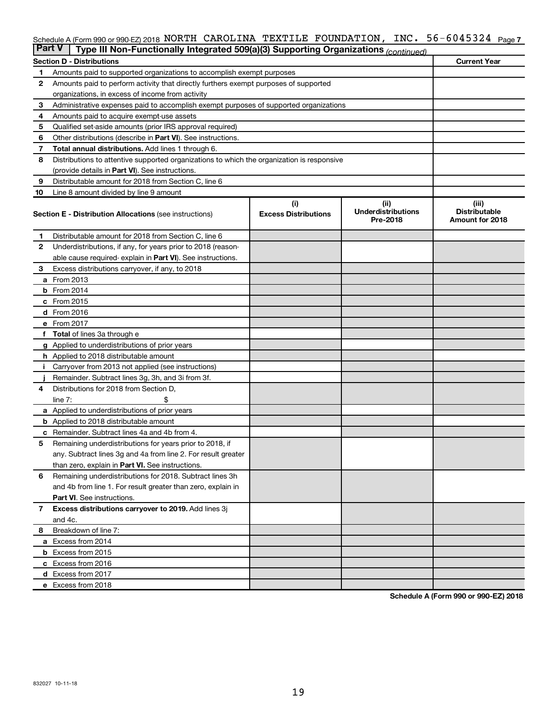#### INC.  $56 - 6045324$  Page 7 Schedule A (Form 990 or 990-EZ) 2018 NORTH CAROLINA TEXTILE FOUNDATION,INC。 56-6045324 Page NORTH CAROLINA TEXTILE FOUNDATION, INC. 56-6045324

| <b>Part V</b><br>Type III Non-Functionally Integrated 509(a)(3) Supporting Organizations (continued) |                                                                                            |                             |                                       |                                         |  |  |
|------------------------------------------------------------------------------------------------------|--------------------------------------------------------------------------------------------|-----------------------------|---------------------------------------|-----------------------------------------|--|--|
|                                                                                                      | <b>Current Year</b><br><b>Section D - Distributions</b>                                    |                             |                                       |                                         |  |  |
| 1                                                                                                    | Amounts paid to supported organizations to accomplish exempt purposes                      |                             |                                       |                                         |  |  |
| $\mathbf{2}$                                                                                         | Amounts paid to perform activity that directly furthers exempt purposes of supported       |                             |                                       |                                         |  |  |
|                                                                                                      | organizations, in excess of income from activity                                           |                             |                                       |                                         |  |  |
| 3                                                                                                    | Administrative expenses paid to accomplish exempt purposes of supported organizations      |                             |                                       |                                         |  |  |
| 4                                                                                                    | Amounts paid to acquire exempt-use assets                                                  |                             |                                       |                                         |  |  |
| 5                                                                                                    | Qualified set-aside amounts (prior IRS approval required)                                  |                             |                                       |                                         |  |  |
| 6                                                                                                    | Other distributions (describe in <b>Part VI</b> ). See instructions.                       |                             |                                       |                                         |  |  |
| 7                                                                                                    | <b>Total annual distributions.</b> Add lines 1 through 6.                                  |                             |                                       |                                         |  |  |
| 8                                                                                                    | Distributions to attentive supported organizations to which the organization is responsive |                             |                                       |                                         |  |  |
|                                                                                                      | (provide details in Part VI). See instructions.                                            |                             |                                       |                                         |  |  |
| 9                                                                                                    | Distributable amount for 2018 from Section C, line 6                                       |                             |                                       |                                         |  |  |
| 10                                                                                                   | Line 8 amount divided by line 9 amount                                                     |                             |                                       |                                         |  |  |
|                                                                                                      |                                                                                            | (i)                         | (ii)                                  | (iii)                                   |  |  |
|                                                                                                      | <b>Section E - Distribution Allocations (see instructions)</b>                             | <b>Excess Distributions</b> | <b>Underdistributions</b><br>Pre-2018 | <b>Distributable</b><br>Amount for 2018 |  |  |
| 1                                                                                                    | Distributable amount for 2018 from Section C, line 6                                       |                             |                                       |                                         |  |  |
| $\mathbf{2}$                                                                                         | Underdistributions, if any, for years prior to 2018 (reason-                               |                             |                                       |                                         |  |  |
|                                                                                                      | able cause required-explain in Part VI). See instructions.                                 |                             |                                       |                                         |  |  |
| 3                                                                                                    | Excess distributions carryover, if any, to 2018                                            |                             |                                       |                                         |  |  |
|                                                                                                      | <b>a</b> From 2013                                                                         |                             |                                       |                                         |  |  |
|                                                                                                      | <b>b</b> From 2014                                                                         |                             |                                       |                                         |  |  |
|                                                                                                      | c From 2015                                                                                |                             |                                       |                                         |  |  |
|                                                                                                      | d From 2016                                                                                |                             |                                       |                                         |  |  |
|                                                                                                      | e From 2017                                                                                |                             |                                       |                                         |  |  |
|                                                                                                      | f Total of lines 3a through e                                                              |                             |                                       |                                         |  |  |
|                                                                                                      | <b>g</b> Applied to underdistributions of prior years                                      |                             |                                       |                                         |  |  |
|                                                                                                      | <b>h</b> Applied to 2018 distributable amount                                              |                             |                                       |                                         |  |  |
| Ť.                                                                                                   | Carryover from 2013 not applied (see instructions)                                         |                             |                                       |                                         |  |  |
|                                                                                                      | Remainder. Subtract lines 3g, 3h, and 3i from 3f.                                          |                             |                                       |                                         |  |  |
| 4                                                                                                    | Distributions for 2018 from Section D,                                                     |                             |                                       |                                         |  |  |
|                                                                                                      | line $7:$                                                                                  |                             |                                       |                                         |  |  |
|                                                                                                      | a Applied to underdistributions of prior years                                             |                             |                                       |                                         |  |  |
|                                                                                                      | <b>b</b> Applied to 2018 distributable amount                                              |                             |                                       |                                         |  |  |
| с                                                                                                    | Remainder. Subtract lines 4a and 4b from 4.                                                |                             |                                       |                                         |  |  |
| 5                                                                                                    | Remaining underdistributions for years prior to 2018, if                                   |                             |                                       |                                         |  |  |
|                                                                                                      | any. Subtract lines 3g and 4a from line 2. For result greater                              |                             |                                       |                                         |  |  |
|                                                                                                      | than zero, explain in Part VI. See instructions.                                           |                             |                                       |                                         |  |  |
| 6                                                                                                    | Remaining underdistributions for 2018. Subtract lines 3h                                   |                             |                                       |                                         |  |  |
|                                                                                                      | and 4b from line 1. For result greater than zero, explain in                               |                             |                                       |                                         |  |  |
|                                                                                                      | <b>Part VI.</b> See instructions.                                                          |                             |                                       |                                         |  |  |
| $\overline{7}$                                                                                       | Excess distributions carryover to 2019. Add lines 3j                                       |                             |                                       |                                         |  |  |
|                                                                                                      | and 4c.                                                                                    |                             |                                       |                                         |  |  |
| 8                                                                                                    | Breakdown of line 7:                                                                       |                             |                                       |                                         |  |  |
|                                                                                                      | a Excess from 2014                                                                         |                             |                                       |                                         |  |  |
|                                                                                                      | <b>b</b> Excess from 2015                                                                  |                             |                                       |                                         |  |  |
|                                                                                                      | c Excess from 2016                                                                         |                             |                                       |                                         |  |  |
|                                                                                                      | d Excess from 2017                                                                         |                             |                                       |                                         |  |  |
|                                                                                                      | e Excess from 2018                                                                         |                             |                                       |                                         |  |  |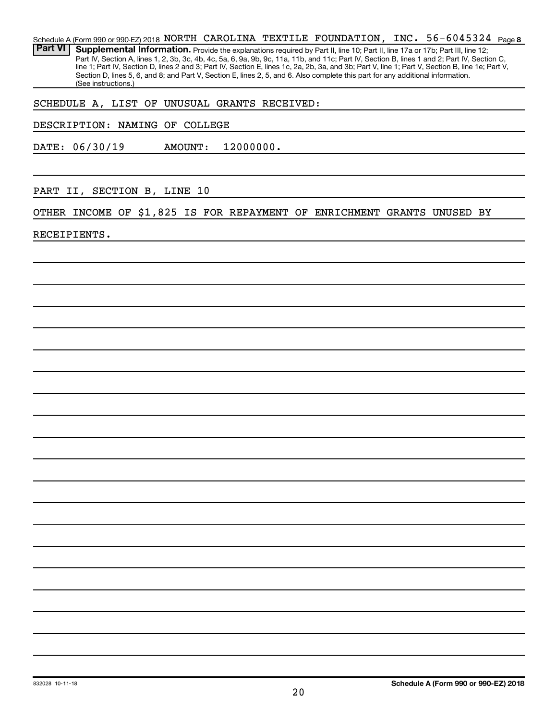56-6045324 Page 8 Schedule A (Form 990 or 990-EZ) 2018 NORTH CAROLINA TEXTILE FOUNDATION, INC.  $56-6045324$  Page Part VI | Supplemental Information. Provide the explanations required by Part II, line 10; Part II, line 17a or 17b; Part III, line 12; Part IV, Section A, lines 1, 2, 3b, 3c, 4b, 4c, 5a, 6, 9a, 9b, 9c, 11a, 11b, and 11c; Part IV, Section B, lines 1 and 2; Part IV, Section C, line 1; Part IV, Section D, lines 2 and 3; Part IV, Section E, lines 1c, 2a, 2b, 3a, and 3b; Part V, line 1; Part V, Section B, line 1e; Part V, Section D, lines 5, 6, and 8; and Part V, Section E, lines 2, 5, and 6. Also complete this part for any additional information. (See instructions.)

SCHEDULE A, LIST OF UNUSUAL GRANTS RECEIVED:

DESCRIPTION: NAMING OF COLLEGE

DATE: 06/30/19 AMOUNT: 12000000.

PART II, SECTION B, LINE 10

OTHER INCOME OF \$1,825 IS FOR REPAYMENT OF ENRICHMENT GRANTS UNUSED BY

RECEIPIENTS.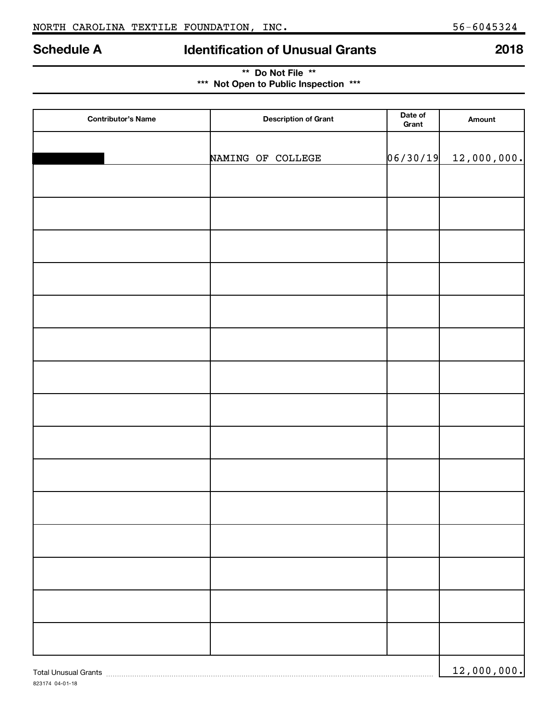823174 04-01-18

# **Schedule A Identification of Unusual Grants 2018**

| ** Do Not File **                     |  |
|---------------------------------------|--|
| *** Not Open to Public Inspection *** |  |

| <b>Contributor's Name</b> | <b>Description of Grant</b> | Date of<br>Grant | Amount      |
|---------------------------|-----------------------------|------------------|-------------|
|                           |                             |                  |             |
|                           | NAMING OF COLLEGE           | 06/30/19         | 12,000,000. |
|                           |                             |                  |             |
|                           |                             |                  |             |
|                           |                             |                  |             |
|                           |                             |                  |             |
|                           |                             |                  |             |
|                           |                             |                  |             |
|                           |                             |                  |             |
|                           |                             |                  |             |
|                           |                             |                  |             |
|                           |                             |                  |             |
|                           |                             |                  |             |
|                           |                             |                  |             |
|                           |                             |                  |             |
|                           |                             |                  |             |
|                           |                             |                  |             |
|                           |                             |                  | 12,000,000. |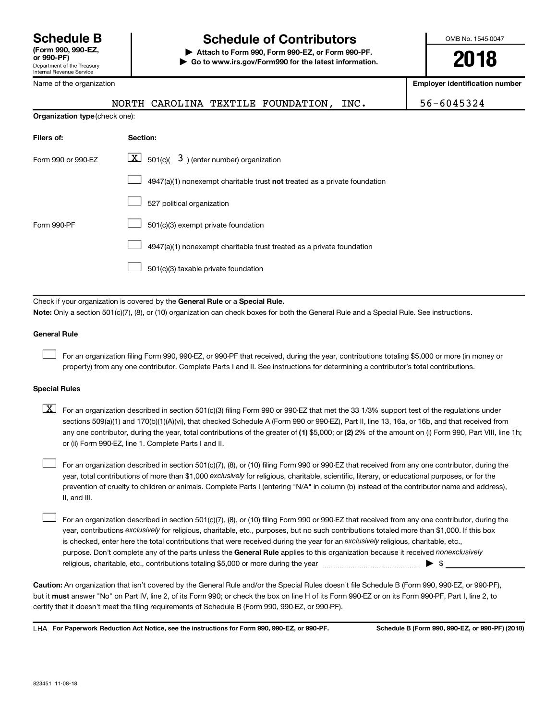## **Schedule B Schedule of Contributors**

**or 990-PF) | Attach to Form 990, Form 990-EZ, or Form 990-PF. | Go to www.irs.gov/Form990 for the latest information.** OMB No. 1545-0047

**2018**

**Employer identification number**

|  | $\sim$ |  |
|--|--------|--|
|  |        |  |
|  |        |  |

Name of the organization

NORTH CAROLINA TEXTILE FOUNDATION, INC. 56-6045324

| <b>Organization type (check one):</b> |                                                                           |  |  |  |
|---------------------------------------|---------------------------------------------------------------------------|--|--|--|
| Filers of:                            | Section:                                                                  |  |  |  |
| Form 990 or 990-EZ                    | $\lfloor x \rfloor$ 501(c)( 3) (enter number) organization                |  |  |  |
|                                       | 4947(a)(1) nonexempt charitable trust not treated as a private foundation |  |  |  |
|                                       | 527 political organization                                                |  |  |  |
| Form 990-PF                           | 501(c)(3) exempt private foundation                                       |  |  |  |
|                                       | 4947(a)(1) nonexempt charitable trust treated as a private foundation     |  |  |  |
|                                       | 501(c)(3) taxable private foundation                                      |  |  |  |
|                                       |                                                                           |  |  |  |

Check if your organization is covered by the General Rule or a Special Rule.

**Note:**  Only a section 501(c)(7), (8), or (10) organization can check boxes for both the General Rule and a Special Rule. See instructions.

#### **General Rule**

 $\Box$ 

For an organization filing Form 990, 990-EZ, or 990-PF that received, during the year, contributions totaling \$5,000 or more (in money or property) from any one contributor. Complete Parts I and II. See instructions for determining a contributor's total contributions.

#### **Special Rules**

any one contributor, during the year, total contributions of the greater of (1) \$5,000; or (2) 2% of the amount on (i) Form 990, Part VIII, line 1h;  $\boxed{\text{X}}$  For an organization described in section 501(c)(3) filing Form 990 or 990-EZ that met the 33 1/3% support test of the regulations under sections 509(a)(1) and 170(b)(1)(A)(vi), that checked Schedule A (Form 990 or 990-EZ), Part II, line 13, 16a, or 16b, and that received from or (ii) Form 990-EZ, line 1. Complete Parts I and II.

year, total contributions of more than \$1,000 *exclusively* for religious, charitable, scientific, literary, or educational purposes, or for the For an organization described in section 501(c)(7), (8), or (10) filing Form 990 or 990-EZ that received from any one contributor, during the prevention of cruelty to children or animals. Complete Parts I (entering "N/A" in column (b) instead of the contributor name and address), II, and III.  $\Box$ 

purpose. Don't complete any of the parts unless the General Rule applies to this organization because it received nonexclusively year, contributions exclusively for religious, charitable, etc., purposes, but no such contributions totaled more than \$1,000. If this box is checked, enter here the total contributions that were received during the year for an exclusively religious, charitable, etc., For an organization described in section 501(c)(7), (8), or (10) filing Form 990 or 990-EZ that received from any one contributor, during the religious, charitable, etc., contributions totaling \$5,000 or more during the year  $\ldots$  $\ldots$  $\ldots$  $\ldots$  $\ldots$  $\ldots$  $\Box$ 

**Caution:**  An organization that isn't covered by the General Rule and/or the Special Rules doesn't file Schedule B (Form 990, 990-EZ, or 990-PF),  **must** but it answer "No" on Part IV, line 2, of its Form 990; or check the box on line H of its Form 990-EZ or on its Form 990-PF, Part I, line 2, to certify that it doesn't meet the filing requirements of Schedule B (Form 990, 990-EZ, or 990-PF).

**For Paperwork Reduction Act Notice, see the instructions for Form 990, 990-EZ, or 990-PF. Schedule B (Form 990, 990-EZ, or 990-PF) (2018)** LHA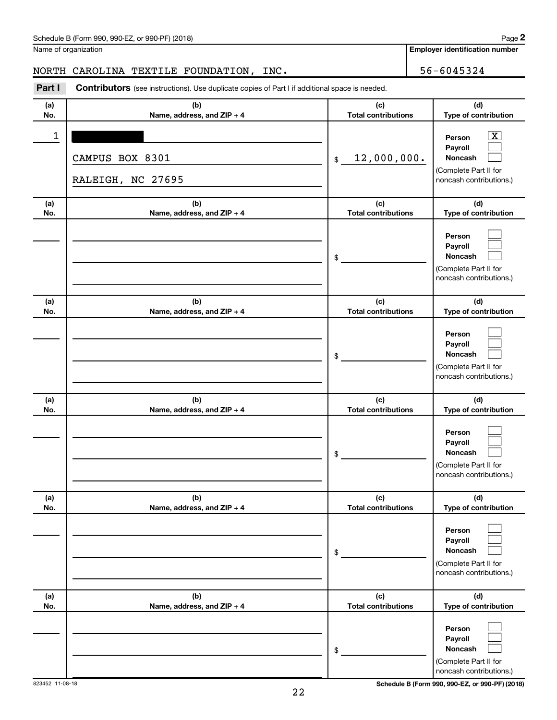| Schedule B (Form 990, 990-EZ, or 990-PF) (2018) | Page |
|-------------------------------------------------|------|
|-------------------------------------------------|------|

|  | Name of organization |
|--|----------------------|
|--|----------------------|

**2**

**Employer identification number**

NORTH CAROLINA TEXTILE FOUNDATION, INC. 40 156-6045324

| Part I     | <b>Contributors</b> (see instructions). Use duplicate copies of Part I if additional space is needed. |                                   |                                                                                                          |
|------------|-------------------------------------------------------------------------------------------------------|-----------------------------------|----------------------------------------------------------------------------------------------------------|
| (a)<br>No. | (b)<br>Name, address, and ZIP + 4                                                                     | (c)<br><b>Total contributions</b> | (d)<br>Type of contribution                                                                              |
| 1          | CAMPUS BOX 8301<br>RALEIGH, NC 27695                                                                  | 12,000,000.<br>$$\mathbb{S}$$     | $\boxed{\mathbf{X}}$<br>Person<br>Payroll<br>Noncash<br>(Complete Part II for<br>noncash contributions.) |
| (a)<br>No. | (b)<br>Name, address, and ZIP + 4                                                                     | (c)<br><b>Total contributions</b> | (d)<br>Type of contribution                                                                              |
|            |                                                                                                       | \$                                | Person<br>Payroll<br>Noncash<br>(Complete Part II for<br>noncash contributions.)                         |
| (a)<br>No. | (b)<br>Name, address, and ZIP + 4                                                                     | (c)<br><b>Total contributions</b> | (d)<br>Type of contribution                                                                              |
|            |                                                                                                       | \$                                | Person<br>Payroll<br>Noncash<br>(Complete Part II for<br>noncash contributions.)                         |
| (a)        | (b)                                                                                                   | (c)                               | (d)                                                                                                      |
| No.        | Name, address, and ZIP + 4                                                                            | <b>Total contributions</b><br>\$  | Type of contribution<br>Person<br>Payroll<br>Noncash<br>(Complete Part II for<br>noncash contributions.) |
| (a)<br>No. | (b)<br>Name, address, and ZIP + 4                                                                     | (c)<br><b>Total contributions</b> | (d)<br>Type of contribution                                                                              |
|            |                                                                                                       | \$                                | Person<br>Payroll<br>Noncash<br>(Complete Part II for<br>noncash contributions.)                         |
| (a)<br>No. | (b)<br>Name, address, and ZIP + 4                                                                     | (c)<br><b>Total contributions</b> | (d)<br>Type of contribution                                                                              |
|            |                                                                                                       | \$                                | Person<br>Payroll<br>Noncash<br>(Complete Part II for<br>noncash contributions.)                         |

823452 11-08-18 **Schedule B (Form 990, 990-EZ, or 990-PF) (2018)**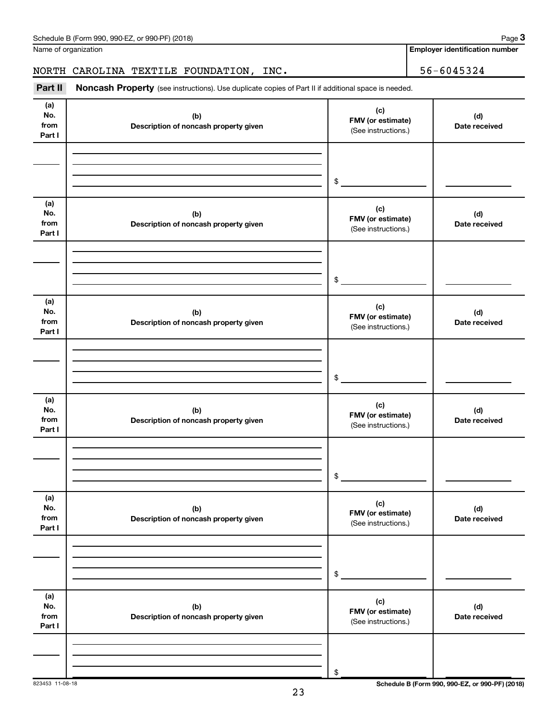| Part I                       |                                              | (See instructions.)                             |                                                 |
|------------------------------|----------------------------------------------|-------------------------------------------------|-------------------------------------------------|
|                              |                                              |                                                 |                                                 |
|                              |                                              | \$                                              |                                                 |
| (a)<br>No.<br>from<br>Part I | (b)<br>Description of noncash property given | (c)<br>FMV (or estimate)<br>(See instructions.) | (d)<br>Date received                            |
|                              |                                              | \$                                              |                                                 |
| (a)<br>No.<br>from<br>Part I | (b)<br>Description of noncash property given | (c)<br>FMV (or estimate)<br>(See instructions.) | (d)<br>Date received                            |
|                              |                                              | \$                                              |                                                 |
| (a)<br>No.<br>from<br>Part I | (b)<br>Description of noncash property given | (c)<br>FMV (or estimate)<br>(See instructions.) | (d)<br>Date received                            |
|                              |                                              | \$                                              |                                                 |
| (a)<br>No.<br>from<br>Part I | (b)<br>Description of noncash property given | (c)<br>FMV (or estimate)<br>(See instructions.) | (d)<br>Date received                            |
|                              |                                              | \$                                              |                                                 |
| (a)<br>No.<br>from<br>Part I | (b)<br>Description of noncash property given | (c)<br>FMV (or estimate)<br>(See instructions.) | (d)<br>Date received                            |
|                              |                                              | \$                                              |                                                 |
| 823453 11-08-18              | 23                                           |                                                 | Schedule B (Form 990, 990-EZ, or 990-PF) (2018) |

#### Schedule B (Form 990, 990-EZ, or 990-PF) (2018)

Name of organization

**(a) No. from** **3**

**(d) Date received**

**Employer identification number**

**(c)**

(See instructions.)

Part II Noncash Property (see instructions). Use duplicate copies of Part II if additional space is needed. NORTH CAROLINA TEXTILE FOUNDATION, INC. 56-6045324

**FMV (or estimate) (b)**

**Description of noncash property given**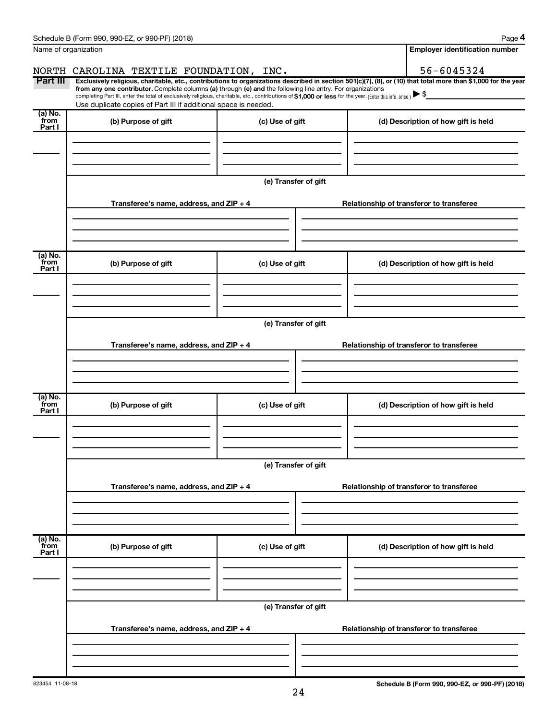|                           | Schedule B (Form 990, 990-EZ, or 990-PF) (2018)                                                                                                          |                      | Page 4                                                                                                                                                         |  |  |
|---------------------------|----------------------------------------------------------------------------------------------------------------------------------------------------------|----------------------|----------------------------------------------------------------------------------------------------------------------------------------------------------------|--|--|
| Name of organization      |                                                                                                                                                          |                      | <b>Employer identification number</b>                                                                                                                          |  |  |
|                           | NORTH CAROLINA TEXTILE FOUNDATION, INC.                                                                                                                  |                      | 56-6045324                                                                                                                                                     |  |  |
| Part III                  | from any one contributor. Complete columns (a) through (e) and the following line entry. For organizations                                               |                      | Exclusively religious, charitable, etc., contributions to organizations described in section 501(c)(7), (8), or (10) that total more than \$1,000 for the year |  |  |
|                           | completing Part III, enter the total of exclusively religious, charitable, etc., contributions of \$1,000 or less for the year. (Enter this info. once.) |                      |                                                                                                                                                                |  |  |
|                           | Use duplicate copies of Part III if additional space is needed.                                                                                          |                      |                                                                                                                                                                |  |  |
| (a) No.<br>from<br>Part I | (b) Purpose of gift                                                                                                                                      | (c) Use of gift      | (d) Description of how gift is held                                                                                                                            |  |  |
|                           |                                                                                                                                                          |                      |                                                                                                                                                                |  |  |
|                           |                                                                                                                                                          |                      |                                                                                                                                                                |  |  |
|                           |                                                                                                                                                          | (e) Transfer of gift |                                                                                                                                                                |  |  |
|                           | Transferee's name, address, and ZIP + 4                                                                                                                  |                      | Relationship of transferor to transferee                                                                                                                       |  |  |
|                           |                                                                                                                                                          |                      |                                                                                                                                                                |  |  |
| (a) No.<br>from           | (b) Purpose of gift                                                                                                                                      | (c) Use of gift      | (d) Description of how gift is held                                                                                                                            |  |  |
| Part I                    |                                                                                                                                                          |                      |                                                                                                                                                                |  |  |
|                           |                                                                                                                                                          |                      |                                                                                                                                                                |  |  |
|                           |                                                                                                                                                          |                      |                                                                                                                                                                |  |  |
|                           | (e) Transfer of gift                                                                                                                                     |                      |                                                                                                                                                                |  |  |
|                           | Transferee's name, address, and ZIP + 4                                                                                                                  |                      | Relationship of transferor to transferee                                                                                                                       |  |  |
|                           |                                                                                                                                                          |                      |                                                                                                                                                                |  |  |
| (a) No.                   |                                                                                                                                                          |                      |                                                                                                                                                                |  |  |
| from<br>Part I            | (b) Purpose of gift                                                                                                                                      | (c) Use of gift      | (d) Description of how gift is held                                                                                                                            |  |  |
|                           |                                                                                                                                                          |                      |                                                                                                                                                                |  |  |
|                           |                                                                                                                                                          |                      |                                                                                                                                                                |  |  |
|                           | (e) Transfer of gift                                                                                                                                     |                      |                                                                                                                                                                |  |  |
|                           | Transferee's name, address, and ZIP + 4                                                                                                                  |                      | Relationship of transferor to transferee                                                                                                                       |  |  |
|                           |                                                                                                                                                          |                      |                                                                                                                                                                |  |  |
|                           |                                                                                                                                                          |                      |                                                                                                                                                                |  |  |
| (a) No.<br>from<br>Part I | (b) Purpose of gift                                                                                                                                      | (c) Use of gift      | (d) Description of how gift is held                                                                                                                            |  |  |
|                           |                                                                                                                                                          |                      |                                                                                                                                                                |  |  |
|                           |                                                                                                                                                          |                      |                                                                                                                                                                |  |  |
|                           | (e) Transfer of gift                                                                                                                                     |                      |                                                                                                                                                                |  |  |
|                           | Transferee's name, address, and ZIP + 4                                                                                                                  |                      | Relationship of transferor to transferee                                                                                                                       |  |  |
|                           |                                                                                                                                                          |                      |                                                                                                                                                                |  |  |
|                           |                                                                                                                                                          |                      |                                                                                                                                                                |  |  |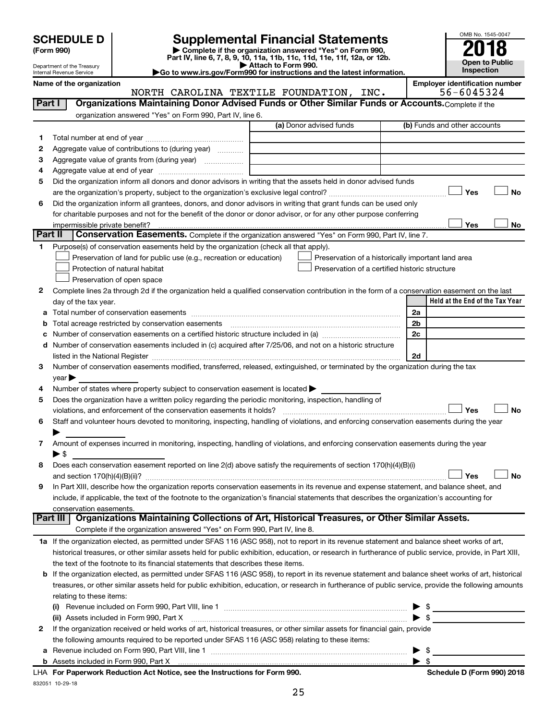| (Form 990) |  |
|------------|--|
|------------|--|

832051 10-29-18

# **SCHEDULE D Supplemental Financial Statements**<br> **Form 990 2018**<br> **Part IV** line 6.7.8.9.10, 11a, 11b, 11d, 11d, 11d, 11d, 11d, 12a, 0r, 12b

**(Form 990) | Complete if the organization answered "Yes" on Form 990, Part IV, line 6, 7, 8, 9, 10, 11a, 11b, 11c, 11d, 11e, 11f, 12a, or 12b.**

**| Attach to Form 990. |Go to www.irs.gov/Form990 for instructions and the latest information.**



Department of the Treasury Internal Revenue Service

Name of the organization<br>**NORTH CAROLINA TEXTILE FOUNDATION, INC.** | Employer identification number NORTH CAROLINA TEXTILE FOUNDATION, INC.

| Part I  | Organizations Maintaining Donor Advised Funds or Other Similar Funds or Accounts. Complete if the                                                         |                                                |                                                    |
|---------|-----------------------------------------------------------------------------------------------------------------------------------------------------------|------------------------------------------------|----------------------------------------------------|
|         | organization answered "Yes" on Form 990, Part IV, line 6.                                                                                                 |                                                |                                                    |
|         |                                                                                                                                                           | (a) Donor advised funds                        | (b) Funds and other accounts                       |
| 1.      |                                                                                                                                                           |                                                |                                                    |
| 2       | Aggregate value of contributions to (during year)                                                                                                         |                                                |                                                    |
| З       | Aggregate value of grants from (during year)                                                                                                              |                                                |                                                    |
| 4       |                                                                                                                                                           |                                                |                                                    |
| 5       | Did the organization inform all donors and donor advisors in writing that the assets held in donor advised funds                                          |                                                |                                                    |
|         |                                                                                                                                                           |                                                | Yes<br>No                                          |
| 6       | Did the organization inform all grantees, donors, and donor advisors in writing that grant funds can be used only                                         |                                                |                                                    |
|         | for charitable purposes and not for the benefit of the donor or donor advisor, or for any other purpose conferring                                        |                                                |                                                    |
|         | impermissible private benefit?                                                                                                                            |                                                | Yes<br>No                                          |
| Part II | Conservation Easements. Complete if the organization answered "Yes" on Form 990, Part IV, line 7.                                                         |                                                |                                                    |
| 1.      | Purpose(s) of conservation easements held by the organization (check all that apply).                                                                     |                                                |                                                    |
|         | Preservation of land for public use (e.g., recreation or education)                                                                                       |                                                | Preservation of a historically important land area |
|         | Protection of natural habitat                                                                                                                             | Preservation of a certified historic structure |                                                    |
|         | Preservation of open space                                                                                                                                |                                                |                                                    |
| 2       | Complete lines 2a through 2d if the organization held a qualified conservation contribution in the form of a conservation easement on the last            |                                                |                                                    |
|         | day of the tax year.                                                                                                                                      |                                                | Held at the End of the Tax Year                    |
| a       |                                                                                                                                                           |                                                | 2a                                                 |
| b       | Total acreage restricted by conservation easements                                                                                                        |                                                | 2b                                                 |
| с       | Number of conservation easements on a certified historic structure included in (a) manufacture included in (a)                                            |                                                | 2c                                                 |
| d       | Number of conservation easements included in (c) acquired after 7/25/06, and not on a historic structure                                                  |                                                |                                                    |
|         | listed in the National Register [11] manufacture in the state of the state of the National Register [11] manuf                                            |                                                | 2d                                                 |
| 3       | Number of conservation easements modified, transferred, released, extinguished, or terminated by the organization during the tax                          |                                                |                                                    |
|         | year                                                                                                                                                      |                                                |                                                    |
| 4       | Number of states where property subject to conservation easement is located >                                                                             |                                                |                                                    |
| 5       | Does the organization have a written policy regarding the periodic monitoring, inspection, handling of                                                    |                                                |                                                    |
|         | violations, and enforcement of the conservation easements it holds?                                                                                       |                                                | Yes<br>No                                          |
| 6       | Staff and volunteer hours devoted to monitoring, inspecting, handling of violations, and enforcing conservation easements during the year                 |                                                |                                                    |
|         |                                                                                                                                                           |                                                |                                                    |
| 7       | Amount of expenses incurred in monitoring, inspecting, handling of violations, and enforcing conservation easements during the year                       |                                                |                                                    |
| 8       | $\blacktriangleright$ s<br>Does each conservation easement reported on line 2(d) above satisfy the requirements of section 170(h)(4)(B)(i)                |                                                |                                                    |
|         |                                                                                                                                                           |                                                | No<br>Yes                                          |
| 9       | In Part XIII, describe how the organization reports conservation easements in its revenue and expense statement, and balance sheet, and                   |                                                |                                                    |
|         | include, if applicable, the text of the footnote to the organization's financial statements that describes the organization's accounting for              |                                                |                                                    |
|         | conservation easements.                                                                                                                                   |                                                |                                                    |
|         | Organizations Maintaining Collections of Art, Historical Treasures, or Other Similar Assets.<br>Part III                                                  |                                                |                                                    |
|         | Complete if the organization answered "Yes" on Form 990, Part IV, line 8.                                                                                 |                                                |                                                    |
|         | 1a If the organization elected, as permitted under SFAS 116 (ASC 958), not to report in its revenue statement and balance sheet works of art,             |                                                |                                                    |
|         | historical treasures, or other similar assets held for public exhibition, education, or research in furtherance of public service, provide, in Part XIII, |                                                |                                                    |
|         | the text of the footnote to its financial statements that describes these items.                                                                          |                                                |                                                    |
|         | b If the organization elected, as permitted under SFAS 116 (ASC 958), to report in its revenue statement and balance sheet works of art, historical       |                                                |                                                    |
|         | treasures, or other similar assets held for public exhibition, education, or research in furtherance of public service, provide the following amounts     |                                                |                                                    |
|         | relating to these items:                                                                                                                                  |                                                |                                                    |
|         | (i)                                                                                                                                                       |                                                | $\frac{1}{2}$                                      |
|         | (ii) Assets included in Form 990, Part X [11] Marten and Martin Martin Marten and Martin Martin Marten and Mar                                            |                                                | $\rightarrow$ \$                                   |
| 2       | If the organization received or held works of art, historical treasures, or other similar assets for financial gain, provide                              |                                                |                                                    |
|         | the following amounts required to be reported under SFAS 116 (ASC 958) relating to these items:                                                           |                                                |                                                    |
| а       |                                                                                                                                                           |                                                | \$                                                 |
|         |                                                                                                                                                           |                                                | \$                                                 |
|         | LHA For Paperwork Reduction Act Notice, see the Instructions for Form 990.                                                                                |                                                | Schedule D (Form 990) 2018                         |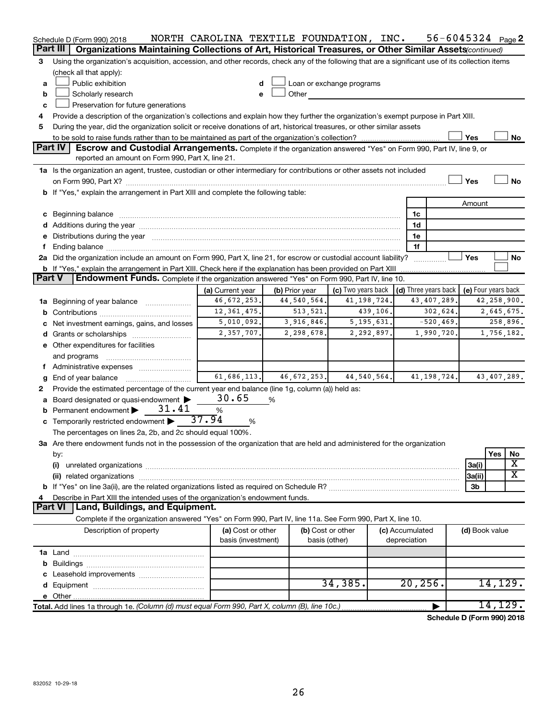| Part III<br>Organizations Maintaining Collections of Art, Historical Treasures, or Other Similar Assets (continued)<br>Using the organization's acquisition, accession, and other records, check any of the following that are a significant use of its collection items<br>3<br>(check all that apply):<br>Public exhibition<br>Loan or exchange programs<br>d<br>a<br>Scholarly research<br>Other<br><u>and the state of the sta</u><br>b<br>e<br>Preservation for future generations<br>c<br>Provide a description of the organization's collections and explain how they further the organization's exempt purpose in Part XIII.<br>4<br>During the year, did the organization solicit or receive donations of art, historical treasures, or other similar assets<br>5<br>Yes<br>No<br>Part IV<br>Escrow and Custodial Arrangements. Complete if the organization answered "Yes" on Form 990, Part IV, line 9, or<br>reported an amount on Form 990, Part X, line 21.<br>1a Is the organization an agent, trustee, custodian or other intermediary for contributions or other assets not included<br>Yes<br>No<br>on Form 990, Part X? [11] matter contracts and contracts and contracts are contracted as a function of the set of the set of the set of the set of the set of the set of the set of the set of the set of the set of the set o<br>b If "Yes," explain the arrangement in Part XIII and complete the following table:<br>Amount<br>c Beginning balance measurements and the contract of Beginning balance measurements are all the contract of the contract of the contract of the contract of the contract of the contract of the contract of the contract of th<br>1c<br>1d<br>e Distributions during the year manufactured and continuum and contact the year manufactured and contact the year manufactured and contact the year manufactured and contact the year manufactured and contact the year manufa<br>1e<br>1f<br>2a Did the organization include an amount on Form 990, Part X, line 21, for escrow or custodial account liability?<br>Yes<br>No<br><b>b</b> If "Yes," explain the arrangement in Part XIII. Check here if the explanation has been provided on Part XIII<br><b>Part V</b><br><b>Endowment Funds.</b> Complete if the organization answered "Yes" on Form 990, Part IV, line 10.<br>(c) Two years back<br>$\vert$ (d) Three years back $\vert$ (e) Four years back<br>(a) Current year<br>(b) Prior year<br>46,672,253.<br>44, 540, 564.<br>41, 198, 724<br>43, 407, 289.<br>42,258,900.<br>1a Beginning of year balance<br>12, 361, 475.<br>513, 521.<br>439,106.<br>302,624.<br>2,645,675.<br>b<br>5,010,092.<br>3,916,846.<br>5, 195, 631.<br>$-520, 469.$<br>258,896.<br>c Net investment earnings, gains, and losses<br>2,357,707.<br>2,298,678.<br>2,292,897.<br>1,990,720.<br>1,756,182.<br>e Other expenditures for facilities<br>and programs<br>f.<br>61,686,113.<br>46,672,253.<br>44, 540, 564.<br>41, 198, 724.<br>43,407,289.<br>End of year balance<br>g<br>Provide the estimated percentage of the current year end balance (line 1g, column (a)) held as:<br>2<br>30.65<br>Board designated or quasi-endowment<br>%<br>a<br>31.41<br>Permanent endowment<br>$\%$<br>37.94<br><b>c</b> Temporarily restricted endowment $\blacktriangleright$<br>%<br>The percentages on lines 2a, 2b, and 2c should equal 100%.<br>3a Are there endowment funds not in the possession of the organization that are held and administered for the organization<br>Yes<br>No<br>by:<br>х<br>3a(i)<br>(i)<br>X<br>3a(ii)<br>3b<br>Describe in Part XIII the intended uses of the organization's endowment funds.<br>Land, Buildings, and Equipment.<br>Part VI<br>Complete if the organization answered "Yes" on Form 990, Part IV, line 11a. See Form 990, Part X, line 10.<br>Description of property<br>(a) Cost or other<br>(b) Cost or other<br>(c) Accumulated<br>(d) Book value<br>basis (investment)<br>depreciation<br>basis (other)<br>34, 385.<br>20, 256.<br>14,129.<br>14, 129.<br>Total. Add lines 1a through 1e. (Column (d) must equal Form 990, Part X, column (B), line 10c.)<br>$\mathbf{A}$ and $\mathbf{B}$ and $\mathbf{B}$ and $\mathbf{B}$ | Schedule D (Form 990) 2018 | NORTH CAROLINA TEXTILE FOUNDATION, INC. |  | $56 - 6045324$ Page 2 |  |  |  |
|---------------------------------------------------------------------------------------------------------------------------------------------------------------------------------------------------------------------------------------------------------------------------------------------------------------------------------------------------------------------------------------------------------------------------------------------------------------------------------------------------------------------------------------------------------------------------------------------------------------------------------------------------------------------------------------------------------------------------------------------------------------------------------------------------------------------------------------------------------------------------------------------------------------------------------------------------------------------------------------------------------------------------------------------------------------------------------------------------------------------------------------------------------------------------------------------------------------------------------------------------------------------------------------------------------------------------------------------------------------------------------------------------------------------------------------------------------------------------------------------------------------------------------------------------------------------------------------------------------------------------------------------------------------------------------------------------------------------------------------------------------------------------------------------------------------------------------------------------------------------------------------------------------------------------------------------------------------------------------------------------------------------------------------------------------------------------------------------------------------------------------------------------------------------------------------------------------------------------------------------------------------------------------------------------------------------------------------------------------------------------------------------------------------------------------------------------------------------------------------------------------------------------------------------------------------------------------------------------------------------------------------------------------------------------------------------------------------------------------------------------------------------------------------------------------------------------------------------------------------------------------------------------------------------------------------------------------------------------------------------------------------------------------------------------------------------------------------------------------------------------------------------------------------------------------------------------------------------------------------------------------------------------------------------------------------------------------------------------------------------------------------------------------------------------------------------------------------------------------------------------------------------------------------------------------------------------------------------------------------------------------------------------------------------------------------------------------------------------------------------------------------------------------------------------------------------------------------------------------------------------------------------------------------------------------------------------------------------------------------------------------------------------------------------------------------------------------------------------------------------------------------------------------------------------------------------------------------------|----------------------------|-----------------------------------------|--|-----------------------|--|--|--|
|                                                                                                                                                                                                                                                                                                                                                                                                                                                                                                                                                                                                                                                                                                                                                                                                                                                                                                                                                                                                                                                                                                                                                                                                                                                                                                                                                                                                                                                                                                                                                                                                                                                                                                                                                                                                                                                                                                                                                                                                                                                                                                                                                                                                                                                                                                                                                                                                                                                                                                                                                                                                                                                                                                                                                                                                                                                                                                                                                                                                                                                                                                                                                                                                                                                                                                                                                                                                                                                                                                                                                                                                                                                                                                                                                                                                                                                                                                                                                                                                                                                                                                                                                                                                                     |                            |                                         |  |                       |  |  |  |
|                                                                                                                                                                                                                                                                                                                                                                                                                                                                                                                                                                                                                                                                                                                                                                                                                                                                                                                                                                                                                                                                                                                                                                                                                                                                                                                                                                                                                                                                                                                                                                                                                                                                                                                                                                                                                                                                                                                                                                                                                                                                                                                                                                                                                                                                                                                                                                                                                                                                                                                                                                                                                                                                                                                                                                                                                                                                                                                                                                                                                                                                                                                                                                                                                                                                                                                                                                                                                                                                                                                                                                                                                                                                                                                                                                                                                                                                                                                                                                                                                                                                                                                                                                                                                     |                            |                                         |  |                       |  |  |  |
|                                                                                                                                                                                                                                                                                                                                                                                                                                                                                                                                                                                                                                                                                                                                                                                                                                                                                                                                                                                                                                                                                                                                                                                                                                                                                                                                                                                                                                                                                                                                                                                                                                                                                                                                                                                                                                                                                                                                                                                                                                                                                                                                                                                                                                                                                                                                                                                                                                                                                                                                                                                                                                                                                                                                                                                                                                                                                                                                                                                                                                                                                                                                                                                                                                                                                                                                                                                                                                                                                                                                                                                                                                                                                                                                                                                                                                                                                                                                                                                                                                                                                                                                                                                                                     |                            |                                         |  |                       |  |  |  |
|                                                                                                                                                                                                                                                                                                                                                                                                                                                                                                                                                                                                                                                                                                                                                                                                                                                                                                                                                                                                                                                                                                                                                                                                                                                                                                                                                                                                                                                                                                                                                                                                                                                                                                                                                                                                                                                                                                                                                                                                                                                                                                                                                                                                                                                                                                                                                                                                                                                                                                                                                                                                                                                                                                                                                                                                                                                                                                                                                                                                                                                                                                                                                                                                                                                                                                                                                                                                                                                                                                                                                                                                                                                                                                                                                                                                                                                                                                                                                                                                                                                                                                                                                                                                                     |                            |                                         |  |                       |  |  |  |
|                                                                                                                                                                                                                                                                                                                                                                                                                                                                                                                                                                                                                                                                                                                                                                                                                                                                                                                                                                                                                                                                                                                                                                                                                                                                                                                                                                                                                                                                                                                                                                                                                                                                                                                                                                                                                                                                                                                                                                                                                                                                                                                                                                                                                                                                                                                                                                                                                                                                                                                                                                                                                                                                                                                                                                                                                                                                                                                                                                                                                                                                                                                                                                                                                                                                                                                                                                                                                                                                                                                                                                                                                                                                                                                                                                                                                                                                                                                                                                                                                                                                                                                                                                                                                     |                            |                                         |  |                       |  |  |  |
|                                                                                                                                                                                                                                                                                                                                                                                                                                                                                                                                                                                                                                                                                                                                                                                                                                                                                                                                                                                                                                                                                                                                                                                                                                                                                                                                                                                                                                                                                                                                                                                                                                                                                                                                                                                                                                                                                                                                                                                                                                                                                                                                                                                                                                                                                                                                                                                                                                                                                                                                                                                                                                                                                                                                                                                                                                                                                                                                                                                                                                                                                                                                                                                                                                                                                                                                                                                                                                                                                                                                                                                                                                                                                                                                                                                                                                                                                                                                                                                                                                                                                                                                                                                                                     |                            |                                         |  |                       |  |  |  |
|                                                                                                                                                                                                                                                                                                                                                                                                                                                                                                                                                                                                                                                                                                                                                                                                                                                                                                                                                                                                                                                                                                                                                                                                                                                                                                                                                                                                                                                                                                                                                                                                                                                                                                                                                                                                                                                                                                                                                                                                                                                                                                                                                                                                                                                                                                                                                                                                                                                                                                                                                                                                                                                                                                                                                                                                                                                                                                                                                                                                                                                                                                                                                                                                                                                                                                                                                                                                                                                                                                                                                                                                                                                                                                                                                                                                                                                                                                                                                                                                                                                                                                                                                                                                                     |                            |                                         |  |                       |  |  |  |
|                                                                                                                                                                                                                                                                                                                                                                                                                                                                                                                                                                                                                                                                                                                                                                                                                                                                                                                                                                                                                                                                                                                                                                                                                                                                                                                                                                                                                                                                                                                                                                                                                                                                                                                                                                                                                                                                                                                                                                                                                                                                                                                                                                                                                                                                                                                                                                                                                                                                                                                                                                                                                                                                                                                                                                                                                                                                                                                                                                                                                                                                                                                                                                                                                                                                                                                                                                                                                                                                                                                                                                                                                                                                                                                                                                                                                                                                                                                                                                                                                                                                                                                                                                                                                     |                            |                                         |  |                       |  |  |  |
|                                                                                                                                                                                                                                                                                                                                                                                                                                                                                                                                                                                                                                                                                                                                                                                                                                                                                                                                                                                                                                                                                                                                                                                                                                                                                                                                                                                                                                                                                                                                                                                                                                                                                                                                                                                                                                                                                                                                                                                                                                                                                                                                                                                                                                                                                                                                                                                                                                                                                                                                                                                                                                                                                                                                                                                                                                                                                                                                                                                                                                                                                                                                                                                                                                                                                                                                                                                                                                                                                                                                                                                                                                                                                                                                                                                                                                                                                                                                                                                                                                                                                                                                                                                                                     |                            |                                         |  |                       |  |  |  |
|                                                                                                                                                                                                                                                                                                                                                                                                                                                                                                                                                                                                                                                                                                                                                                                                                                                                                                                                                                                                                                                                                                                                                                                                                                                                                                                                                                                                                                                                                                                                                                                                                                                                                                                                                                                                                                                                                                                                                                                                                                                                                                                                                                                                                                                                                                                                                                                                                                                                                                                                                                                                                                                                                                                                                                                                                                                                                                                                                                                                                                                                                                                                                                                                                                                                                                                                                                                                                                                                                                                                                                                                                                                                                                                                                                                                                                                                                                                                                                                                                                                                                                                                                                                                                     |                            |                                         |  |                       |  |  |  |
|                                                                                                                                                                                                                                                                                                                                                                                                                                                                                                                                                                                                                                                                                                                                                                                                                                                                                                                                                                                                                                                                                                                                                                                                                                                                                                                                                                                                                                                                                                                                                                                                                                                                                                                                                                                                                                                                                                                                                                                                                                                                                                                                                                                                                                                                                                                                                                                                                                                                                                                                                                                                                                                                                                                                                                                                                                                                                                                                                                                                                                                                                                                                                                                                                                                                                                                                                                                                                                                                                                                                                                                                                                                                                                                                                                                                                                                                                                                                                                                                                                                                                                                                                                                                                     |                            |                                         |  |                       |  |  |  |
|                                                                                                                                                                                                                                                                                                                                                                                                                                                                                                                                                                                                                                                                                                                                                                                                                                                                                                                                                                                                                                                                                                                                                                                                                                                                                                                                                                                                                                                                                                                                                                                                                                                                                                                                                                                                                                                                                                                                                                                                                                                                                                                                                                                                                                                                                                                                                                                                                                                                                                                                                                                                                                                                                                                                                                                                                                                                                                                                                                                                                                                                                                                                                                                                                                                                                                                                                                                                                                                                                                                                                                                                                                                                                                                                                                                                                                                                                                                                                                                                                                                                                                                                                                                                                     |                            |                                         |  |                       |  |  |  |
|                                                                                                                                                                                                                                                                                                                                                                                                                                                                                                                                                                                                                                                                                                                                                                                                                                                                                                                                                                                                                                                                                                                                                                                                                                                                                                                                                                                                                                                                                                                                                                                                                                                                                                                                                                                                                                                                                                                                                                                                                                                                                                                                                                                                                                                                                                                                                                                                                                                                                                                                                                                                                                                                                                                                                                                                                                                                                                                                                                                                                                                                                                                                                                                                                                                                                                                                                                                                                                                                                                                                                                                                                                                                                                                                                                                                                                                                                                                                                                                                                                                                                                                                                                                                                     |                            |                                         |  |                       |  |  |  |
|                                                                                                                                                                                                                                                                                                                                                                                                                                                                                                                                                                                                                                                                                                                                                                                                                                                                                                                                                                                                                                                                                                                                                                                                                                                                                                                                                                                                                                                                                                                                                                                                                                                                                                                                                                                                                                                                                                                                                                                                                                                                                                                                                                                                                                                                                                                                                                                                                                                                                                                                                                                                                                                                                                                                                                                                                                                                                                                                                                                                                                                                                                                                                                                                                                                                                                                                                                                                                                                                                                                                                                                                                                                                                                                                                                                                                                                                                                                                                                                                                                                                                                                                                                                                                     |                            |                                         |  |                       |  |  |  |
|                                                                                                                                                                                                                                                                                                                                                                                                                                                                                                                                                                                                                                                                                                                                                                                                                                                                                                                                                                                                                                                                                                                                                                                                                                                                                                                                                                                                                                                                                                                                                                                                                                                                                                                                                                                                                                                                                                                                                                                                                                                                                                                                                                                                                                                                                                                                                                                                                                                                                                                                                                                                                                                                                                                                                                                                                                                                                                                                                                                                                                                                                                                                                                                                                                                                                                                                                                                                                                                                                                                                                                                                                                                                                                                                                                                                                                                                                                                                                                                                                                                                                                                                                                                                                     |                            |                                         |  |                       |  |  |  |
|                                                                                                                                                                                                                                                                                                                                                                                                                                                                                                                                                                                                                                                                                                                                                                                                                                                                                                                                                                                                                                                                                                                                                                                                                                                                                                                                                                                                                                                                                                                                                                                                                                                                                                                                                                                                                                                                                                                                                                                                                                                                                                                                                                                                                                                                                                                                                                                                                                                                                                                                                                                                                                                                                                                                                                                                                                                                                                                                                                                                                                                                                                                                                                                                                                                                                                                                                                                                                                                                                                                                                                                                                                                                                                                                                                                                                                                                                                                                                                                                                                                                                                                                                                                                                     |                            |                                         |  |                       |  |  |  |
|                                                                                                                                                                                                                                                                                                                                                                                                                                                                                                                                                                                                                                                                                                                                                                                                                                                                                                                                                                                                                                                                                                                                                                                                                                                                                                                                                                                                                                                                                                                                                                                                                                                                                                                                                                                                                                                                                                                                                                                                                                                                                                                                                                                                                                                                                                                                                                                                                                                                                                                                                                                                                                                                                                                                                                                                                                                                                                                                                                                                                                                                                                                                                                                                                                                                                                                                                                                                                                                                                                                                                                                                                                                                                                                                                                                                                                                                                                                                                                                                                                                                                                                                                                                                                     |                            |                                         |  |                       |  |  |  |
|                                                                                                                                                                                                                                                                                                                                                                                                                                                                                                                                                                                                                                                                                                                                                                                                                                                                                                                                                                                                                                                                                                                                                                                                                                                                                                                                                                                                                                                                                                                                                                                                                                                                                                                                                                                                                                                                                                                                                                                                                                                                                                                                                                                                                                                                                                                                                                                                                                                                                                                                                                                                                                                                                                                                                                                                                                                                                                                                                                                                                                                                                                                                                                                                                                                                                                                                                                                                                                                                                                                                                                                                                                                                                                                                                                                                                                                                                                                                                                                                                                                                                                                                                                                                                     |                            |                                         |  |                       |  |  |  |
|                                                                                                                                                                                                                                                                                                                                                                                                                                                                                                                                                                                                                                                                                                                                                                                                                                                                                                                                                                                                                                                                                                                                                                                                                                                                                                                                                                                                                                                                                                                                                                                                                                                                                                                                                                                                                                                                                                                                                                                                                                                                                                                                                                                                                                                                                                                                                                                                                                                                                                                                                                                                                                                                                                                                                                                                                                                                                                                                                                                                                                                                                                                                                                                                                                                                                                                                                                                                                                                                                                                                                                                                                                                                                                                                                                                                                                                                                                                                                                                                                                                                                                                                                                                                                     |                            |                                         |  |                       |  |  |  |
|                                                                                                                                                                                                                                                                                                                                                                                                                                                                                                                                                                                                                                                                                                                                                                                                                                                                                                                                                                                                                                                                                                                                                                                                                                                                                                                                                                                                                                                                                                                                                                                                                                                                                                                                                                                                                                                                                                                                                                                                                                                                                                                                                                                                                                                                                                                                                                                                                                                                                                                                                                                                                                                                                                                                                                                                                                                                                                                                                                                                                                                                                                                                                                                                                                                                                                                                                                                                                                                                                                                                                                                                                                                                                                                                                                                                                                                                                                                                                                                                                                                                                                                                                                                                                     |                            |                                         |  |                       |  |  |  |
|                                                                                                                                                                                                                                                                                                                                                                                                                                                                                                                                                                                                                                                                                                                                                                                                                                                                                                                                                                                                                                                                                                                                                                                                                                                                                                                                                                                                                                                                                                                                                                                                                                                                                                                                                                                                                                                                                                                                                                                                                                                                                                                                                                                                                                                                                                                                                                                                                                                                                                                                                                                                                                                                                                                                                                                                                                                                                                                                                                                                                                                                                                                                                                                                                                                                                                                                                                                                                                                                                                                                                                                                                                                                                                                                                                                                                                                                                                                                                                                                                                                                                                                                                                                                                     |                            |                                         |  |                       |  |  |  |
|                                                                                                                                                                                                                                                                                                                                                                                                                                                                                                                                                                                                                                                                                                                                                                                                                                                                                                                                                                                                                                                                                                                                                                                                                                                                                                                                                                                                                                                                                                                                                                                                                                                                                                                                                                                                                                                                                                                                                                                                                                                                                                                                                                                                                                                                                                                                                                                                                                                                                                                                                                                                                                                                                                                                                                                                                                                                                                                                                                                                                                                                                                                                                                                                                                                                                                                                                                                                                                                                                                                                                                                                                                                                                                                                                                                                                                                                                                                                                                                                                                                                                                                                                                                                                     |                            |                                         |  |                       |  |  |  |
|                                                                                                                                                                                                                                                                                                                                                                                                                                                                                                                                                                                                                                                                                                                                                                                                                                                                                                                                                                                                                                                                                                                                                                                                                                                                                                                                                                                                                                                                                                                                                                                                                                                                                                                                                                                                                                                                                                                                                                                                                                                                                                                                                                                                                                                                                                                                                                                                                                                                                                                                                                                                                                                                                                                                                                                                                                                                                                                                                                                                                                                                                                                                                                                                                                                                                                                                                                                                                                                                                                                                                                                                                                                                                                                                                                                                                                                                                                                                                                                                                                                                                                                                                                                                                     |                            |                                         |  |                       |  |  |  |
|                                                                                                                                                                                                                                                                                                                                                                                                                                                                                                                                                                                                                                                                                                                                                                                                                                                                                                                                                                                                                                                                                                                                                                                                                                                                                                                                                                                                                                                                                                                                                                                                                                                                                                                                                                                                                                                                                                                                                                                                                                                                                                                                                                                                                                                                                                                                                                                                                                                                                                                                                                                                                                                                                                                                                                                                                                                                                                                                                                                                                                                                                                                                                                                                                                                                                                                                                                                                                                                                                                                                                                                                                                                                                                                                                                                                                                                                                                                                                                                                                                                                                                                                                                                                                     |                            |                                         |  |                       |  |  |  |
|                                                                                                                                                                                                                                                                                                                                                                                                                                                                                                                                                                                                                                                                                                                                                                                                                                                                                                                                                                                                                                                                                                                                                                                                                                                                                                                                                                                                                                                                                                                                                                                                                                                                                                                                                                                                                                                                                                                                                                                                                                                                                                                                                                                                                                                                                                                                                                                                                                                                                                                                                                                                                                                                                                                                                                                                                                                                                                                                                                                                                                                                                                                                                                                                                                                                                                                                                                                                                                                                                                                                                                                                                                                                                                                                                                                                                                                                                                                                                                                                                                                                                                                                                                                                                     |                            |                                         |  |                       |  |  |  |
|                                                                                                                                                                                                                                                                                                                                                                                                                                                                                                                                                                                                                                                                                                                                                                                                                                                                                                                                                                                                                                                                                                                                                                                                                                                                                                                                                                                                                                                                                                                                                                                                                                                                                                                                                                                                                                                                                                                                                                                                                                                                                                                                                                                                                                                                                                                                                                                                                                                                                                                                                                                                                                                                                                                                                                                                                                                                                                                                                                                                                                                                                                                                                                                                                                                                                                                                                                                                                                                                                                                                                                                                                                                                                                                                                                                                                                                                                                                                                                                                                                                                                                                                                                                                                     |                            |                                         |  |                       |  |  |  |
|                                                                                                                                                                                                                                                                                                                                                                                                                                                                                                                                                                                                                                                                                                                                                                                                                                                                                                                                                                                                                                                                                                                                                                                                                                                                                                                                                                                                                                                                                                                                                                                                                                                                                                                                                                                                                                                                                                                                                                                                                                                                                                                                                                                                                                                                                                                                                                                                                                                                                                                                                                                                                                                                                                                                                                                                                                                                                                                                                                                                                                                                                                                                                                                                                                                                                                                                                                                                                                                                                                                                                                                                                                                                                                                                                                                                                                                                                                                                                                                                                                                                                                                                                                                                                     |                            |                                         |  |                       |  |  |  |
|                                                                                                                                                                                                                                                                                                                                                                                                                                                                                                                                                                                                                                                                                                                                                                                                                                                                                                                                                                                                                                                                                                                                                                                                                                                                                                                                                                                                                                                                                                                                                                                                                                                                                                                                                                                                                                                                                                                                                                                                                                                                                                                                                                                                                                                                                                                                                                                                                                                                                                                                                                                                                                                                                                                                                                                                                                                                                                                                                                                                                                                                                                                                                                                                                                                                                                                                                                                                                                                                                                                                                                                                                                                                                                                                                                                                                                                                                                                                                                                                                                                                                                                                                                                                                     |                            |                                         |  |                       |  |  |  |
|                                                                                                                                                                                                                                                                                                                                                                                                                                                                                                                                                                                                                                                                                                                                                                                                                                                                                                                                                                                                                                                                                                                                                                                                                                                                                                                                                                                                                                                                                                                                                                                                                                                                                                                                                                                                                                                                                                                                                                                                                                                                                                                                                                                                                                                                                                                                                                                                                                                                                                                                                                                                                                                                                                                                                                                                                                                                                                                                                                                                                                                                                                                                                                                                                                                                                                                                                                                                                                                                                                                                                                                                                                                                                                                                                                                                                                                                                                                                                                                                                                                                                                                                                                                                                     |                            |                                         |  |                       |  |  |  |
|                                                                                                                                                                                                                                                                                                                                                                                                                                                                                                                                                                                                                                                                                                                                                                                                                                                                                                                                                                                                                                                                                                                                                                                                                                                                                                                                                                                                                                                                                                                                                                                                                                                                                                                                                                                                                                                                                                                                                                                                                                                                                                                                                                                                                                                                                                                                                                                                                                                                                                                                                                                                                                                                                                                                                                                                                                                                                                                                                                                                                                                                                                                                                                                                                                                                                                                                                                                                                                                                                                                                                                                                                                                                                                                                                                                                                                                                                                                                                                                                                                                                                                                                                                                                                     |                            |                                         |  |                       |  |  |  |
|                                                                                                                                                                                                                                                                                                                                                                                                                                                                                                                                                                                                                                                                                                                                                                                                                                                                                                                                                                                                                                                                                                                                                                                                                                                                                                                                                                                                                                                                                                                                                                                                                                                                                                                                                                                                                                                                                                                                                                                                                                                                                                                                                                                                                                                                                                                                                                                                                                                                                                                                                                                                                                                                                                                                                                                                                                                                                                                                                                                                                                                                                                                                                                                                                                                                                                                                                                                                                                                                                                                                                                                                                                                                                                                                                                                                                                                                                                                                                                                                                                                                                                                                                                                                                     |                            |                                         |  |                       |  |  |  |
|                                                                                                                                                                                                                                                                                                                                                                                                                                                                                                                                                                                                                                                                                                                                                                                                                                                                                                                                                                                                                                                                                                                                                                                                                                                                                                                                                                                                                                                                                                                                                                                                                                                                                                                                                                                                                                                                                                                                                                                                                                                                                                                                                                                                                                                                                                                                                                                                                                                                                                                                                                                                                                                                                                                                                                                                                                                                                                                                                                                                                                                                                                                                                                                                                                                                                                                                                                                                                                                                                                                                                                                                                                                                                                                                                                                                                                                                                                                                                                                                                                                                                                                                                                                                                     |                            |                                         |  |                       |  |  |  |
|                                                                                                                                                                                                                                                                                                                                                                                                                                                                                                                                                                                                                                                                                                                                                                                                                                                                                                                                                                                                                                                                                                                                                                                                                                                                                                                                                                                                                                                                                                                                                                                                                                                                                                                                                                                                                                                                                                                                                                                                                                                                                                                                                                                                                                                                                                                                                                                                                                                                                                                                                                                                                                                                                                                                                                                                                                                                                                                                                                                                                                                                                                                                                                                                                                                                                                                                                                                                                                                                                                                                                                                                                                                                                                                                                                                                                                                                                                                                                                                                                                                                                                                                                                                                                     |                            |                                         |  |                       |  |  |  |
|                                                                                                                                                                                                                                                                                                                                                                                                                                                                                                                                                                                                                                                                                                                                                                                                                                                                                                                                                                                                                                                                                                                                                                                                                                                                                                                                                                                                                                                                                                                                                                                                                                                                                                                                                                                                                                                                                                                                                                                                                                                                                                                                                                                                                                                                                                                                                                                                                                                                                                                                                                                                                                                                                                                                                                                                                                                                                                                                                                                                                                                                                                                                                                                                                                                                                                                                                                                                                                                                                                                                                                                                                                                                                                                                                                                                                                                                                                                                                                                                                                                                                                                                                                                                                     |                            |                                         |  |                       |  |  |  |
|                                                                                                                                                                                                                                                                                                                                                                                                                                                                                                                                                                                                                                                                                                                                                                                                                                                                                                                                                                                                                                                                                                                                                                                                                                                                                                                                                                                                                                                                                                                                                                                                                                                                                                                                                                                                                                                                                                                                                                                                                                                                                                                                                                                                                                                                                                                                                                                                                                                                                                                                                                                                                                                                                                                                                                                                                                                                                                                                                                                                                                                                                                                                                                                                                                                                                                                                                                                                                                                                                                                                                                                                                                                                                                                                                                                                                                                                                                                                                                                                                                                                                                                                                                                                                     |                            |                                         |  |                       |  |  |  |
|                                                                                                                                                                                                                                                                                                                                                                                                                                                                                                                                                                                                                                                                                                                                                                                                                                                                                                                                                                                                                                                                                                                                                                                                                                                                                                                                                                                                                                                                                                                                                                                                                                                                                                                                                                                                                                                                                                                                                                                                                                                                                                                                                                                                                                                                                                                                                                                                                                                                                                                                                                                                                                                                                                                                                                                                                                                                                                                                                                                                                                                                                                                                                                                                                                                                                                                                                                                                                                                                                                                                                                                                                                                                                                                                                                                                                                                                                                                                                                                                                                                                                                                                                                                                                     |                            |                                         |  |                       |  |  |  |
|                                                                                                                                                                                                                                                                                                                                                                                                                                                                                                                                                                                                                                                                                                                                                                                                                                                                                                                                                                                                                                                                                                                                                                                                                                                                                                                                                                                                                                                                                                                                                                                                                                                                                                                                                                                                                                                                                                                                                                                                                                                                                                                                                                                                                                                                                                                                                                                                                                                                                                                                                                                                                                                                                                                                                                                                                                                                                                                                                                                                                                                                                                                                                                                                                                                                                                                                                                                                                                                                                                                                                                                                                                                                                                                                                                                                                                                                                                                                                                                                                                                                                                                                                                                                                     |                            |                                         |  |                       |  |  |  |
|                                                                                                                                                                                                                                                                                                                                                                                                                                                                                                                                                                                                                                                                                                                                                                                                                                                                                                                                                                                                                                                                                                                                                                                                                                                                                                                                                                                                                                                                                                                                                                                                                                                                                                                                                                                                                                                                                                                                                                                                                                                                                                                                                                                                                                                                                                                                                                                                                                                                                                                                                                                                                                                                                                                                                                                                                                                                                                                                                                                                                                                                                                                                                                                                                                                                                                                                                                                                                                                                                                                                                                                                                                                                                                                                                                                                                                                                                                                                                                                                                                                                                                                                                                                                                     |                            |                                         |  |                       |  |  |  |
|                                                                                                                                                                                                                                                                                                                                                                                                                                                                                                                                                                                                                                                                                                                                                                                                                                                                                                                                                                                                                                                                                                                                                                                                                                                                                                                                                                                                                                                                                                                                                                                                                                                                                                                                                                                                                                                                                                                                                                                                                                                                                                                                                                                                                                                                                                                                                                                                                                                                                                                                                                                                                                                                                                                                                                                                                                                                                                                                                                                                                                                                                                                                                                                                                                                                                                                                                                                                                                                                                                                                                                                                                                                                                                                                                                                                                                                                                                                                                                                                                                                                                                                                                                                                                     |                            |                                         |  |                       |  |  |  |
|                                                                                                                                                                                                                                                                                                                                                                                                                                                                                                                                                                                                                                                                                                                                                                                                                                                                                                                                                                                                                                                                                                                                                                                                                                                                                                                                                                                                                                                                                                                                                                                                                                                                                                                                                                                                                                                                                                                                                                                                                                                                                                                                                                                                                                                                                                                                                                                                                                                                                                                                                                                                                                                                                                                                                                                                                                                                                                                                                                                                                                                                                                                                                                                                                                                                                                                                                                                                                                                                                                                                                                                                                                                                                                                                                                                                                                                                                                                                                                                                                                                                                                                                                                                                                     |                            |                                         |  |                       |  |  |  |
|                                                                                                                                                                                                                                                                                                                                                                                                                                                                                                                                                                                                                                                                                                                                                                                                                                                                                                                                                                                                                                                                                                                                                                                                                                                                                                                                                                                                                                                                                                                                                                                                                                                                                                                                                                                                                                                                                                                                                                                                                                                                                                                                                                                                                                                                                                                                                                                                                                                                                                                                                                                                                                                                                                                                                                                                                                                                                                                                                                                                                                                                                                                                                                                                                                                                                                                                                                                                                                                                                                                                                                                                                                                                                                                                                                                                                                                                                                                                                                                                                                                                                                                                                                                                                     |                            |                                         |  |                       |  |  |  |
|                                                                                                                                                                                                                                                                                                                                                                                                                                                                                                                                                                                                                                                                                                                                                                                                                                                                                                                                                                                                                                                                                                                                                                                                                                                                                                                                                                                                                                                                                                                                                                                                                                                                                                                                                                                                                                                                                                                                                                                                                                                                                                                                                                                                                                                                                                                                                                                                                                                                                                                                                                                                                                                                                                                                                                                                                                                                                                                                                                                                                                                                                                                                                                                                                                                                                                                                                                                                                                                                                                                                                                                                                                                                                                                                                                                                                                                                                                                                                                                                                                                                                                                                                                                                                     |                            |                                         |  |                       |  |  |  |
|                                                                                                                                                                                                                                                                                                                                                                                                                                                                                                                                                                                                                                                                                                                                                                                                                                                                                                                                                                                                                                                                                                                                                                                                                                                                                                                                                                                                                                                                                                                                                                                                                                                                                                                                                                                                                                                                                                                                                                                                                                                                                                                                                                                                                                                                                                                                                                                                                                                                                                                                                                                                                                                                                                                                                                                                                                                                                                                                                                                                                                                                                                                                                                                                                                                                                                                                                                                                                                                                                                                                                                                                                                                                                                                                                                                                                                                                                                                                                                                                                                                                                                                                                                                                                     |                            |                                         |  |                       |  |  |  |
|                                                                                                                                                                                                                                                                                                                                                                                                                                                                                                                                                                                                                                                                                                                                                                                                                                                                                                                                                                                                                                                                                                                                                                                                                                                                                                                                                                                                                                                                                                                                                                                                                                                                                                                                                                                                                                                                                                                                                                                                                                                                                                                                                                                                                                                                                                                                                                                                                                                                                                                                                                                                                                                                                                                                                                                                                                                                                                                                                                                                                                                                                                                                                                                                                                                                                                                                                                                                                                                                                                                                                                                                                                                                                                                                                                                                                                                                                                                                                                                                                                                                                                                                                                                                                     |                            |                                         |  |                       |  |  |  |
|                                                                                                                                                                                                                                                                                                                                                                                                                                                                                                                                                                                                                                                                                                                                                                                                                                                                                                                                                                                                                                                                                                                                                                                                                                                                                                                                                                                                                                                                                                                                                                                                                                                                                                                                                                                                                                                                                                                                                                                                                                                                                                                                                                                                                                                                                                                                                                                                                                                                                                                                                                                                                                                                                                                                                                                                                                                                                                                                                                                                                                                                                                                                                                                                                                                                                                                                                                                                                                                                                                                                                                                                                                                                                                                                                                                                                                                                                                                                                                                                                                                                                                                                                                                                                     |                            |                                         |  |                       |  |  |  |
|                                                                                                                                                                                                                                                                                                                                                                                                                                                                                                                                                                                                                                                                                                                                                                                                                                                                                                                                                                                                                                                                                                                                                                                                                                                                                                                                                                                                                                                                                                                                                                                                                                                                                                                                                                                                                                                                                                                                                                                                                                                                                                                                                                                                                                                                                                                                                                                                                                                                                                                                                                                                                                                                                                                                                                                                                                                                                                                                                                                                                                                                                                                                                                                                                                                                                                                                                                                                                                                                                                                                                                                                                                                                                                                                                                                                                                                                                                                                                                                                                                                                                                                                                                                                                     |                            |                                         |  |                       |  |  |  |
|                                                                                                                                                                                                                                                                                                                                                                                                                                                                                                                                                                                                                                                                                                                                                                                                                                                                                                                                                                                                                                                                                                                                                                                                                                                                                                                                                                                                                                                                                                                                                                                                                                                                                                                                                                                                                                                                                                                                                                                                                                                                                                                                                                                                                                                                                                                                                                                                                                                                                                                                                                                                                                                                                                                                                                                                                                                                                                                                                                                                                                                                                                                                                                                                                                                                                                                                                                                                                                                                                                                                                                                                                                                                                                                                                                                                                                                                                                                                                                                                                                                                                                                                                                                                                     |                            |                                         |  |                       |  |  |  |
|                                                                                                                                                                                                                                                                                                                                                                                                                                                                                                                                                                                                                                                                                                                                                                                                                                                                                                                                                                                                                                                                                                                                                                                                                                                                                                                                                                                                                                                                                                                                                                                                                                                                                                                                                                                                                                                                                                                                                                                                                                                                                                                                                                                                                                                                                                                                                                                                                                                                                                                                                                                                                                                                                                                                                                                                                                                                                                                                                                                                                                                                                                                                                                                                                                                                                                                                                                                                                                                                                                                                                                                                                                                                                                                                                                                                                                                                                                                                                                                                                                                                                                                                                                                                                     |                            |                                         |  |                       |  |  |  |
|                                                                                                                                                                                                                                                                                                                                                                                                                                                                                                                                                                                                                                                                                                                                                                                                                                                                                                                                                                                                                                                                                                                                                                                                                                                                                                                                                                                                                                                                                                                                                                                                                                                                                                                                                                                                                                                                                                                                                                                                                                                                                                                                                                                                                                                                                                                                                                                                                                                                                                                                                                                                                                                                                                                                                                                                                                                                                                                                                                                                                                                                                                                                                                                                                                                                                                                                                                                                                                                                                                                                                                                                                                                                                                                                                                                                                                                                                                                                                                                                                                                                                                                                                                                                                     |                            |                                         |  |                       |  |  |  |
|                                                                                                                                                                                                                                                                                                                                                                                                                                                                                                                                                                                                                                                                                                                                                                                                                                                                                                                                                                                                                                                                                                                                                                                                                                                                                                                                                                                                                                                                                                                                                                                                                                                                                                                                                                                                                                                                                                                                                                                                                                                                                                                                                                                                                                                                                                                                                                                                                                                                                                                                                                                                                                                                                                                                                                                                                                                                                                                                                                                                                                                                                                                                                                                                                                                                                                                                                                                                                                                                                                                                                                                                                                                                                                                                                                                                                                                                                                                                                                                                                                                                                                                                                                                                                     |                            |                                         |  |                       |  |  |  |

**Schedule D (Form 990) 2018**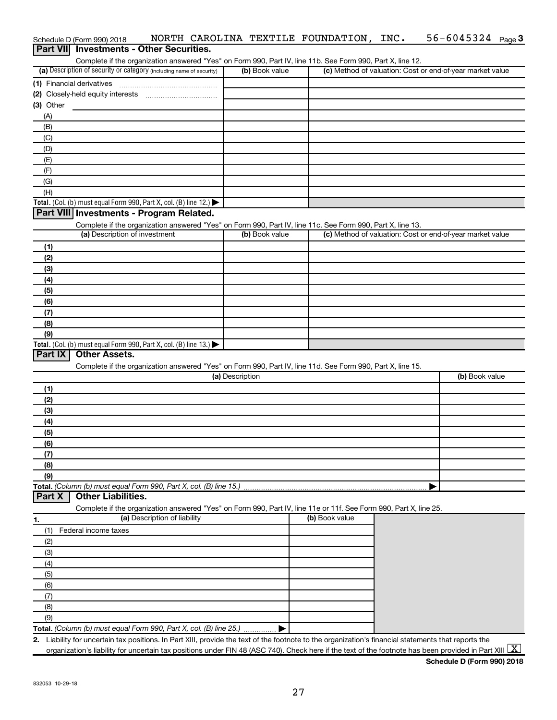|                           |                                                                                                                   |                 | Complete if the organization answered "Yes" on Form 990, Part IV, line 11b. See Form 990, Part X, line 12. |                                                           |
|---------------------------|-------------------------------------------------------------------------------------------------------------------|-----------------|------------------------------------------------------------------------------------------------------------|-----------------------------------------------------------|
|                           | (a) Description of security or category (including name of security)                                              | (b) Book value  |                                                                                                            | (c) Method of valuation: Cost or end-of-year market value |
| (1) Financial derivatives |                                                                                                                   |                 |                                                                                                            |                                                           |
|                           |                                                                                                                   |                 |                                                                                                            |                                                           |
| $(3)$ Other               |                                                                                                                   |                 |                                                                                                            |                                                           |
| (A)                       |                                                                                                                   |                 |                                                                                                            |                                                           |
| (B)                       |                                                                                                                   |                 |                                                                                                            |                                                           |
| (C)                       |                                                                                                                   |                 |                                                                                                            |                                                           |
| (D)                       |                                                                                                                   |                 |                                                                                                            |                                                           |
| (E)                       |                                                                                                                   |                 |                                                                                                            |                                                           |
| (F)                       |                                                                                                                   |                 |                                                                                                            |                                                           |
| (G)                       |                                                                                                                   |                 |                                                                                                            |                                                           |
| (H)                       |                                                                                                                   |                 |                                                                                                            |                                                           |
|                           | Total. (Col. (b) must equal Form 990, Part X, col. (B) line 12.) $\blacktriangleright$                            |                 |                                                                                                            |                                                           |
|                           | Part VIII Investments - Program Related.                                                                          |                 |                                                                                                            |                                                           |
|                           | Complete if the organization answered "Yes" on Form 990, Part IV, line 11c. See Form 990, Part X, line 13.        |                 |                                                                                                            |                                                           |
|                           | (a) Description of investment                                                                                     | (b) Book value  |                                                                                                            | (c) Method of valuation: Cost or end-of-year market value |
| (1)                       |                                                                                                                   |                 |                                                                                                            |                                                           |
| (2)                       |                                                                                                                   |                 |                                                                                                            |                                                           |
| (3)                       |                                                                                                                   |                 |                                                                                                            |                                                           |
| (4)                       |                                                                                                                   |                 |                                                                                                            |                                                           |
| (5)                       |                                                                                                                   |                 |                                                                                                            |                                                           |
| (6)                       |                                                                                                                   |                 |                                                                                                            |                                                           |
| (7)                       |                                                                                                                   |                 |                                                                                                            |                                                           |
| (8)                       |                                                                                                                   |                 |                                                                                                            |                                                           |
| (9)                       |                                                                                                                   |                 |                                                                                                            |                                                           |
|                           | Total. (Col. (b) must equal Form 990, Part X, col. (B) line 13.) $\blacktriangleright$                            |                 |                                                                                                            |                                                           |
| Part IX                   |                                                                                                                   |                 |                                                                                                            |                                                           |
|                           | <b>Other Assets.</b>                                                                                              |                 |                                                                                                            |                                                           |
|                           | Complete if the organization answered "Yes" on Form 990, Part IV, line 11d. See Form 990, Part X, line 15.        |                 |                                                                                                            |                                                           |
|                           |                                                                                                                   | (a) Description |                                                                                                            | (b) Book value                                            |
|                           |                                                                                                                   |                 |                                                                                                            |                                                           |
| (1)                       |                                                                                                                   |                 |                                                                                                            |                                                           |
| (2)                       |                                                                                                                   |                 |                                                                                                            |                                                           |
| (3)                       |                                                                                                                   |                 |                                                                                                            |                                                           |
| (4)                       |                                                                                                                   |                 |                                                                                                            |                                                           |
| (5)                       |                                                                                                                   |                 |                                                                                                            |                                                           |
| (6)                       |                                                                                                                   |                 |                                                                                                            |                                                           |
| (7)                       |                                                                                                                   |                 |                                                                                                            |                                                           |
| (8)                       |                                                                                                                   |                 |                                                                                                            |                                                           |
| (9)                       |                                                                                                                   |                 |                                                                                                            |                                                           |
|                           | Total. (Column (b) must equal Form 990, Part X, col. (B) line 15.)                                                |                 |                                                                                                            |                                                           |
|                           | <b>Other Liabilities.</b>                                                                                         |                 |                                                                                                            |                                                           |
|                           | Complete if the organization answered "Yes" on Form 990, Part IV, line 11e or 11f. See Form 990, Part X, line 25. |                 |                                                                                                            |                                                           |
|                           | (a) Description of liability                                                                                      |                 | (b) Book value                                                                                             |                                                           |
| (1)                       | Federal income taxes                                                                                              |                 |                                                                                                            |                                                           |
| (2)                       |                                                                                                                   |                 |                                                                                                            |                                                           |
| (3)                       |                                                                                                                   |                 |                                                                                                            |                                                           |
| (4)                       |                                                                                                                   |                 |                                                                                                            |                                                           |
| (5)                       |                                                                                                                   |                 |                                                                                                            |                                                           |
| (6)                       |                                                                                                                   |                 |                                                                                                            |                                                           |
| (7)                       |                                                                                                                   |                 |                                                                                                            |                                                           |
| (8)                       |                                                                                                                   |                 |                                                                                                            |                                                           |
| Part X<br>1.<br>(9)       | Total. (Column (b) must equal Form 990, Part X, col. (B) line 25.)                                                |                 |                                                                                                            |                                                           |

Schedule D (Form 990) 2018  $\;$  <code>NORTH CAROLINA TEXTILE FOUNDATION</code> , <code>INC. 56-6045324</code> <code>Page</code>

**Schedule D (Form 990) 2018**

56-6045324 Page 3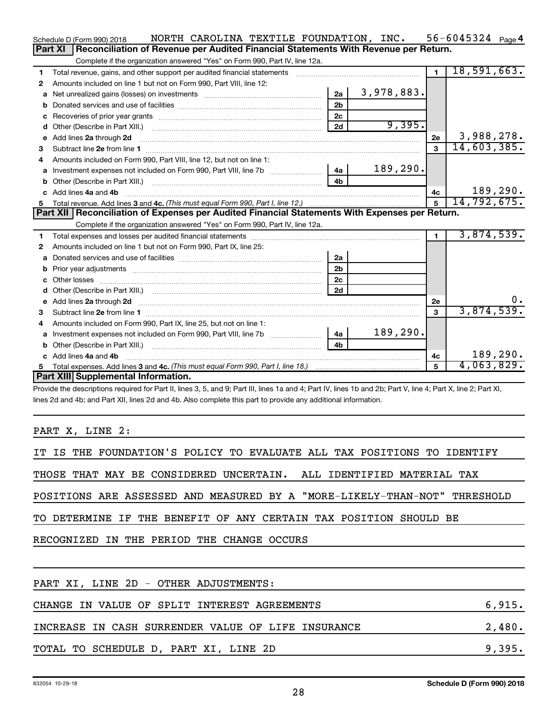|    | NORTH CAROLINA TEXTILE FOUNDATION, INC.<br>Schedule D (Form 990) 2018                                                                                                                                                               |                |            |                | 56-6045324 $_{Page}$ 4 |
|----|-------------------------------------------------------------------------------------------------------------------------------------------------------------------------------------------------------------------------------------|----------------|------------|----------------|------------------------|
|    | Reconciliation of Revenue per Audited Financial Statements With Revenue per Return.<br>Part XI                                                                                                                                      |                |            |                |                        |
|    | Complete if the organization answered "Yes" on Form 990, Part IV, line 12a.                                                                                                                                                         |                |            |                |                        |
| 1  | Total revenue, gains, and other support per audited financial statements                                                                                                                                                            |                |            | $\blacksquare$ | 18,591,663.            |
| 2  | Amounts included on line 1 but not on Form 990, Part VIII, line 12:                                                                                                                                                                 |                |            |                |                        |
| a  |                                                                                                                                                                                                                                     | 2a             | 3,978,883. |                |                        |
|    |                                                                                                                                                                                                                                     | 2 <sub>b</sub> |            |                |                        |
|    |                                                                                                                                                                                                                                     | 2c             |            |                |                        |
|    |                                                                                                                                                                                                                                     | 2d             | 9,395.     |                |                        |
|    | e Add lines 2a through 2d                                                                                                                                                                                                           |                |            | 2e             | 3,988,278.             |
| 3  |                                                                                                                                                                                                                                     |                |            | 3              | 14,603,385.            |
| 4  | Amounts included on Form 990, Part VIII, line 12, but not on line 1:                                                                                                                                                                |                |            |                |                        |
|    | a Investment expenses not included on Form 990, Part VIII, line 7b [11, 11, 11, 11, 11]                                                                                                                                             | 4a             | 189, 290.  |                |                        |
|    |                                                                                                                                                                                                                                     | 4 <sub>h</sub> |            |                |                        |
|    | c Add lines 4a and 4b                                                                                                                                                                                                               |                |            | 4с             | 189,290.               |
| 5  |                                                                                                                                                                                                                                     |                |            | 5              | 14,792,675.            |
|    | Part XII   Reconciliation of Expenses per Audited Financial Statements With Expenses per Return.                                                                                                                                    |                |            |                |                        |
|    | Complete if the organization answered "Yes" on Form 990, Part IV, line 12a.                                                                                                                                                         |                |            |                |                        |
| 1. |                                                                                                                                                                                                                                     |                |            | $\mathbf 1$    | 3,874,539.             |
| 2  | Amounts included on line 1 but not on Form 990, Part IX, line 25:                                                                                                                                                                   |                |            |                |                        |
| a  |                                                                                                                                                                                                                                     | 2a             |            |                |                        |
| b  |                                                                                                                                                                                                                                     | 2 <sub>b</sub> |            |                |                        |
|    |                                                                                                                                                                                                                                     | 2 <sub>c</sub> |            |                |                        |
|    |                                                                                                                                                                                                                                     | 2d             |            |                |                        |
|    | e Add lines 2a through 2d <b>contained a contract and a contract a</b> and a contract a contract a contract a contract a contract a contract a contract a contract a contract a contract a contract a contract a contract a contrac |                |            | 2е             |                        |
| 3  |                                                                                                                                                                                                                                     |                |            | 3              | 3,874,539.             |
| 4  | Amounts included on Form 990, Part IX, line 25, but not on line 1:                                                                                                                                                                  |                |            |                |                        |
|    |                                                                                                                                                                                                                                     | 4a             | 189,290.   |                |                        |
|    |                                                                                                                                                                                                                                     | 4 <sub>h</sub> |            |                |                        |
|    | c Add lines 4a and 4b                                                                                                                                                                                                               |                |            | 4c             | 189,290.               |
| 5  |                                                                                                                                                                                                                                     |                |            | 5              | 4,063,829.             |
|    | Part XIII Supplemental Information.                                                                                                                                                                                                 |                |            |                |                        |
|    | Provide the descriptions required for Part II, lines 3, 5, and 9; Part III, lines 1a and 4; Part IV, lines 1b and 2b; Part V, line 4; Part X, line 2; Part XI,                                                                      |                |            |                |                        |

lines 2d and 4b; and Part XII, lines 2d and 4b. Also complete this part to provide any additional information.

PART X, LINE 2:

| IT IS THE FOUNDATION'S POLICY TO EVALUATE ALL TAX POSITIONS TO IDENTIFY   |        |
|---------------------------------------------------------------------------|--------|
| THOSE THAT MAY BE CONSIDERED UNCERTAIN. ALL IDENTIFIED MATERIAL TAX       |        |
| POSITIONS ARE ASSESSED AND MEASURED BY A "MORE-LIKELY-THAN-NOT" THRESHOLD |        |
| TO DETERMINE IF THE BENEFIT OF ANY CERTAIN TAX POSITION SHOULD BE         |        |
| RECOGNIZED IN THE PERIOD THE CHANGE OCCURS                                |        |
|                                                                           |        |
| PART XI, LINE 2D - OTHER ADJUSTMENTS:                                     |        |
| CHANGE IN VALUE OF SPLIT INTEREST AGREEMENTS                              | 6,915. |
| INCREASE IN CASH SURRENDER VALUE OF LIFE INSURANCE                        | 2,480. |
| TOTAL TO SCHEDULE D, PART XI, LINE 2D                                     | 9,395. |
|                                                                           |        |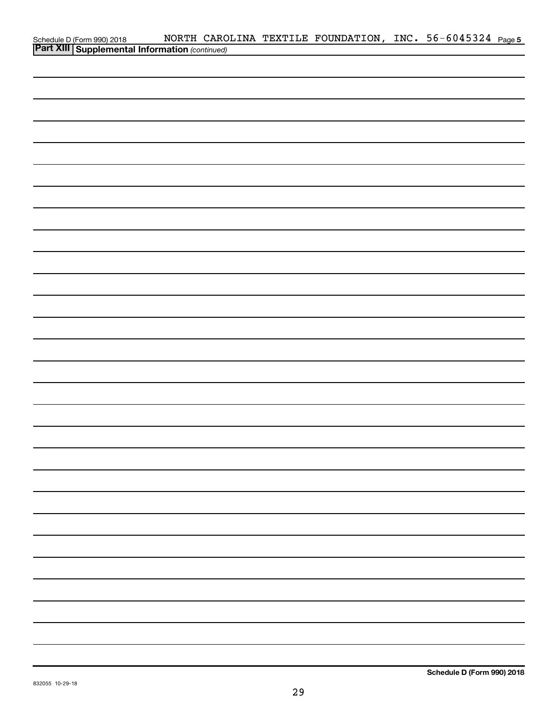| Schedule D (Form 990) 2018 NORTH CARO<br><b>Part XIII Supplemental Information</b> (continued) |  | NORTH CAROLINA TEXTILE FOUNDATION, INC. 56-6045324 Page 5 |  |  |
|------------------------------------------------------------------------------------------------|--|-----------------------------------------------------------|--|--|
|                                                                                                |  |                                                           |  |  |
|                                                                                                |  |                                                           |  |  |
|                                                                                                |  |                                                           |  |  |
|                                                                                                |  |                                                           |  |  |
|                                                                                                |  |                                                           |  |  |
|                                                                                                |  |                                                           |  |  |
|                                                                                                |  |                                                           |  |  |
|                                                                                                |  |                                                           |  |  |
|                                                                                                |  |                                                           |  |  |
|                                                                                                |  |                                                           |  |  |
|                                                                                                |  |                                                           |  |  |
|                                                                                                |  |                                                           |  |  |
|                                                                                                |  |                                                           |  |  |
|                                                                                                |  |                                                           |  |  |
|                                                                                                |  |                                                           |  |  |
|                                                                                                |  |                                                           |  |  |
|                                                                                                |  |                                                           |  |  |
|                                                                                                |  |                                                           |  |  |
|                                                                                                |  |                                                           |  |  |
|                                                                                                |  |                                                           |  |  |
|                                                                                                |  |                                                           |  |  |
|                                                                                                |  |                                                           |  |  |
|                                                                                                |  |                                                           |  |  |
|                                                                                                |  |                                                           |  |  |
|                                                                                                |  |                                                           |  |  |
|                                                                                                |  |                                                           |  |  |
|                                                                                                |  |                                                           |  |  |
|                                                                                                |  |                                                           |  |  |
|                                                                                                |  |                                                           |  |  |
|                                                                                                |  |                                                           |  |  |
|                                                                                                |  |                                                           |  |  |
|                                                                                                |  |                                                           |  |  |
|                                                                                                |  |                                                           |  |  |
|                                                                                                |  |                                                           |  |  |
|                                                                                                |  |                                                           |  |  |
|                                                                                                |  |                                                           |  |  |
|                                                                                                |  |                                                           |  |  |
|                                                                                                |  |                                                           |  |  |
|                                                                                                |  |                                                           |  |  |
|                                                                                                |  |                                                           |  |  |
|                                                                                                |  |                                                           |  |  |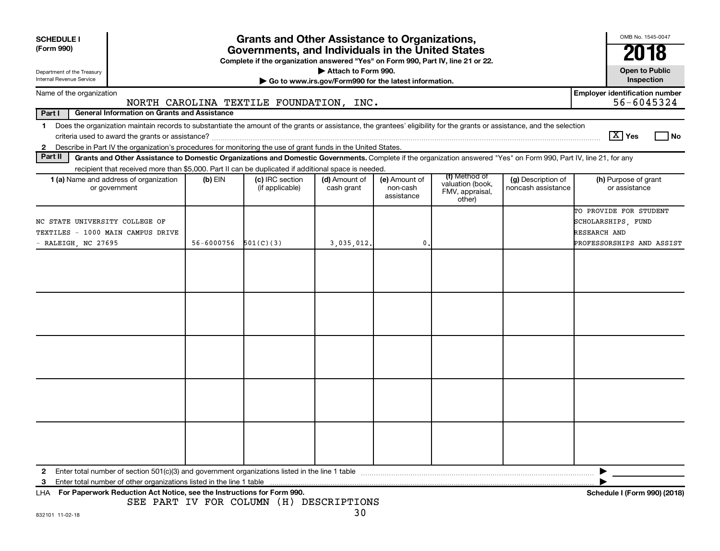| <b>SCHEDULE I</b><br>(Form 990)<br>Department of the Treasury<br>Internal Revenue Service |                                                                                                                                                                          |            | <b>Grants and Other Assistance to Organizations,</b><br>Governments, and Individuals in the United States<br>Complete if the organization answered "Yes" on Form 990, Part IV, line 21 or 22. | Attach to Form 990.<br>Go to www.irs.gov/Form990 for the latest information. |                                         |                                                                |                                          | OMB No. 1545-0047<br>2018<br><b>Open to Public</b><br>Inspection |
|-------------------------------------------------------------------------------------------|--------------------------------------------------------------------------------------------------------------------------------------------------------------------------|------------|-----------------------------------------------------------------------------------------------------------------------------------------------------------------------------------------------|------------------------------------------------------------------------------|-----------------------------------------|----------------------------------------------------------------|------------------------------------------|------------------------------------------------------------------|
| Name of the organization                                                                  |                                                                                                                                                                          |            |                                                                                                                                                                                               |                                                                              |                                         |                                                                |                                          | <b>Employer identification number</b>                            |
|                                                                                           |                                                                                                                                                                          |            | NORTH CAROLINA TEXTILE FOUNDATION, INC.                                                                                                                                                       |                                                                              |                                         |                                                                |                                          | 56-6045324                                                       |
| Part I                                                                                    | <b>General Information on Grants and Assistance</b>                                                                                                                      |            |                                                                                                                                                                                               |                                                                              |                                         |                                                                |                                          |                                                                  |
| 1                                                                                         | Does the organization maintain records to substantiate the amount of the grants or assistance, the grantees' eligibility for the grants or assistance, and the selection |            |                                                                                                                                                                                               |                                                                              |                                         |                                                                |                                          | $\boxed{\text{X}}$ Yes                                           |
| $\mathbf{2}$                                                                              | Describe in Part IV the organization's procedures for monitoring the use of grant funds in the United States.                                                            |            |                                                                                                                                                                                               |                                                                              |                                         |                                                                |                                          | No                                                               |
| Part II                                                                                   | Grants and Other Assistance to Domestic Organizations and Domestic Governments. Complete if the organization answered "Yes" on Form 990, Part IV, line 21, for any       |            |                                                                                                                                                                                               |                                                                              |                                         |                                                                |                                          |                                                                  |
|                                                                                           | recipient that received more than \$5,000. Part II can be duplicated if additional space is needed.                                                                      |            |                                                                                                                                                                                               |                                                                              |                                         |                                                                |                                          |                                                                  |
|                                                                                           | 1 (a) Name and address of organization<br>or government                                                                                                                  | $(b)$ EIN  | (c) IRC section<br>(if applicable)                                                                                                                                                            | (d) Amount of<br>cash grant                                                  | (e) Amount of<br>non-cash<br>assistance | (f) Method of<br>valuation (book,<br>FMV, appraisal,<br>other) | (g) Description of<br>noncash assistance | (h) Purpose of grant<br>or assistance                            |
| NC STATE UNIVERSITY COLLEGE OF<br>TEXTILES - 1000 MAIN CAMPUS DRIVE                       |                                                                                                                                                                          |            |                                                                                                                                                                                               |                                                                              |                                         |                                                                |                                          | TO PROVIDE FOR STUDENT<br>SCHOLARSHIPS, FUND<br>RESEARCH AND     |
| - RALEIGH, NC 27695                                                                       |                                                                                                                                                                          | 56-6000756 | 501(C)(3)                                                                                                                                                                                     | 3,035,012.                                                                   | $\mathbf 0$                             |                                                                |                                          | PROFESSORSHIPS AND ASSIST                                        |
|                                                                                           |                                                                                                                                                                          |            |                                                                                                                                                                                               |                                                                              |                                         |                                                                |                                          |                                                                  |
|                                                                                           |                                                                                                                                                                          |            |                                                                                                                                                                                               |                                                                              |                                         |                                                                |                                          |                                                                  |
| 2<br>3                                                                                    | Enter total number of other organizations listed in the line 1 table<br>LHA For Paperwork Reduction Act Notice, see the Instructions for Form 990.                       |            |                                                                                                                                                                                               |                                                                              |                                         |                                                                |                                          | Schedule I (Form 990) (2018)                                     |
|                                                                                           |                                                                                                                                                                          |            | SEE PART IV FOR COLUMN (H) DESCRIPTIONS                                                                                                                                                       |                                                                              |                                         |                                                                |                                          |                                                                  |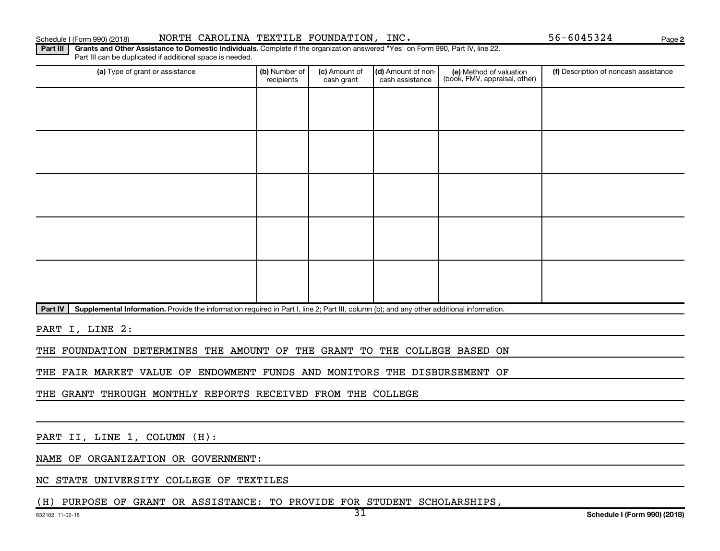Schedule I (Form 990) (2018) NORTH CAROLINA TEXTILE FOUNDATION,INC. 56-6045324 Page

**2**

Part III | Grants and Other Assistance to Domestic Individuals. Complete if the organization answered "Yes" on Form 990, Part IV, line 22. Part III can be duplicated if additional space is needed.

| (a) Type of grant or assistance | (b) Number of<br>recipients | (c) Amount of<br>cash grant | (d) Amount of non-<br>cash assistance | (e) Method of valuation<br>(book, FMV, appraisal, other) | (f) Description of noncash assistance |
|---------------------------------|-----------------------------|-----------------------------|---------------------------------------|----------------------------------------------------------|---------------------------------------|
|                                 |                             |                             |                                       |                                                          |                                       |
|                                 |                             |                             |                                       |                                                          |                                       |
|                                 |                             |                             |                                       |                                                          |                                       |
|                                 |                             |                             |                                       |                                                          |                                       |
|                                 |                             |                             |                                       |                                                          |                                       |
|                                 |                             |                             |                                       |                                                          |                                       |
|                                 |                             |                             |                                       |                                                          |                                       |
|                                 |                             |                             |                                       |                                                          |                                       |
|                                 |                             |                             |                                       |                                                          |                                       |
|                                 |                             |                             |                                       |                                                          |                                       |

Part IV | Supplemental Information. Provide the information required in Part I, line 2; Part III, column (b); and any other additional information.

PART I, LINE 2:

THE FOUNDATION DETERMINES THE AMOUNT OF THE GRANT TO THE COLLEGE BASED ON

THE FAIR MARKET VALUE OF ENDOWMENT FUNDS AND MONITORS THE DISBURSEMENT OF

THE GRANT THROUGH MONTHLY REPORTS RECEIVED FROM THE COLLEGE

PART II, LINE 1, COLUMN (H):

NAME OF ORGANIZATION OR GOVERNMENT:

NC STATE UNIVERSITY COLLEGE OF TEXTILES

(H) PURPOSE OF GRANT OR ASSISTANCE: TO PROVIDE FOR STUDENT SCHOLARSHIPS,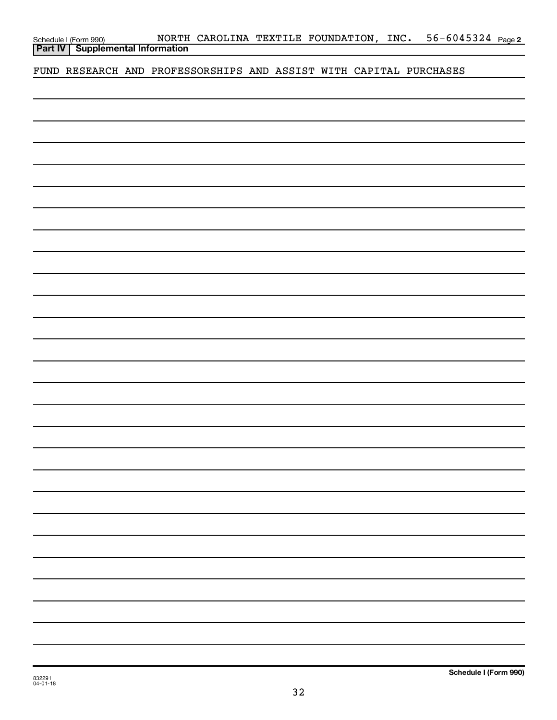| Schedule I (Form 990) |  |
|-----------------------|--|
|                       |  |

FUND RESEARCH AND PROFESSORSHIPS AND ASSIST WITH CAPITAL PURCHASES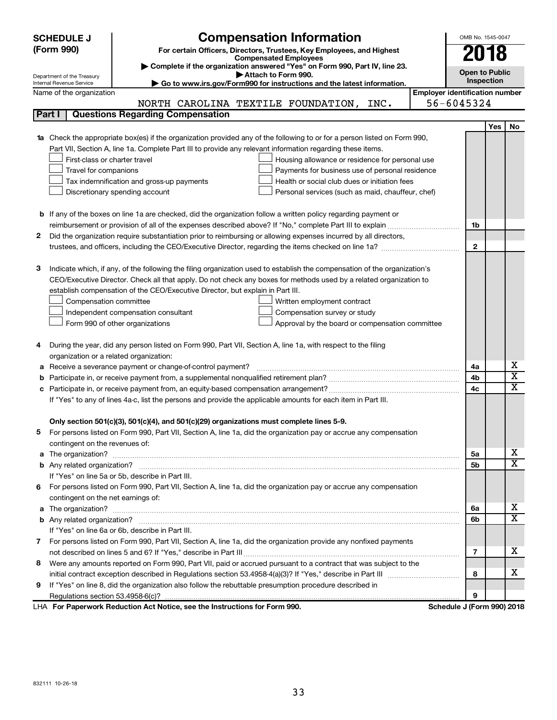|    | <b>SCHEDULE J</b>                                                                                            | <b>Compensation Information</b>                                                                                           | OMB No. 1545-0047                     |            |                         |
|----|--------------------------------------------------------------------------------------------------------------|---------------------------------------------------------------------------------------------------------------------------|---------------------------------------|------------|-------------------------|
|    | (Form 990)                                                                                                   | For certain Officers, Directors, Trustees, Key Employees, and Highest                                                     |                                       |            |                         |
|    |                                                                                                              | <b>Compensated Employees</b>                                                                                              |                                       | 2018       |                         |
|    |                                                                                                              | Complete if the organization answered "Yes" on Form 990, Part IV, line 23.                                                | <b>Open to Public</b>                 |            |                         |
|    | Department of the Treasury<br>Internal Revenue Service                                                       | Attach to Form 990.<br>Go to www.irs.gov/Form990 for instructions and the latest information.                             |                                       | Inspection |                         |
|    | Name of the organization                                                                                     |                                                                                                                           | <b>Employer identification number</b> |            |                         |
|    |                                                                                                              | NORTH CAROLINA TEXTILE FOUNDATION,<br>INC.                                                                                | 56-6045324                            |            |                         |
|    | Part I<br><b>Questions Regarding Compensation</b>                                                            |                                                                                                                           |                                       |            |                         |
|    |                                                                                                              |                                                                                                                           |                                       | Yes        | No                      |
| 1a |                                                                                                              | Check the appropriate box(es) if the organization provided any of the following to or for a person listed on Form 990,    |                                       |            |                         |
|    | Part VII, Section A, line 1a. Complete Part III to provide any relevant information regarding these items.   |                                                                                                                           |                                       |            |                         |
|    | First-class or charter travel                                                                                | Housing allowance or residence for personal use                                                                           |                                       |            |                         |
|    | Travel for companions                                                                                        | Payments for business use of personal residence                                                                           |                                       |            |                         |
|    | Tax indemnification and gross-up payments                                                                    | Health or social club dues or initiation fees                                                                             |                                       |            |                         |
|    | Discretionary spending account                                                                               | Personal services (such as maid, chauffeur, chef)                                                                         |                                       |            |                         |
|    |                                                                                                              |                                                                                                                           |                                       |            |                         |
|    |                                                                                                              | <b>b</b> If any of the boxes on line 1a are checked, did the organization follow a written policy regarding payment or    |                                       |            |                         |
|    |                                                                                                              |                                                                                                                           | 1b                                    |            |                         |
| 2  |                                                                                                              | Did the organization require substantiation prior to reimbursing or allowing expenses incurred by all directors,          |                                       |            |                         |
|    |                                                                                                              |                                                                                                                           | $\mathbf{2}$                          |            |                         |
|    |                                                                                                              |                                                                                                                           |                                       |            |                         |
| з  |                                                                                                              | Indicate which, if any, of the following the filing organization used to establish the compensation of the organization's |                                       |            |                         |
|    |                                                                                                              | CEO/Executive Director. Check all that apply. Do not check any boxes for methods used by a related organization to        |                                       |            |                         |
|    | establish compensation of the CEO/Executive Director, but explain in Part III.                               |                                                                                                                           |                                       |            |                         |
|    | Compensation committee                                                                                       | Written employment contract                                                                                               |                                       |            |                         |
|    | Independent compensation consultant                                                                          | Compensation survey or study                                                                                              |                                       |            |                         |
|    | Form 990 of other organizations                                                                              | Approval by the board or compensation committee                                                                           |                                       |            |                         |
|    |                                                                                                              |                                                                                                                           |                                       |            |                         |
| 4  | During the year, did any person listed on Form 990, Part VII, Section A, line 1a, with respect to the filing |                                                                                                                           |                                       |            |                         |
|    | organization or a related organization:                                                                      |                                                                                                                           |                                       |            |                         |
| а  | Receive a severance payment or change-of-control payment?                                                    |                                                                                                                           | 4a                                    |            | х                       |
| b  |                                                                                                              |                                                                                                                           | 4b                                    |            | $\overline{\textbf{x}}$ |
| c  |                                                                                                              |                                                                                                                           | 4c                                    |            | $\overline{\textbf{x}}$ |
|    |                                                                                                              | If "Yes" to any of lines 4a-c, list the persons and provide the applicable amounts for each item in Part III.             |                                       |            |                         |
|    |                                                                                                              |                                                                                                                           |                                       |            |                         |
|    | Only section 501(c)(3), 501(c)(4), and 501(c)(29) organizations must complete lines 5-9.                     |                                                                                                                           |                                       |            |                         |
|    |                                                                                                              | For persons listed on Form 990, Part VII, Section A, line 1a, did the organization pay or accrue any compensation         |                                       |            |                         |
|    | contingent on the revenues of:                                                                               |                                                                                                                           |                                       |            |                         |
|    |                                                                                                              |                                                                                                                           | 5а                                    |            | х                       |
|    |                                                                                                              |                                                                                                                           | 5b                                    |            | х                       |
|    | If "Yes" on line 5a or 5b, describe in Part III.                                                             |                                                                                                                           |                                       |            |                         |
| 6. |                                                                                                              | For persons listed on Form 990, Part VII, Section A, line 1a, did the organization pay or accrue any compensation         |                                       |            |                         |
|    | contingent on the net earnings of:                                                                           |                                                                                                                           |                                       |            |                         |
|    |                                                                                                              |                                                                                                                           | 6a                                    |            | х                       |
|    |                                                                                                              |                                                                                                                           | 6b                                    |            | х                       |
|    | If "Yes" on line 6a or 6b, describe in Part III.                                                             |                                                                                                                           |                                       |            |                         |
|    |                                                                                                              | 7 For persons listed on Form 990, Part VII, Section A, line 1a, did the organization provide any nonfixed payments        |                                       |            |                         |
|    |                                                                                                              |                                                                                                                           | 7                                     |            | х                       |
| 8  |                                                                                                              | Were any amounts reported on Form 990, Part VII, paid or accrued pursuant to a contract that was subject to the           |                                       |            |                         |
|    |                                                                                                              |                                                                                                                           | 8                                     |            | х                       |
| 9  | If "Yes" on line 8, did the organization also follow the rebuttable presumption procedure described in       |                                                                                                                           |                                       |            |                         |
|    |                                                                                                              |                                                                                                                           | 9                                     |            |                         |
|    | duction Act Notice and the Instructions for Form 000                                                         |                                                                                                                           | Calcadola, 175an                      |            | 00010040                |

**For Paperwork Reduction Act Notice, see the Instructions for Form 990. Schedule J (Form 990) 2018** LHA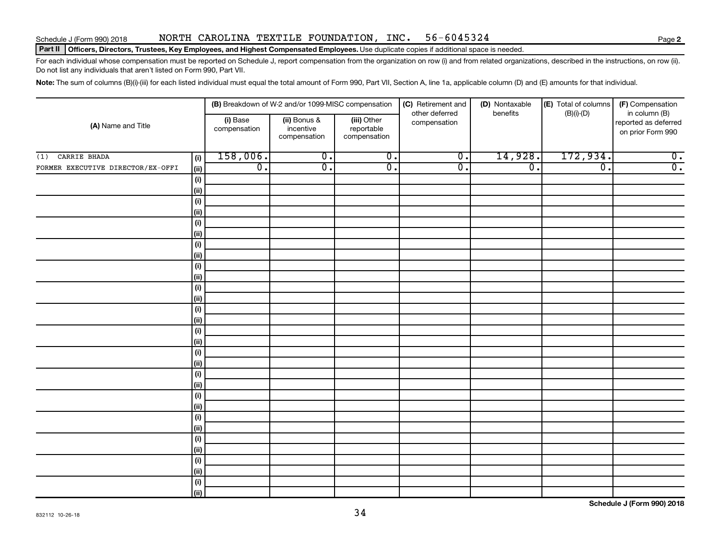#### Schedule J (Form 990) 2018 NORTH CAROLINA TEXTILE FOUNDATION,INC. 56-6045324 Page

#### Part II | Officers, Directors, Trustees, Key Employees, and Highest Compensated Employees. Use duplicate copies if additional space is needed.

For each individual whose compensation must be reported on Schedule J, report compensation from the organization on row (i) and from related organizations, described in the instructions, on row (ii). Do not list any individuals that aren't listed on Form 990, Part VII.

Note: The sum of columns (B)(i)-(iii) for each listed individual must equal the total amount of Form 990, Part VII, Section A, line 1a, applicable column (D) and (E) amounts for that individual.

|                                   |             | (B) Breakdown of W-2 and/or 1099-MISC compensation |                                           |                                           | (C) Retirement and             | (D) Nontaxable   | (E) Total of columns | (F) Compensation<br>in column (B)         |  |
|-----------------------------------|-------------|----------------------------------------------------|-------------------------------------------|-------------------------------------------|--------------------------------|------------------|----------------------|-------------------------------------------|--|
| (A) Name and Title                |             | (i) Base<br>compensation                           | (ii) Bonus &<br>incentive<br>compensation | (iii) Other<br>reportable<br>compensation | other deferred<br>compensation | benefits         | $(B)(i)$ - $(D)$     | reported as deferred<br>on prior Form 990 |  |
| CARRIE BHADA<br>(1)               | (i)         | 158,006.                                           | $\overline{0}$ .                          | $\overline{0}$ .                          | $\overline{\mathfrak{o}}$ .    | 14,928.          | 172,934.             | $\overline{0}$ .                          |  |
| FORMER EXECUTIVE DIRECTOR/EX-OFFI | (ii)        | $\overline{0}$ .                                   | $\overline{0}$ .                          | $\overline{0}$ .                          | $\overline{0}$ .               | $\overline{0}$ . | $\overline{0}$ .     | $\overline{0}$ .                          |  |
|                                   | (i)         |                                                    |                                           |                                           |                                |                  |                      |                                           |  |
|                                   | (ii)        |                                                    |                                           |                                           |                                |                  |                      |                                           |  |
|                                   | (i)         |                                                    |                                           |                                           |                                |                  |                      |                                           |  |
|                                   | (ii)        |                                                    |                                           |                                           |                                |                  |                      |                                           |  |
|                                   | (i)         |                                                    |                                           |                                           |                                |                  |                      |                                           |  |
|                                   | (ii)        |                                                    |                                           |                                           |                                |                  |                      |                                           |  |
|                                   | (i)         |                                                    |                                           |                                           |                                |                  |                      |                                           |  |
|                                   | (ii)        |                                                    |                                           |                                           |                                |                  |                      |                                           |  |
|                                   | (i)         |                                                    |                                           |                                           |                                |                  |                      |                                           |  |
|                                   | (ii)        |                                                    |                                           |                                           |                                |                  |                      |                                           |  |
|                                   | (i)<br>(ii) |                                                    |                                           |                                           |                                |                  |                      |                                           |  |
|                                   | (i)         |                                                    |                                           |                                           |                                |                  |                      |                                           |  |
|                                   | (ii)        |                                                    |                                           |                                           |                                |                  |                      |                                           |  |
|                                   | (i)         |                                                    |                                           |                                           |                                |                  |                      |                                           |  |
|                                   | (ii)        |                                                    |                                           |                                           |                                |                  |                      |                                           |  |
|                                   | (i)         |                                                    |                                           |                                           |                                |                  |                      |                                           |  |
|                                   | (ii)        |                                                    |                                           |                                           |                                |                  |                      |                                           |  |
|                                   | (i)         |                                                    |                                           |                                           |                                |                  |                      |                                           |  |
|                                   | (ii)        |                                                    |                                           |                                           |                                |                  |                      |                                           |  |
|                                   | (i)         |                                                    |                                           |                                           |                                |                  |                      |                                           |  |
|                                   | (ii)        |                                                    |                                           |                                           |                                |                  |                      |                                           |  |
|                                   | (i)         |                                                    |                                           |                                           |                                |                  |                      |                                           |  |
|                                   | (ii)        |                                                    |                                           |                                           |                                |                  |                      |                                           |  |
|                                   | (i)         |                                                    |                                           |                                           |                                |                  |                      |                                           |  |
|                                   | (ii)        |                                                    |                                           |                                           |                                |                  |                      |                                           |  |
|                                   | $(\sf{i})$  |                                                    |                                           |                                           |                                |                  |                      |                                           |  |
|                                   | (ii)        |                                                    |                                           |                                           |                                |                  |                      |                                           |  |
|                                   | (i)         |                                                    |                                           |                                           |                                |                  |                      |                                           |  |
|                                   | (ii)        |                                                    |                                           |                                           |                                |                  |                      |                                           |  |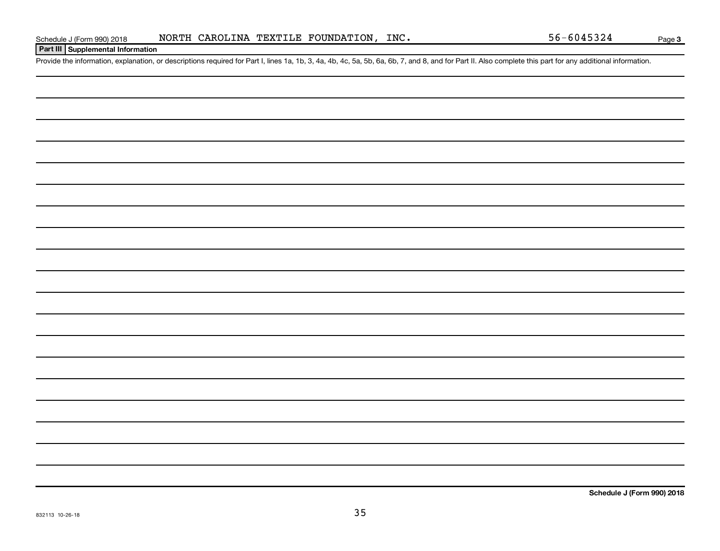### **Part III Supplemental Information**

Provide the information, explanation, or descriptions required for Part I, lines 1a, 1b, 3, 4a, 4b, 4c, 5a, 5b, 6a, 6b, 7, and 8, and for Part II. Also complete this part for any additional information.

**Schedule J (Form 990) 2018**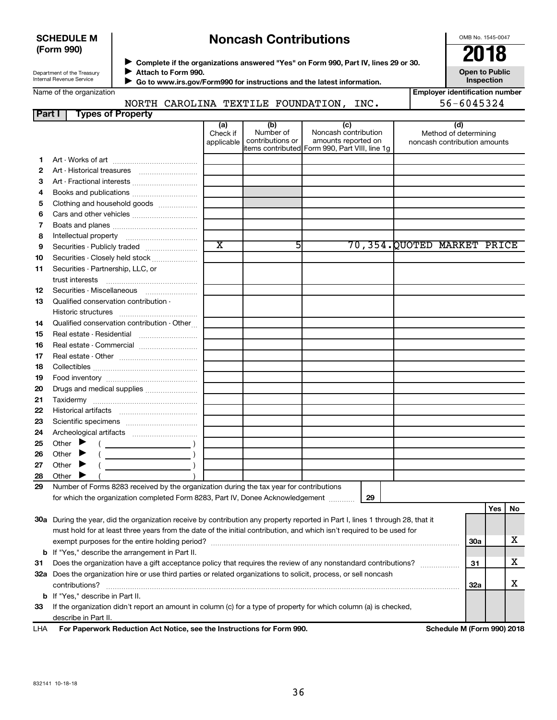#### **SCHEDULE M (Form 990)**

## **Noncash Contributions**

OMB No. 1545-0047

Department of the T <u>Inter</u>

◆ Complete if the organizations answered "Yes" on Form 990, Part IV, lines 29 or 30.<br>▶ Complete if the organizations answered "Yes" on Form 990, Part IV, lines 29 or 30. **Attach to Form 990.**  $\blacktriangleright$ 

**Open to Public**

|    | Department of the Treasury<br><b>ALLACTI TO LOLITI AAO'</b><br>Internal Revenue Service<br>Go to www.irs.gov/Form990 for instructions and the latest information.                                                                                                                                                                                                                                                                            |                               |                                                                                        |                                                    |    |                                                       | Open to Fublic<br>Inspection |     |    |
|----|----------------------------------------------------------------------------------------------------------------------------------------------------------------------------------------------------------------------------------------------------------------------------------------------------------------------------------------------------------------------------------------------------------------------------------------------|-------------------------------|----------------------------------------------------------------------------------------|----------------------------------------------------|----|-------------------------------------------------------|------------------------------|-----|----|
|    | Name of the organization                                                                                                                                                                                                                                                                                                                                                                                                                     |                               |                                                                                        |                                                    |    | <b>Employer identification number</b>                 |                              |     |    |
|    | NORTH CAROLINA TEXTILE FOUNDATION, INC.                                                                                                                                                                                                                                                                                                                                                                                                      |                               |                                                                                        |                                                    |    |                                                       | 56-6045324                   |     |    |
|    | <b>Part I</b><br><b>Types of Property</b>                                                                                                                                                                                                                                                                                                                                                                                                    |                               |                                                                                        |                                                    |    |                                                       |                              |     |    |
|    |                                                                                                                                                                                                                                                                                                                                                                                                                                              | (a)<br>Check if<br>applicable | (b)<br>Number of<br>contributions or<br>items contributed Form 990, Part VIII, line 1g | (c)<br>Noncash contribution<br>amounts reported on |    | Method of determining<br>noncash contribution amounts | (d)                          |     |    |
| 1. |                                                                                                                                                                                                                                                                                                                                                                                                                                              |                               |                                                                                        |                                                    |    |                                                       |                              |     |    |
| 2  |                                                                                                                                                                                                                                                                                                                                                                                                                                              |                               |                                                                                        |                                                    |    |                                                       |                              |     |    |
| З  |                                                                                                                                                                                                                                                                                                                                                                                                                                              |                               |                                                                                        |                                                    |    |                                                       |                              |     |    |
| 4  |                                                                                                                                                                                                                                                                                                                                                                                                                                              |                               |                                                                                        |                                                    |    |                                                       |                              |     |    |
| 5  | Clothing and household goods                                                                                                                                                                                                                                                                                                                                                                                                                 |                               |                                                                                        |                                                    |    |                                                       |                              |     |    |
| 6  |                                                                                                                                                                                                                                                                                                                                                                                                                                              |                               |                                                                                        |                                                    |    |                                                       |                              |     |    |
| 7  |                                                                                                                                                                                                                                                                                                                                                                                                                                              |                               |                                                                                        |                                                    |    |                                                       |                              |     |    |
| 8  |                                                                                                                                                                                                                                                                                                                                                                                                                                              |                               |                                                                                        |                                                    |    |                                                       |                              |     |    |
| 9  |                                                                                                                                                                                                                                                                                                                                                                                                                                              | $\overline{\textnormal{x}}$   | 51                                                                                     |                                                    |    | 70,354.QUOTED MARKET PRICE                            |                              |     |    |
| 10 | Securities - Closely held stock                                                                                                                                                                                                                                                                                                                                                                                                              |                               |                                                                                        |                                                    |    |                                                       |                              |     |    |
| 11 | Securities - Partnership, LLC, or<br>trust interests                                                                                                                                                                                                                                                                                                                                                                                         |                               |                                                                                        |                                                    |    |                                                       |                              |     |    |
| 12 | Securities - Miscellaneous                                                                                                                                                                                                                                                                                                                                                                                                                   |                               |                                                                                        |                                                    |    |                                                       |                              |     |    |
| 13 | Qualified conservation contribution -<br>Historic structures                                                                                                                                                                                                                                                                                                                                                                                 |                               |                                                                                        |                                                    |    |                                                       |                              |     |    |
| 14 | Qualified conservation contribution - Other                                                                                                                                                                                                                                                                                                                                                                                                  |                               |                                                                                        |                                                    |    |                                                       |                              |     |    |
| 15 |                                                                                                                                                                                                                                                                                                                                                                                                                                              |                               |                                                                                        |                                                    |    |                                                       |                              |     |    |
| 16 | Real estate - Commercial                                                                                                                                                                                                                                                                                                                                                                                                                     |                               |                                                                                        |                                                    |    |                                                       |                              |     |    |
| 17 |                                                                                                                                                                                                                                                                                                                                                                                                                                              |                               |                                                                                        |                                                    |    |                                                       |                              |     |    |
| 18 |                                                                                                                                                                                                                                                                                                                                                                                                                                              |                               |                                                                                        |                                                    |    |                                                       |                              |     |    |
| 19 |                                                                                                                                                                                                                                                                                                                                                                                                                                              |                               |                                                                                        |                                                    |    |                                                       |                              |     |    |
| 20 |                                                                                                                                                                                                                                                                                                                                                                                                                                              |                               |                                                                                        |                                                    |    |                                                       |                              |     |    |
| 21 |                                                                                                                                                                                                                                                                                                                                                                                                                                              |                               |                                                                                        |                                                    |    |                                                       |                              |     |    |
| 22 |                                                                                                                                                                                                                                                                                                                                                                                                                                              |                               |                                                                                        |                                                    |    |                                                       |                              |     |    |
| 23 |                                                                                                                                                                                                                                                                                                                                                                                                                                              |                               |                                                                                        |                                                    |    |                                                       |                              |     |    |
| 24 |                                                                                                                                                                                                                                                                                                                                                                                                                                              |                               |                                                                                        |                                                    |    |                                                       |                              |     |    |
| 25 | Other $\blacktriangleright$<br>$\left(\begin{array}{ccc}\n\frac{1}{2} & \frac{1}{2} & \frac{1}{2} & \frac{1}{2} & \frac{1}{2} & \frac{1}{2} & \frac{1}{2} & \frac{1}{2} & \frac{1}{2} & \frac{1}{2} & \frac{1}{2} & \frac{1}{2} & \frac{1}{2} & \frac{1}{2} & \frac{1}{2} & \frac{1}{2} & \frac{1}{2} & \frac{1}{2} & \frac{1}{2} & \frac{1}{2} & \frac{1}{2} & \frac{1}{2} & \frac{1}{2} & \frac{1}{2} & \frac{1}{2} & \frac{1}{2} & \frac$ |                               |                                                                                        |                                                    |    |                                                       |                              |     |    |
| 26 | Other $\blacktriangleright$                                                                                                                                                                                                                                                                                                                                                                                                                  |                               |                                                                                        |                                                    |    |                                                       |                              |     |    |
| 27 | Other<br>$\frac{1}{\sqrt{1-\frac{1}{2}}\sqrt{1-\frac{1}{2}}\sqrt{1-\frac{1}{2}}\sqrt{1-\frac{1}{2}}\sqrt{1-\frac{1}{2}}\sqrt{1-\frac{1}{2}}\sqrt{1-\frac{1}{2}}\sqrt{1-\frac{1}{2}}\sqrt{1-\frac{1}{2}}\sqrt{1-\frac{1}{2}}\sqrt{1-\frac{1}{2}}\sqrt{1-\frac{1}{2}}\sqrt{1-\frac{1}{2}}\sqrt{1-\frac{1}{2}}\sqrt{1-\frac{1}{2}}\sqrt{1-\frac{1}{2}}\sqrt{1-\frac{1}{2}}\sqrt{1-\frac{1}{2}}\sqrt{1-\frac{1}{2}}\sqrt{1-\frac$                |                               |                                                                                        |                                                    |    |                                                       |                              |     |    |
| 28 | Other $\blacktriangleright$                                                                                                                                                                                                                                                                                                                                                                                                                  |                               |                                                                                        |                                                    |    |                                                       |                              |     |    |
| 29 | Number of Forms 8283 received by the organization during the tax year for contributions                                                                                                                                                                                                                                                                                                                                                      |                               |                                                                                        |                                                    |    |                                                       |                              |     |    |
|    | for which the organization completed Form 8283, Part IV, Donee Acknowledgement                                                                                                                                                                                                                                                                                                                                                               |                               |                                                                                        |                                                    | 29 |                                                       |                              |     |    |
|    |                                                                                                                                                                                                                                                                                                                                                                                                                                              |                               |                                                                                        |                                                    |    |                                                       |                              | Yes | No |
|    | 30a During the year, did the organization receive by contribution any property reported in Part I, lines 1 through 28, that it                                                                                                                                                                                                                                                                                                               |                               |                                                                                        |                                                    |    |                                                       |                              |     |    |
|    | must hold for at least three years from the date of the initial contribution, and which isn't required to be used for                                                                                                                                                                                                                                                                                                                        |                               |                                                                                        |                                                    |    |                                                       |                              |     |    |
|    |                                                                                                                                                                                                                                                                                                                                                                                                                                              |                               |                                                                                        |                                                    |    |                                                       | <b>30a</b>                   |     | X  |
|    | <b>b</b> If "Yes," describe the arrangement in Part II.                                                                                                                                                                                                                                                                                                                                                                                      |                               |                                                                                        |                                                    |    |                                                       |                              |     |    |
| 31 | Does the organization have a gift acceptance policy that requires the review of any nonstandard contributions?                                                                                                                                                                                                                                                                                                                               |                               |                                                                                        |                                                    |    |                                                       | 31                           |     | x  |
|    | 32a Does the organization hire or use third parties or related organizations to solicit, process, or sell noncash                                                                                                                                                                                                                                                                                                                            |                               |                                                                                        |                                                    |    |                                                       |                              |     |    |
|    | contributions?                                                                                                                                                                                                                                                                                                                                                                                                                               |                               |                                                                                        |                                                    |    |                                                       | <b>32a</b>                   |     | X  |
|    | <b>b</b> If "Yes," describe in Part II.                                                                                                                                                                                                                                                                                                                                                                                                      |                               |                                                                                        |                                                    |    |                                                       |                              |     |    |

**33** If the organization didn't report an amount in column (c) for a type of property for which column (a) is checked, describe in Part II.

**For Paperwork Reduction Act Notice, see the Instructions for Form 990. Schedule M (Form 990) 2018** LHA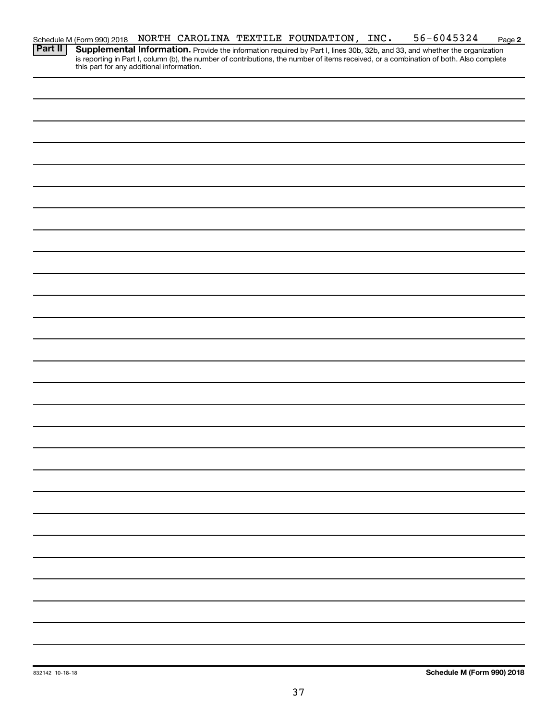|  |  | Schedule M (Form 990) 2018 NORTH CAROLINA TEXTILE FOUNDATION, INC. | 56-6045324                                                                                                                  | Page 2 |
|--|--|--------------------------------------------------------------------|-----------------------------------------------------------------------------------------------------------------------------|--------|
|  |  |                                                                    | <b>Dart II Supplemental Information</b> During the information was the Dutletine 20th 20th and 20 and what the intervention |        |

Provide the information required by Part I, lines 30b, 32b, and 33, and whether the organization is reporting in Part I, column (b), the number of contributions, the number of items received, or a combination of both. Also complete this part for any additional information. **Part II Supplemental Information.**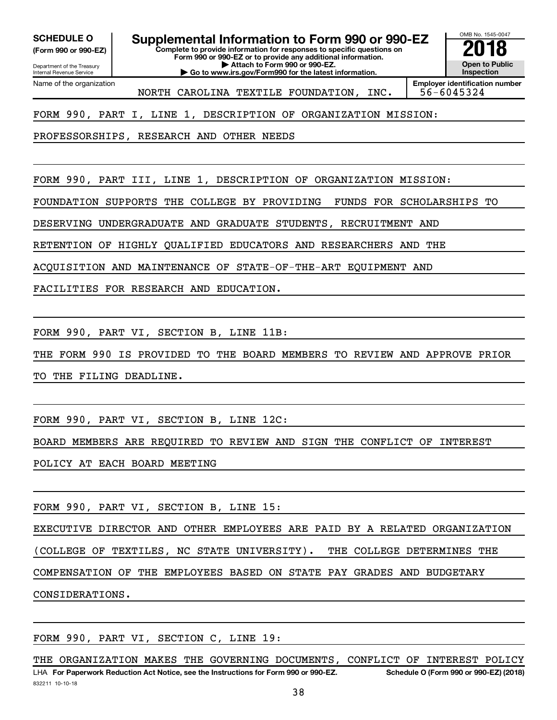**(Form 990 or 990-EZ)**

Department of the Treasury

# **SCHEDULE O Supplemental Information to Form 990 or 990-EZ 2018**<br>(Form 990 or 990-EZ) Complete to provide information for responses to specific questions on

**Complete to provide information for responses to specific questions on Form 990 or 990-EZ or to provide any additional information. | Attach to Form 990 or 990-EZ.**

**| Go to www.irs.gov/Form990 for the latest information.**

**Open to Public Inspection Employer identification number**

OMB No. 1545-0047

Internal Revenue Service Name of the organization

NORTH CAROLINA TEXTILE FOUNDATION, INC. 56-6045324

FORM 990, PART I, LINE 1, DESCRIPTION OF ORGANIZATION MISSION:

PROFESSORSHIPS, RESEARCH AND OTHER NEEDS

FORM 990, PART III, LINE 1, DESCRIPTION OF ORGANIZATION MISSION:

FOUNDATION SUPPORTS THE COLLEGE BY PROVIDING FUNDS FOR SCHOLARSHIPS TO

DESERVING UNDERGRADUATE AND GRADUATE STUDENTS, RECRUITMENT AND

RETENTION OF HIGHLY QUALIFIED EDUCATORS AND RESEARCHERS AND THE

ACQUISITION AND MAINTENANCE OF STATE-OF-THE-ART EQUIPMENT AND

FACILITIES FOR RESEARCH AND EDUCATION.

FORM 990, PART VI, SECTION B, LINE 11B:

THE FORM 990 IS PROVIDED TO THE BOARD MEMBERS TO REVIEW AND APPROVE PRIOR

TO THE FILING DEADLINE.

FORM 990, PART VI, SECTION B, LINE 12C:

BOARD MEMBERS ARE REQUIRED TO REVIEW AND SIGN THE CONFLICT OF INTEREST

POLICY AT EACH BOARD MEETING

FORM 990, PART VI, SECTION B, LINE 15:

EXECUTIVE DIRECTOR AND OTHER EMPLOYEES ARE PAID BY A RELATED ORGANIZATION

(COLLEGE OF TEXTILES, NC STATE UNIVERSITY). THE COLLEGE DETERMINES THE

COMPENSATION OF THE EMPLOYEES BASED ON STATE PAY GRADES AND BUDGETARY

CONSIDERATIONS.

FORM 990, PART VI, SECTION C, LINE 19:

832211 10-10-18 LHA For Paperwork Reduction Act Notice, see the Instructions for Form 990 or 990-EZ. Schedule O (Form 990 or 990-EZ) (2018) THE ORGANIZATION MAKES THE GOVERNING DOCUMENTS, CONFLICT OF INTEREST POLICY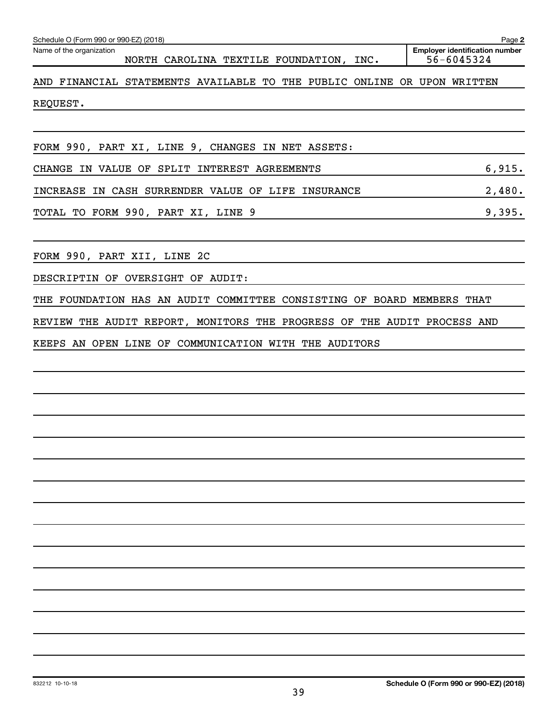| Schedule O (Form 990 or 990-EZ) (2018)                                  | Page 2                                              |
|-------------------------------------------------------------------------|-----------------------------------------------------|
| Name of the organization<br>NORTH CAROLINA TEXTILE FOUNDATION, INC.     | <b>Employer identification number</b><br>56-6045324 |
| AND FINANCIAL STATEMENTS AVAILABLE TO THE PUBLIC ONLINE OR UPON WRITTEN |                                                     |
| REQUEST.                                                                |                                                     |
|                                                                         |                                                     |
| FORM 990, PART XI, LINE 9, CHANGES IN NET ASSETS:                       |                                                     |
| CHANGE IN VALUE OF SPLIT INTEREST AGREEMENTS                            | 6,915.                                              |
| INCREASE IN CASH SURRENDER VALUE OF LIFE INSURANCE                      | 2,480.                                              |
| TOTAL TO FORM 990, PART XI, LINE 9                                      | 9,395.                                              |
| FORM 990, PART XII, LINE 2C                                             |                                                     |
| DESCRIPTIN OF OVERSIGHT OF AUDIT:                                       |                                                     |
| THE FOUNDATION HAS AN AUDIT COMMITTEE CONSISTING OF BOARD MEMBERS THAT  |                                                     |
| REVIEW THE AUDIT REPORT, MONITORS THE PROGRESS OF THE AUDIT PROCESS AND |                                                     |
| KEEPS AN OPEN LINE OF COMMUNICATION WITH THE AUDITORS                   |                                                     |
|                                                                         |                                                     |
|                                                                         |                                                     |
|                                                                         |                                                     |
|                                                                         |                                                     |
|                                                                         |                                                     |
|                                                                         |                                                     |
|                                                                         |                                                     |
|                                                                         |                                                     |
|                                                                         |                                                     |
|                                                                         |                                                     |
|                                                                         |                                                     |
|                                                                         |                                                     |
|                                                                         |                                                     |
|                                                                         |                                                     |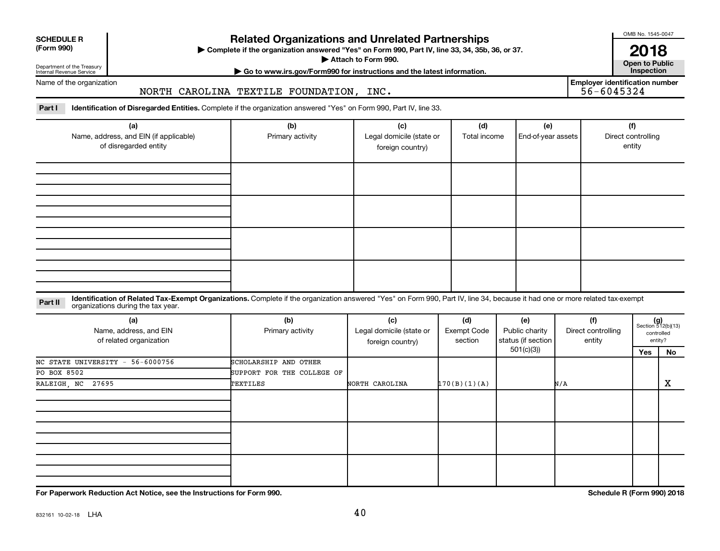| <b>SCHEDULE R</b> |  |
|-------------------|--|
|                   |  |

## Department of the Treasury

Internal Revenue Service

## **Related Organizations and Unrelated Partnerships**

**(Form 990) Complete if the organization answered "Yes" on Form 990, Part IV, line 33, 34, 35b, 36, or 37.** |

**Attach to Form 990. Contract to Public** 

**2018**<br>Open to Public

OMB No. 1545-0047

**| Go to www.irs.gov/Form990 for instructions and the latest information. Inspection**

Name of the organization

#### NORTH CAROLINA TEXTILE FOUNDATION, INC.

**Employer identification number**

Part I ldentification of Disregarded Entities. Complete if the organization answered "Yes" on Form 990, Part IV, line 33.

| (a)<br>Name, address, and EIN (if applicable)<br>of disregarded entity | (b)<br>Primary activity | (c)<br>Legal domicile (state or<br>foreign country) | (d)<br>Total income | (e)<br>End-of-year assets | (f)<br>Direct controlling<br>entity |
|------------------------------------------------------------------------|-------------------------|-----------------------------------------------------|---------------------|---------------------------|-------------------------------------|
|                                                                        |                         |                                                     |                     |                           |                                     |
|                                                                        |                         |                                                     |                     |                           |                                     |
|                                                                        |                         |                                                     |                     |                           |                                     |
|                                                                        |                         |                                                     |                     |                           |                                     |

#### **Part II** Identification of Related Tax-Exempt Organizations. Complete if the organization answered "Yes" on Form 990, Part IV, line 34, because it had one or more related tax-exempt<br>Part II acconizations during the tax ye organizations during the tax year.

| (a)<br>Name, address, and EIN<br>of related organization | (b)<br>Primary activity    | (c)<br>Legal domicile (state or<br>foreign country) | (d)<br>Exempt Code<br>section | (e)<br>Public charity<br>status (if section | (f)<br>Direct controlling<br>entity | $(g)$<br>Section 512(b)(13) | controlled<br>entity? |
|----------------------------------------------------------|----------------------------|-----------------------------------------------------|-------------------------------|---------------------------------------------|-------------------------------------|-----------------------------|-----------------------|
|                                                          |                            |                                                     |                               | 501(c)(3))                                  |                                     | Yes                         | No                    |
| NC STATE UNIVERSITY - 56-6000756                         | SCHOLARSHIP AND OTHER      |                                                     |                               |                                             |                                     |                             |                       |
| PO BOX 8502                                              | SUPPORT FOR THE COLLEGE OF |                                                     |                               |                                             |                                     |                             |                       |
| RALEIGH, NC 27695                                        | TEXTILES                   | NORTH CAROLINA                                      | 170(B)(1)(A)                  |                                             | N/A                                 |                             | х                     |
|                                                          |                            |                                                     |                               |                                             |                                     |                             |                       |
|                                                          |                            |                                                     |                               |                                             |                                     |                             |                       |
|                                                          |                            |                                                     |                               |                                             |                                     |                             |                       |

**For Paperwork Reduction Act Notice, see the Instructions for Form 990. Schedule R (Form 990) 2018**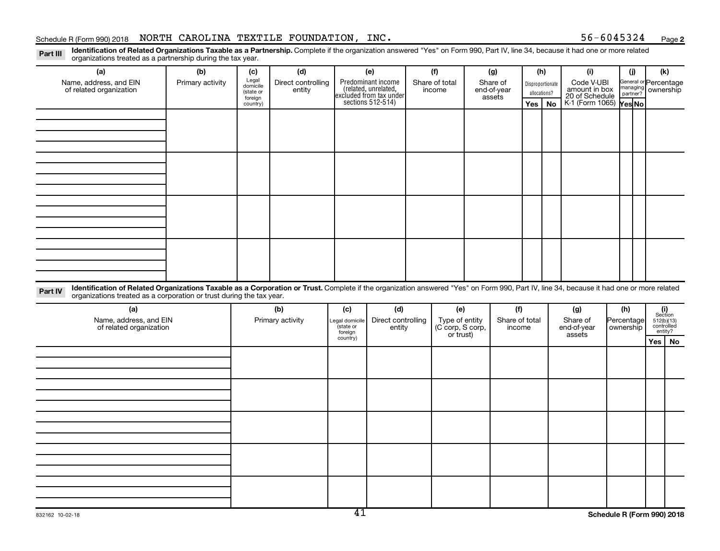#### Schedule R (Form 990) 2018 Page NORTH CAROLINA TEXTILE FOUNDATION, INC. 56-6045324

**2**

Part III Identification of Related Organizations Taxable as a Partnership. Complete if the organization answered "Yes" on Form 990, Part IV, line 34, because it had one or more related<br>Read to the organizations tracted as organizations treated as a partnership during the tax year.

| organizations treated as a partnership during the tax year.                                                                                                                                                                                                                 |                         |                       |                           |                     |                                                                                            |                       |                               |  |                                                           |     |                         |                                                           |                           |                |                                    |  |
|-----------------------------------------------------------------------------------------------------------------------------------------------------------------------------------------------------------------------------------------------------------------------------|-------------------------|-----------------------|---------------------------|---------------------|--------------------------------------------------------------------------------------------|-----------------------|-------------------------------|--|-----------------------------------------------------------|-----|-------------------------|-----------------------------------------------------------|---------------------------|----------------|------------------------------------|--|
| (a)<br>Name, address, and EIN                                                                                                                                                                                                                                               | (b)<br>Primary activity | (c)<br>Legal          | (d)<br>Direct controlling | (e)                 |                                                                                            | (f)<br>Share of total |                               |  | (g)<br>Share of                                           |     | (h)                     | (i)<br>Code V-UBI                                         |                           | (i)            | (k)<br>General or Percentage       |  |
| of related organization                                                                                                                                                                                                                                                     |                         | domicile<br>(state or | entity                    |                     | Predominant income<br>(related, unrelated,<br>excluded from tax under<br>sections 512-514) |                       | income                        |  | Disproportionate<br>end-of-year<br>allocations?<br>assets |     |                         | amount in box<br>20 of Schedule<br>K-1 (Form 1065) Yes No |                           |                | managing<br>partner?<br>Ownership  |  |
|                                                                                                                                                                                                                                                                             |                         | foreign<br>country)   |                           |                     |                                                                                            |                       |                               |  |                                                           | Yes | <b>No</b>               |                                                           |                           |                |                                    |  |
|                                                                                                                                                                                                                                                                             |                         |                       |                           |                     |                                                                                            |                       |                               |  |                                                           |     |                         |                                                           |                           |                |                                    |  |
|                                                                                                                                                                                                                                                                             |                         |                       |                           |                     |                                                                                            |                       |                               |  |                                                           |     |                         |                                                           |                           |                |                                    |  |
|                                                                                                                                                                                                                                                                             |                         |                       |                           |                     |                                                                                            |                       |                               |  |                                                           |     |                         |                                                           |                           |                |                                    |  |
|                                                                                                                                                                                                                                                                             |                         |                       |                           |                     |                                                                                            |                       |                               |  |                                                           |     |                         |                                                           |                           |                |                                    |  |
|                                                                                                                                                                                                                                                                             |                         |                       |                           |                     |                                                                                            |                       |                               |  |                                                           |     |                         |                                                           |                           |                |                                    |  |
|                                                                                                                                                                                                                                                                             |                         |                       |                           |                     |                                                                                            |                       |                               |  |                                                           |     |                         |                                                           |                           |                |                                    |  |
|                                                                                                                                                                                                                                                                             |                         |                       |                           |                     |                                                                                            |                       |                               |  |                                                           |     |                         |                                                           |                           |                |                                    |  |
|                                                                                                                                                                                                                                                                             |                         |                       |                           |                     |                                                                                            |                       |                               |  |                                                           |     |                         |                                                           |                           |                |                                    |  |
|                                                                                                                                                                                                                                                                             |                         |                       |                           |                     |                                                                                            |                       |                               |  |                                                           |     |                         |                                                           |                           |                |                                    |  |
|                                                                                                                                                                                                                                                                             |                         |                       |                           |                     |                                                                                            |                       |                               |  |                                                           |     |                         |                                                           |                           |                |                                    |  |
|                                                                                                                                                                                                                                                                             |                         |                       |                           |                     |                                                                                            |                       |                               |  |                                                           |     |                         |                                                           |                           |                |                                    |  |
|                                                                                                                                                                                                                                                                             |                         |                       |                           |                     |                                                                                            |                       |                               |  |                                                           |     |                         |                                                           |                           |                |                                    |  |
|                                                                                                                                                                                                                                                                             |                         |                       |                           |                     |                                                                                            |                       |                               |  |                                                           |     |                         |                                                           |                           |                |                                    |  |
| Identification of Related Organizations Taxable as a Corporation or Trust. Complete if the organization answered "Yes" on Form 990, Part IV, line 34, because it had one or more related<br>Part IV<br>organizations treated as a corporation or trust during the tax year. |                         |                       |                           |                     |                                                                                            |                       |                               |  |                                                           |     |                         |                                                           |                           |                |                                    |  |
| (a)                                                                                                                                                                                                                                                                         |                         |                       | (b)                       |                     | (c)<br>(d)                                                                                 |                       | (e)                           |  | (f)                                                       |     | (g)                     | (h)                                                       |                           | (i)<br>Section |                                    |  |
| Name, address, and EIN<br>of related organization                                                                                                                                                                                                                           |                         |                       | Primary activity          | Legal domicile      | Direct controlling<br>(state or<br>entity                                                  |                       | (C'corp, S corp,<br>or trust) |  | Type of entity<br>Share of total<br>income                |     | Share of<br>end-of-year |                                                           | Percentage<br>  ownership |                | $512(b)(13)$ controlled<br>entity? |  |
|                                                                                                                                                                                                                                                                             |                         |                       |                           | foreign<br>country) |                                                                                            |                       |                               |  |                                                           |     |                         | assets                                                    |                           |                | Yes   No                           |  |
|                                                                                                                                                                                                                                                                             |                         |                       |                           |                     |                                                                                            |                       |                               |  |                                                           |     |                         |                                                           |                           |                |                                    |  |
|                                                                                                                                                                                                                                                                             |                         |                       |                           |                     |                                                                                            |                       |                               |  |                                                           |     |                         |                                                           |                           |                |                                    |  |
|                                                                                                                                                                                                                                                                             |                         |                       |                           |                     |                                                                                            |                       |                               |  |                                                           |     |                         |                                                           |                           |                |                                    |  |
|                                                                                                                                                                                                                                                                             |                         |                       |                           |                     |                                                                                            |                       |                               |  |                                                           |     |                         |                                                           |                           |                |                                    |  |
|                                                                                                                                                                                                                                                                             |                         |                       |                           |                     |                                                                                            |                       |                               |  |                                                           |     |                         |                                                           |                           |                |                                    |  |
|                                                                                                                                                                                                                                                                             |                         |                       |                           |                     |                                                                                            |                       |                               |  |                                                           |     |                         |                                                           |                           |                |                                    |  |
|                                                                                                                                                                                                                                                                             |                         |                       |                           |                     |                                                                                            |                       |                               |  |                                                           |     |                         |                                                           |                           |                |                                    |  |
|                                                                                                                                                                                                                                                                             |                         |                       |                           |                     |                                                                                            |                       |                               |  |                                                           |     |                         |                                                           |                           |                |                                    |  |
|                                                                                                                                                                                                                                                                             |                         |                       |                           |                     |                                                                                            |                       |                               |  |                                                           |     |                         |                                                           |                           |                |                                    |  |
|                                                                                                                                                                                                                                                                             |                         |                       |                           |                     |                                                                                            |                       |                               |  |                                                           |     |                         |                                                           |                           |                |                                    |  |
|                                                                                                                                                                                                                                                                             |                         |                       |                           |                     |                                                                                            |                       |                               |  |                                                           |     |                         |                                                           |                           |                |                                    |  |
|                                                                                                                                                                                                                                                                             |                         |                       |                           |                     |                                                                                            |                       |                               |  |                                                           |     |                         |                                                           |                           |                |                                    |  |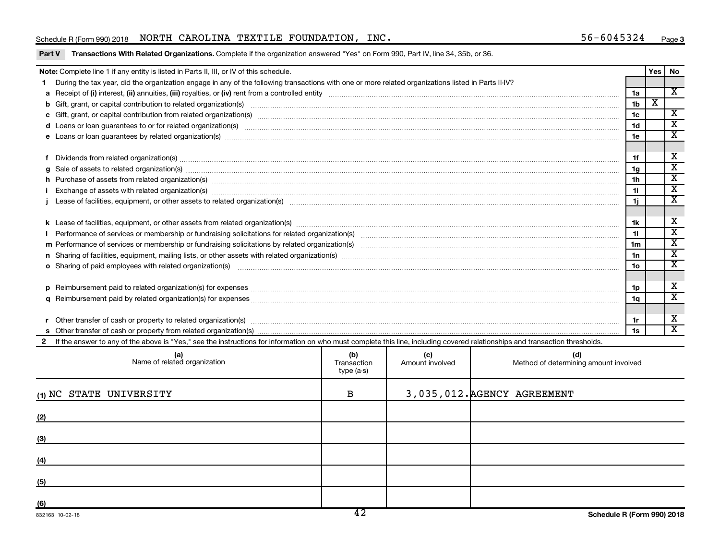#### Schedule R (Form 990) 2018 Page NORTH CAROLINA TEXTILE FOUNDATION, INC. 56-6045324

#### Part V Transactions With Related Organizations. Complete if the organization answered "Yes" on Form 990, Part IV, line 34, 35b, or 36.

| Note: Complete line 1 if any entity is listed in Parts II, III, or IV of this schedule.                                                                                                                                        |                | Yes                     | No                      |
|--------------------------------------------------------------------------------------------------------------------------------------------------------------------------------------------------------------------------------|----------------|-------------------------|-------------------------|
| During the tax year, did the organization engage in any of the following transactions with one or more related organizations listed in Parts II-IV?                                                                            |                |                         |                         |
|                                                                                                                                                                                                                                | 1a             |                         | $\overline{\mathbf{x}}$ |
|                                                                                                                                                                                                                                | 1 <sub>b</sub> | $\overline{\textbf{X}}$ |                         |
|                                                                                                                                                                                                                                | 1c             |                         | $\overline{\mathbf{x}}$ |
| d Loans or loan guarantees to or for related organization(s) www.communities.com/www.communities.com/www.communities-                                                                                                          | 1d             |                         | $\overline{\textbf{x}}$ |
|                                                                                                                                                                                                                                | 1e             |                         | X                       |
|                                                                                                                                                                                                                                |                |                         |                         |
| Dividends from related organization(s) manufactured contains and contained and contained and contained and contained and contained and contained and contained and contained and contained and contained and contained and con | 1f             |                         | x                       |
|                                                                                                                                                                                                                                | 1g             |                         | $\overline{\texttt{x}}$ |
| h Purchase of assets from related organization(s) manufactured content to content the content of assets from related organization(s) manufactured content to content the content of the content of the content of the content  | 1 <sub>h</sub> |                         | $\overline{\texttt{x}}$ |
| Exchange of assets with related organization(s) machinamic material contracts and a set of assets with related organization(s) machinamic machinamic material contracts and a set of assets with related organization(s)       | 11             |                         | $\overline{\mathbf{x}}$ |
|                                                                                                                                                                                                                                | 1i.            |                         | $\overline{\mathbf{x}}$ |
|                                                                                                                                                                                                                                |                |                         |                         |
|                                                                                                                                                                                                                                | 1k             |                         | х                       |
|                                                                                                                                                                                                                                | 11             |                         | $\overline{\texttt{x}}$ |
|                                                                                                                                                                                                                                | 1 <sub>m</sub> |                         | $\overline{\texttt{x}}$ |
|                                                                                                                                                                                                                                | 1n             |                         | $\overline{\texttt{x}}$ |
| o Sharing of paid employees with related organization(s)                                                                                                                                                                       | 1о             |                         | $\overline{\text{X}}$   |
|                                                                                                                                                                                                                                |                |                         |                         |
|                                                                                                                                                                                                                                | 1p.            |                         | х                       |
|                                                                                                                                                                                                                                | 1q             |                         | $\overline{\texttt{x}}$ |
|                                                                                                                                                                                                                                |                |                         |                         |
|                                                                                                                                                                                                                                | 1r             |                         | х                       |
|                                                                                                                                                                                                                                | 1s             |                         | $\overline{\textbf{x}}$ |
| 2 If the answer to any of the above is "Yes," see the instructions for information on who must complete this line, including covered relationships and transaction thresholds.                                                 |                |                         |                         |

| (a)<br>Name of related organization | (b)<br>Transaction<br>type (a-s) | (c)<br>Amount involved | (d)<br>Method of determining amount involved |
|-------------------------------------|----------------------------------|------------------------|----------------------------------------------|
| (1) NC STATE UNIVERSITY             | в                                |                        | 3,035,012. AGENCY AGREEMENT                  |
| (2)                                 |                                  |                        |                                              |
| (3)                                 |                                  |                        |                                              |
| (4)                                 |                                  |                        |                                              |
| (5)                                 |                                  |                        |                                              |
| (6)                                 | $\overline{\phantom{a}}$         |                        |                                              |

 $\overline{\phantom{a}}$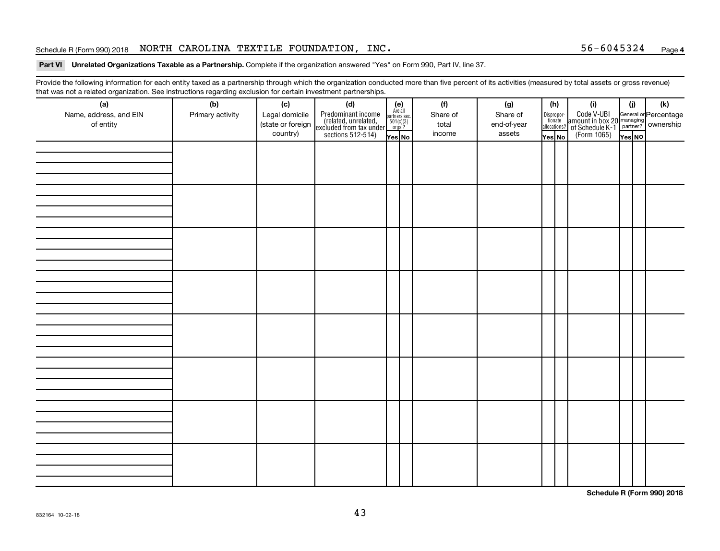#### Schedule R (Form 990) 2018 Page NORTH CAROLINA TEXTILE FOUNDATION, INC. 56-6045324

#### Part VI Unrelated Organizations Taxable as a Partnership. Complete if the organization answered "Yes" on Form 990, Part IV, line 37.

Provide the following information for each entity taxed as a partnership through which the organization conducted more than five percent of its activities (measured by total assets or gross revenue) that was not a related organization. See instructions regarding exclusion for certain investment partnerships.

| (a)<br>Name, address, and EIN<br>of entity | - - -<br>(b)<br>Primary activity | (c)<br>Legal domicile<br>(state or foreign<br>country) | - - - - <sub>1</sub> - - 1<br>(d)<br>Predominant income<br>(related, unrelated,<br>excluded from tax under<br>sections 512-514) | (e)<br>Are all<br>partners sec.<br>$\frac{501(c)(3)}{0rgs?}$<br>Yes No | (f)<br>Share of<br>total<br>income | (g)<br>Share of<br>end-of-year<br>assets | Dispropor-<br>tionate<br>allocations?<br>Yes No | (h) | (i)<br>Code V-UBI<br>amount in box 20 managing<br>of Schedule K-1<br>(Form 1065)<br>$\overline{Y}_{res}$ No | (i)<br>Yes NO | (k) |
|--------------------------------------------|----------------------------------|--------------------------------------------------------|---------------------------------------------------------------------------------------------------------------------------------|------------------------------------------------------------------------|------------------------------------|------------------------------------------|-------------------------------------------------|-----|-------------------------------------------------------------------------------------------------------------|---------------|-----|
|                                            |                                  |                                                        |                                                                                                                                 |                                                                        |                                    |                                          |                                                 |     |                                                                                                             |               |     |
|                                            |                                  |                                                        |                                                                                                                                 |                                                                        |                                    |                                          |                                                 |     |                                                                                                             |               |     |
|                                            |                                  |                                                        |                                                                                                                                 |                                                                        |                                    |                                          |                                                 |     |                                                                                                             |               |     |
|                                            |                                  |                                                        |                                                                                                                                 |                                                                        |                                    |                                          |                                                 |     |                                                                                                             |               |     |
|                                            |                                  |                                                        |                                                                                                                                 |                                                                        |                                    |                                          |                                                 |     |                                                                                                             |               |     |
|                                            |                                  |                                                        |                                                                                                                                 |                                                                        |                                    |                                          |                                                 |     |                                                                                                             |               |     |
|                                            |                                  |                                                        |                                                                                                                                 |                                                                        |                                    |                                          |                                                 |     |                                                                                                             |               |     |
|                                            |                                  |                                                        |                                                                                                                                 |                                                                        |                                    |                                          |                                                 |     |                                                                                                             |               |     |

**Schedule R (Form 990) 2018**